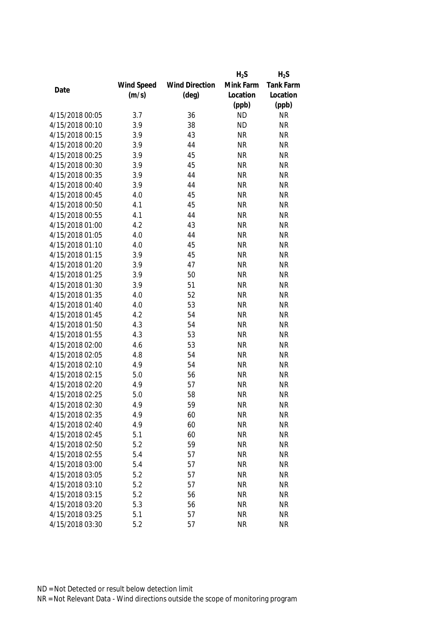|                 |            |                       | $H_2S$    | $H_2S$           |
|-----------------|------------|-----------------------|-----------|------------------|
|                 | Wind Speed | <b>Wind Direction</b> | Mink Farm | <b>Tank Farm</b> |
| Date            | (m/s)      | $(\text{deg})$        | Location  | Location         |
|                 |            |                       | (ppb)     | (ppb)            |
| 4/15/2018 00:05 | 3.7        | 36                    | <b>ND</b> | <b>NR</b>        |
| 4/15/2018 00:10 | 3.9        | 38                    | <b>ND</b> | <b>NR</b>        |
| 4/15/2018 00:15 | 3.9        | 43                    | <b>NR</b> | <b>NR</b>        |
| 4/15/2018 00:20 | 3.9        | 44                    | <b>NR</b> | <b>NR</b>        |
| 4/15/2018 00:25 | 3.9        | 45                    | <b>NR</b> | <b>NR</b>        |
| 4/15/2018 00:30 | 3.9        | 45                    | <b>NR</b> | <b>NR</b>        |
| 4/15/2018 00:35 | 3.9        | 44                    | <b>NR</b> | <b>NR</b>        |
| 4/15/2018 00:40 | 3.9        | 44                    | <b>NR</b> | <b>NR</b>        |
| 4/15/2018 00:45 | 4.0        | 45                    | <b>NR</b> | <b>NR</b>        |
| 4/15/2018 00:50 | 4.1        | 45                    | <b>NR</b> | <b>NR</b>        |
| 4/15/2018 00:55 | 4.1        | 44                    | <b>NR</b> | <b>NR</b>        |
| 4/15/2018 01:00 | 4.2        | 43                    | <b>NR</b> | <b>NR</b>        |
| 4/15/2018 01:05 | 4.0        | 44                    | <b>NR</b> | <b>NR</b>        |
| 4/15/2018 01:10 | 4.0        | 45                    | <b>NR</b> | <b>NR</b>        |
| 4/15/2018 01:15 | 3.9        | 45                    | <b>NR</b> | <b>NR</b>        |
| 4/15/2018 01:20 | 3.9        | 47                    | <b>NR</b> | <b>NR</b>        |
| 4/15/2018 01:25 | 3.9        | 50                    | <b>NR</b> | <b>NR</b>        |
| 4/15/2018 01:30 | 3.9        | 51                    | <b>NR</b> | <b>NR</b>        |
| 4/15/2018 01:35 | 4.0        | 52                    | <b>NR</b> | <b>NR</b>        |
| 4/15/2018 01:40 | 4.0        | 53                    | <b>NR</b> | <b>NR</b>        |
| 4/15/2018 01:45 | 4.2        | 54                    | <b>NR</b> | <b>NR</b>        |
| 4/15/2018 01:50 | 4.3        | 54                    | <b>NR</b> | <b>NR</b>        |
| 4/15/2018 01:55 | 4.3        | 53                    | <b>NR</b> | <b>NR</b>        |
| 4/15/2018 02:00 | 4.6        | 53                    | <b>NR</b> | <b>NR</b>        |
| 4/15/2018 02:05 | 4.8        | 54                    | <b>NR</b> | <b>NR</b>        |
| 4/15/2018 02:10 | 4.9        | 54                    | <b>NR</b> | <b>NR</b>        |
| 4/15/2018 02:15 | 5.0        | 56                    | <b>NR</b> | <b>NR</b>        |
| 4/15/2018 02:20 | 4.9        | 57                    | <b>NR</b> | <b>NR</b>        |
| 4/15/2018 02:25 | 5.0        | 58                    | <b>NR</b> | <b>NR</b>        |
| 4/15/2018 02:30 | 4.9        | 59                    | <b>NR</b> | <b>NR</b>        |
| 4/15/2018 02:35 | 4.9        | 60                    | <b>NR</b> | <b>NR</b>        |
| 4/15/2018 02:40 | 4.9        | 60                    | <b>NR</b> | <b>NR</b>        |
| 4/15/2018 02:45 | 5.1        | 60                    | <b>NR</b> | <b>NR</b>        |
| 4/15/2018 02:50 | 5.2        | 59                    | <b>NR</b> | <b>NR</b>        |
| 4/15/2018 02:55 | 5.4        | 57                    | <b>NR</b> | <b>NR</b>        |
| 4/15/2018 03:00 | 5.4        | 57                    | <b>NR</b> | <b>NR</b>        |
| 4/15/2018 03:05 | 5.2        | 57                    | <b>NR</b> | <b>NR</b>        |
| 4/15/2018 03:10 | 5.2        | 57                    | <b>NR</b> | <b>NR</b>        |
| 4/15/2018 03:15 | 5.2        | 56                    | <b>NR</b> | <b>NR</b>        |
| 4/15/2018 03:20 | 5.3        | 56                    | <b>NR</b> | <b>NR</b>        |
|                 |            |                       |           |                  |
| 4/15/2018 03:25 | 5.1        | 57                    | <b>NR</b> | <b>NR</b>        |
| 4/15/2018 03:30 | 5.2        | 57                    | <b>NR</b> | <b>NR</b>        |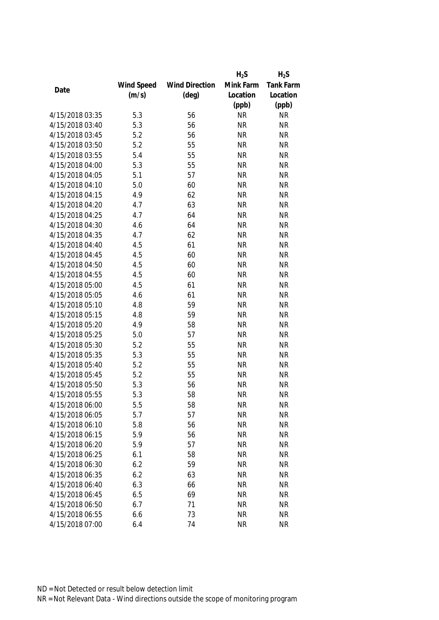|                 |            |                       | $H_2S$    | $H_2S$           |
|-----------------|------------|-----------------------|-----------|------------------|
|                 | Wind Speed | <b>Wind Direction</b> | Mink Farm | <b>Tank Farm</b> |
| Date            | (m/s)      | $(\text{deg})$        | Location  | Location         |
|                 |            |                       | (ppb)     | (ppb)            |
| 4/15/2018 03:35 | 5.3        | 56                    | <b>NR</b> | <b>NR</b>        |
| 4/15/2018 03:40 | 5.3        | 56                    | <b>NR</b> | <b>NR</b>        |
| 4/15/2018 03:45 | 5.2        | 56                    | <b>NR</b> | <b>NR</b>        |
| 4/15/2018 03:50 | 5.2        | 55                    | <b>NR</b> | <b>NR</b>        |
| 4/15/2018 03:55 | 5.4        | 55                    | <b>NR</b> | <b>NR</b>        |
| 4/15/2018 04:00 | 5.3        | 55                    | <b>NR</b> | <b>NR</b>        |
| 4/15/2018 04:05 | 5.1        | 57                    | <b>NR</b> | <b>NR</b>        |
| 4/15/2018 04:10 | 5.0        | 60                    | <b>NR</b> | <b>NR</b>        |
| 4/15/2018 04:15 | 4.9        | 62                    | <b>NR</b> | <b>NR</b>        |
| 4/15/2018 04:20 | 4.7        | 63                    | <b>NR</b> | <b>NR</b>        |
| 4/15/2018 04:25 | 4.7        | 64                    | <b>NR</b> | <b>NR</b>        |
| 4/15/2018 04:30 | 4.6        | 64                    | <b>NR</b> | <b>NR</b>        |
| 4/15/2018 04:35 | 4.7        | 62                    | <b>NR</b> | <b>NR</b>        |
| 4/15/2018 04:40 | 4.5        | 61                    | <b>NR</b> | <b>NR</b>        |
| 4/15/2018 04:45 | 4.5        | 60                    | <b>NR</b> | <b>NR</b>        |
| 4/15/2018 04:50 | 4.5        | 60                    | <b>NR</b> | <b>NR</b>        |
| 4/15/2018 04:55 | 4.5        | 60                    | <b>NR</b> | <b>NR</b>        |
| 4/15/2018 05:00 | 4.5        | 61                    | <b>NR</b> | <b>NR</b>        |
| 4/15/2018 05:05 | 4.6        | 61                    | <b>NR</b> | <b>NR</b>        |
| 4/15/2018 05:10 | 4.8        | 59                    | <b>NR</b> | <b>NR</b>        |
| 4/15/2018 05:15 | 4.8        | 59                    | <b>NR</b> | <b>NR</b>        |
| 4/15/2018 05:20 | 4.9        | 58                    | <b>NR</b> | <b>NR</b>        |
| 4/15/2018 05:25 | 5.0        | 57                    | <b>NR</b> | <b>NR</b>        |
| 4/15/2018 05:30 | 5.2        | 55                    | <b>NR</b> | <b>NR</b>        |
| 4/15/2018 05:35 | 5.3        | 55                    | <b>NR</b> | <b>NR</b>        |
| 4/15/2018 05:40 | 5.2        | 55                    | <b>NR</b> | <b>NR</b>        |
| 4/15/2018 05:45 | 5.2        | 55                    | <b>NR</b> | <b>NR</b>        |
| 4/15/2018 05:50 | 5.3        | 56                    | <b>NR</b> | <b>NR</b>        |
| 4/15/2018 05:55 | 5.3        | 58                    | <b>NR</b> | <b>NR</b>        |
| 4/15/2018 06:00 | 5.5        | 58                    | <b>NR</b> | <b>NR</b>        |
| 4/15/2018 06:05 | 5.7        | 57                    | <b>NR</b> | <b>NR</b>        |
| 4/15/2018 06:10 | 5.8        | 56                    | <b>NR</b> | <b>NR</b>        |
| 4/15/2018 06:15 | 5.9        | 56                    | <b>NR</b> | <b>NR</b>        |
| 4/15/2018 06:20 | 5.9        | 57                    | <b>NR</b> | <b>NR</b>        |
| 4/15/2018 06:25 | 6.1        | 58                    | <b>NR</b> | <b>NR</b>        |
| 4/15/2018 06:30 | 6.2        | 59                    | <b>NR</b> | <b>NR</b>        |
| 4/15/2018 06:35 | 6.2        | 63                    | <b>NR</b> | <b>NR</b>        |
| 4/15/2018 06:40 | 6.3        | 66                    | <b>NR</b> | <b>NR</b>        |
| 4/15/2018 06:45 | 6.5        | 69                    | <b>NR</b> | <b>NR</b>        |
| 4/15/2018 06:50 | 6.7        | 71                    | <b>NR</b> | <b>NR</b>        |
| 4/15/2018 06:55 | 6.6        | 73                    | <b>NR</b> | <b>NR</b>        |
|                 |            |                       |           |                  |
| 4/15/2018 07:00 | 6.4        | 74                    | <b>NR</b> | <b>NR</b>        |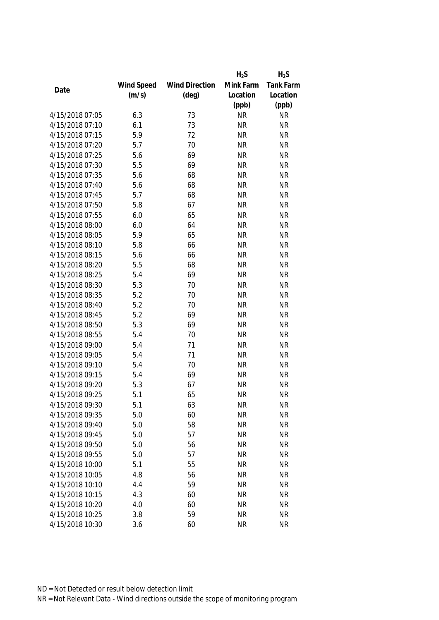|                 |            |                       | $H_2S$    | $H_2S$           |
|-----------------|------------|-----------------------|-----------|------------------|
|                 | Wind Speed | <b>Wind Direction</b> | Mink Farm | <b>Tank Farm</b> |
| Date            | (m/s)      | $(\text{deg})$        | Location  | Location         |
|                 |            |                       | (ppb)     | (ppb)            |
| 4/15/2018 07:05 | 6.3        | 73                    | <b>NR</b> | <b>NR</b>        |
| 4/15/2018 07:10 | 6.1        | 73                    | <b>NR</b> | <b>NR</b>        |
| 4/15/2018 07:15 | 5.9        | 72                    | <b>NR</b> | <b>NR</b>        |
| 4/15/2018 07:20 | 5.7        | 70                    | <b>NR</b> | <b>NR</b>        |
| 4/15/2018 07:25 | 5.6        | 69                    | <b>NR</b> | <b>NR</b>        |
| 4/15/2018 07:30 | 5.5        | 69                    | <b>NR</b> | <b>NR</b>        |
| 4/15/2018 07:35 | 5.6        | 68                    | <b>NR</b> | <b>NR</b>        |
| 4/15/2018 07:40 | 5.6        | 68                    | <b>NR</b> | <b>NR</b>        |
| 4/15/2018 07:45 | 5.7        | 68                    | <b>NR</b> | <b>NR</b>        |
| 4/15/2018 07:50 | 5.8        | 67                    | <b>NR</b> | <b>NR</b>        |
| 4/15/2018 07:55 | 6.0        | 65                    | <b>NR</b> | <b>NR</b>        |
| 4/15/2018 08:00 | 6.0        | 64                    | <b>NR</b> | <b>NR</b>        |
| 4/15/2018 08:05 | 5.9        | 65                    | <b>NR</b> | <b>NR</b>        |
| 4/15/2018 08:10 | 5.8        | 66                    | <b>NR</b> | <b>NR</b>        |
| 4/15/2018 08:15 | 5.6        | 66                    | <b>NR</b> | <b>NR</b>        |
| 4/15/2018 08:20 | 5.5        | 68                    | <b>NR</b> | <b>NR</b>        |
| 4/15/2018 08:25 | 5.4        | 69                    | <b>NR</b> | <b>NR</b>        |
| 4/15/2018 08:30 | 5.3        | 70                    | <b>NR</b> | <b>NR</b>        |
| 4/15/2018 08:35 | 5.2        | 70                    | <b>NR</b> | <b>NR</b>        |
| 4/15/2018 08:40 | 5.2        | 70                    | <b>NR</b> | <b>NR</b>        |
| 4/15/2018 08:45 | 5.2        | 69                    | <b>NR</b> | <b>NR</b>        |
| 4/15/2018 08:50 | 5.3        | 69                    | <b>NR</b> | <b>NR</b>        |
| 4/15/2018 08:55 | 5.4        | 70                    | <b>NR</b> | <b>NR</b>        |
| 4/15/2018 09:00 | 5.4        | 71                    | <b>NR</b> | <b>NR</b>        |
| 4/15/2018 09:05 | 5.4        | 71                    | <b>NR</b> | <b>NR</b>        |
| 4/15/2018 09:10 | 5.4        | 70                    | <b>NR</b> | <b>NR</b>        |
| 4/15/2018 09:15 | 5.4        | 69                    | <b>NR</b> | <b>NR</b>        |
| 4/15/2018 09:20 | 5.3        | 67                    | <b>NR</b> | <b>NR</b>        |
| 4/15/2018 09:25 | 5.1        | 65                    | <b>NR</b> | <b>NR</b>        |
| 4/15/2018 09:30 | 5.1        | 63                    | <b>NR</b> | <b>NR</b>        |
| 4/15/2018 09:35 | 5.0        | 60                    | <b>NR</b> | <b>NR</b>        |
| 4/15/2018 09:40 | 5.0        | 58                    | <b>NR</b> | <b>NR</b>        |
| 4/15/2018 09:45 | 5.0        | 57                    | <b>NR</b> | <b>NR</b>        |
| 4/15/2018 09:50 | 5.0        | 56                    | <b>NR</b> | <b>NR</b>        |
| 4/15/2018 09:55 | 5.0        | 57                    | <b>NR</b> | <b>NR</b>        |
| 4/15/2018 10:00 | 5.1        | 55                    | <b>NR</b> | <b>NR</b>        |
| 4/15/2018 10:05 | 4.8        | 56                    | <b>NR</b> | <b>NR</b>        |
| 4/15/2018 10:10 | 4.4        | 59                    | <b>NR</b> | <b>NR</b>        |
| 4/15/2018 10:15 | 4.3        | 60                    | <b>NR</b> | <b>NR</b>        |
| 4/15/2018 10:20 | 4.0        | 60                    | <b>NR</b> | <b>NR</b>        |
| 4/15/2018 10:25 | 3.8        | 59                    | <b>NR</b> | <b>NR</b>        |
| 4/15/2018 10:30 |            |                       |           |                  |
|                 | 3.6        | 60                    | <b>NR</b> | <b>NR</b>        |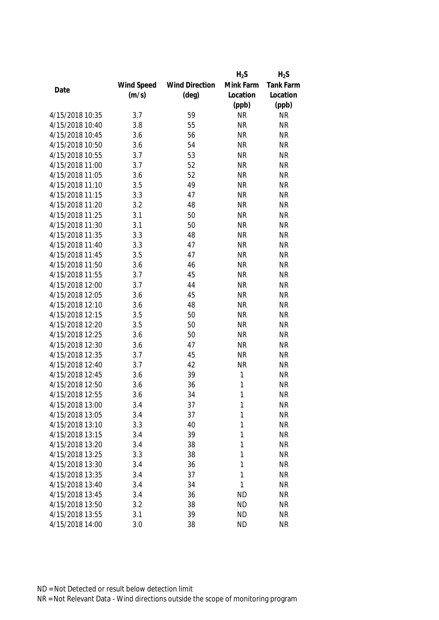|                 |            |                       | $H_2S$    | $H_2S$    |
|-----------------|------------|-----------------------|-----------|-----------|
|                 | Wind Speed | <b>Wind Direction</b> | Mink Farm | Tank Farm |
| Date            | (m/s)      | $(\text{deg})$        | Location  | Location  |
|                 |            |                       | (ppb)     | (ppb)     |
| 4/15/2018 10:35 | 3.7        | 59                    | <b>NR</b> | <b>NR</b> |
| 4/15/2018 10:40 | 3.8        | 55                    | <b>NR</b> | <b>NR</b> |
| 4/15/2018 10:45 | 3.6        | 56                    | <b>NR</b> | <b>NR</b> |
| 4/15/2018 10:50 | 3.6        | 54                    | <b>NR</b> | <b>NR</b> |
| 4/15/2018 10:55 | 3.7        | 53                    | <b>NR</b> | <b>NR</b> |
| 4/15/2018 11:00 | 3.7        | 52                    | <b>NR</b> | <b>NR</b> |
| 4/15/2018 11:05 | 3.6        | 52                    | <b>NR</b> | <b>NR</b> |
| 4/15/2018 11:10 | 3.5        | 49                    | <b>NR</b> | <b>NR</b> |
| 4/15/2018 11:15 | 3.3        | 47                    | <b>NR</b> | <b>NR</b> |
| 4/15/2018 11:20 | 3.2        | 48                    | <b>NR</b> | <b>NR</b> |
| 4/15/2018 11:25 | 3.1        | 50                    | <b>NR</b> | <b>NR</b> |
| 4/15/2018 11:30 | 3.1        | 50                    | <b>NR</b> | <b>NR</b> |
| 4/15/2018 11:35 | 3.3        | 48                    | <b>NR</b> | <b>NR</b> |
| 4/15/2018 11:40 | 3.3        | 47                    | <b>NR</b> | <b>NR</b> |
| 4/15/2018 11:45 | 3.5        | 47                    | <b>NR</b> | <b>NR</b> |
| 4/15/2018 11:50 | 3.6        | 46                    | <b>NR</b> | <b>NR</b> |
| 4/15/2018 11:55 | 3.7        | 45                    | <b>NR</b> | <b>NR</b> |
| 4/15/2018 12:00 | 3.7        | 44                    | <b>NR</b> | <b>NR</b> |
| 4/15/2018 12:05 | 3.6        | 45                    | <b>NR</b> | <b>NR</b> |
| 4/15/2018 12:10 | 3.6        | 48                    | <b>NR</b> | <b>NR</b> |
| 4/15/2018 12:15 | 3.5        | 50                    | <b>NR</b> | <b>NR</b> |
| 4/15/2018 12:20 | 3.5        | 50                    | <b>NR</b> | <b>NR</b> |
| 4/15/2018 12:25 | 3.6        | 50                    | <b>NR</b> | <b>NR</b> |
| 4/15/2018 12:30 | 3.6        | 47                    | <b>NR</b> | <b>NR</b> |
| 4/15/2018 12:35 | 3.7        | 45                    | <b>NR</b> | <b>NR</b> |
| 4/15/2018 12:40 | 3.7        | 42                    | <b>NR</b> | <b>NR</b> |
| 4/15/2018 12:45 | 3.6        | 39                    | 1         | <b>NR</b> |
| 4/15/2018 12:50 | 3.6        | 36                    | 1         | <b>NR</b> |
| 4/15/2018 12:55 | 3.6        | 34                    | 1         | <b>NR</b> |
| 4/15/2018 13:00 | 3.4        | 37                    | 1         | <b>NR</b> |
| 4/15/2018 13:05 | 3.4        | 37                    | 1         | <b>NR</b> |
| 4/15/2018 13:10 | 3.3        | 40                    | 1         | <b>NR</b> |
| 4/15/2018 13:15 | 3.4        | 39                    | 1         | <b>NR</b> |
| 4/15/2018 13:20 | 3.4        | 38                    | 1         | <b>NR</b> |
| 4/15/2018 13:25 | 3.3        | 38                    | 1         | <b>NR</b> |
| 4/15/2018 13:30 | 3.4        | 36                    | 1         | <b>NR</b> |
| 4/15/2018 13:35 | 3.4        | 37                    | 1         | <b>NR</b> |
| 4/15/2018 13:40 | 3.4        | 34                    | 1         | <b>NR</b> |
| 4/15/2018 13:45 | 3.4        | 36                    | <b>ND</b> | <b>NR</b> |
| 4/15/2018 13:50 | 3.2        | 38                    | <b>ND</b> | <b>NR</b> |
| 4/15/2018 13:55 | 3.1        | 39                    | <b>ND</b> | <b>NR</b> |
| 4/15/2018 14:00 | 3.0        | 38                    | <b>ND</b> | <b>NR</b> |
|                 |            |                       |           |           |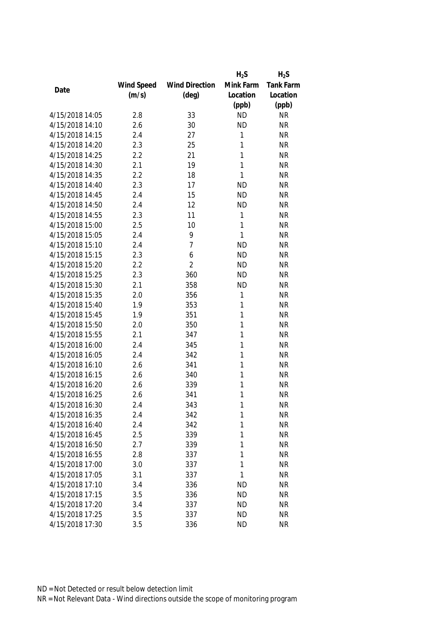|                 |            |                       | $H_2S$       | $H_2S$    |
|-----------------|------------|-----------------------|--------------|-----------|
|                 | Wind Speed | <b>Wind Direction</b> | Mink Farm    | Tank Farm |
| Date            | (m/s)      | $(\text{deg})$        | Location     | Location  |
|                 |            |                       | (ppb)        | (ppb)     |
| 4/15/2018 14:05 | 2.8        | 33                    | <b>ND</b>    | <b>NR</b> |
| 4/15/2018 14:10 | 2.6        | 30                    | <b>ND</b>    | <b>NR</b> |
| 4/15/2018 14:15 | 2.4        | 27                    | 1            | <b>NR</b> |
| 4/15/2018 14:20 | 2.3        | 25                    | 1            | <b>NR</b> |
| 4/15/2018 14:25 | 2.2        | 21                    | 1            | <b>NR</b> |
| 4/15/2018 14:30 | 2.1        | 19                    | 1            | <b>NR</b> |
| 4/15/2018 14:35 | 2.2        | 18                    | 1            | <b>NR</b> |
| 4/15/2018 14:40 | 2.3        | 17                    | <b>ND</b>    | <b>NR</b> |
| 4/15/2018 14:45 | 2.4        | 15                    | <b>ND</b>    | <b>NR</b> |
| 4/15/2018 14:50 | 2.4        | 12                    | <b>ND</b>    | <b>NR</b> |
| 4/15/2018 14:55 | 2.3        | 11                    | 1            | <b>NR</b> |
| 4/15/2018 15:00 | 2.5        | 10                    | 1            | <b>NR</b> |
| 4/15/2018 15:05 | 2.4        | 9                     | $\mathbf{1}$ | <b>NR</b> |
| 4/15/2018 15:10 | 2.4        | $\overline{7}$        | <b>ND</b>    | <b>NR</b> |
| 4/15/2018 15:15 | 2.3        | 6                     | <b>ND</b>    | <b>NR</b> |
| 4/15/2018 15:20 | 2.2        | $\overline{2}$        | <b>ND</b>    | <b>NR</b> |
| 4/15/2018 15:25 | 2.3        | 360                   | <b>ND</b>    | <b>NR</b> |
| 4/15/2018 15:30 | 2.1        | 358                   | <b>ND</b>    | <b>NR</b> |
| 4/15/2018 15:35 | 2.0        | 356                   | 1            | <b>NR</b> |
| 4/15/2018 15:40 | 1.9        | 353                   | 1            | <b>NR</b> |
| 4/15/2018 15:45 | 1.9        | 351                   | 1            | <b>NR</b> |
| 4/15/2018 15:50 | 2.0        | 350                   | 1            | <b>NR</b> |
| 4/15/2018 15:55 | 2.1        | 347                   | 1            | <b>NR</b> |
| 4/15/2018 16:00 | 2.4        | 345                   | 1            | <b>NR</b> |
| 4/15/2018 16:05 | 2.4        | 342                   | 1            | <b>NR</b> |
| 4/15/2018 16:10 | 2.6        | 341                   | 1            | <b>NR</b> |
| 4/15/2018 16:15 | 2.6        | 340                   | 1            | <b>NR</b> |
| 4/15/2018 16:20 | 2.6        | 339                   | 1            | <b>NR</b> |
| 4/15/2018 16:25 | 2.6        | 341                   | 1            | <b>NR</b> |
| 4/15/2018 16:30 | 2.4        | 343                   | 1            | <b>NR</b> |
| 4/15/2018 16:35 | 2.4        | 342                   | 1            | <b>NR</b> |
| 4/15/2018 16:40 | 2.4        | 342                   | 1            | <b>NR</b> |
| 4/15/2018 16:45 | 2.5        | 339                   | 1            | <b>NR</b> |
| 4/15/2018 16:50 | 2.7        | 339                   | 1            | <b>NR</b> |
| 4/15/2018 16:55 | 2.8        | 337                   | 1            | <b>NR</b> |
| 4/15/2018 17:00 | 3.0        | 337                   | 1            | <b>NR</b> |
| 4/15/2018 17:05 | 3.1        | 337                   | 1            | <b>NR</b> |
| 4/15/2018 17:10 | 3.4        | 336                   | <b>ND</b>    | <b>NR</b> |
| 4/15/2018 17:15 | 3.5        | 336                   | <b>ND</b>    | <b>NR</b> |
| 4/15/2018 17:20 | 3.4        | 337                   | <b>ND</b>    | <b>NR</b> |
| 4/15/2018 17:25 | 3.5        |                       | <b>ND</b>    | <b>NR</b> |
|                 |            | 337                   |              |           |
| 4/15/2018 17:30 | 3.5        | 336                   | <b>ND</b>    | <b>NR</b> |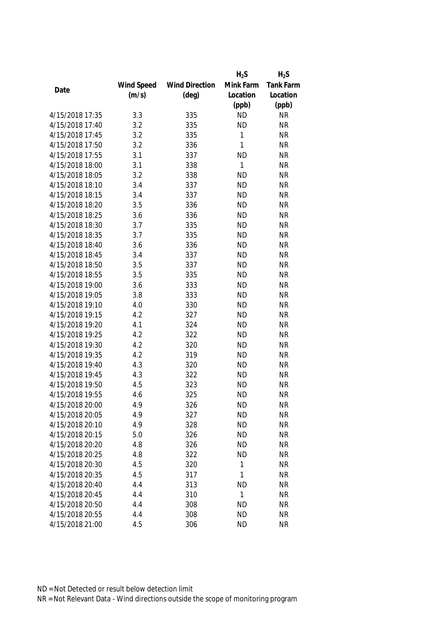|                 |            |                       | $H_2S$       | $H_2S$    |
|-----------------|------------|-----------------------|--------------|-----------|
|                 | Wind Speed | <b>Wind Direction</b> | Mink Farm    | Tank Farm |
| Date            | (m/s)      | $(\text{deg})$        | Location     | Location  |
|                 |            |                       | (ppb)        | (ppb)     |
| 4/15/2018 17:35 | 3.3        | 335                   | <b>ND</b>    | <b>NR</b> |
| 4/15/2018 17:40 | 3.2        | 335                   | <b>ND</b>    | <b>NR</b> |
| 4/15/2018 17:45 | 3.2        | 335                   | 1            | <b>NR</b> |
| 4/15/2018 17:50 | 3.2        | 336                   | $\mathbf{1}$ | <b>NR</b> |
| 4/15/2018 17:55 | 3.1        | 337                   | <b>ND</b>    | <b>NR</b> |
| 4/15/2018 18:00 | 3.1        | 338                   | 1            | <b>NR</b> |
| 4/15/2018 18:05 | 3.2        | 338                   | <b>ND</b>    | <b>NR</b> |
| 4/15/2018 18:10 | 3.4        | 337                   | <b>ND</b>    | <b>NR</b> |
| 4/15/2018 18:15 | 3.4        | 337                   | <b>ND</b>    | <b>NR</b> |
| 4/15/2018 18:20 | 3.5        | 336                   | <b>ND</b>    | <b>NR</b> |
| 4/15/2018 18:25 | 3.6        | 336                   | <b>ND</b>    | <b>NR</b> |
| 4/15/2018 18:30 | 3.7        | 335                   | <b>ND</b>    | <b>NR</b> |
| 4/15/2018 18:35 | 3.7        | 335                   | <b>ND</b>    | <b>NR</b> |
| 4/15/2018 18:40 | 3.6        | 336                   | <b>ND</b>    | <b>NR</b> |
| 4/15/2018 18:45 | 3.4        | 337                   | <b>ND</b>    | <b>NR</b> |
| 4/15/2018 18:50 | 3.5        | 337                   | <b>ND</b>    | <b>NR</b> |
| 4/15/2018 18:55 | 3.5        | 335                   | <b>ND</b>    | <b>NR</b> |
| 4/15/2018 19:00 | 3.6        | 333                   | <b>ND</b>    | <b>NR</b> |
| 4/15/2018 19:05 | 3.8        | 333                   | <b>ND</b>    | <b>NR</b> |
| 4/15/2018 19:10 | 4.0        | 330                   | <b>ND</b>    | <b>NR</b> |
| 4/15/2018 19:15 | 4.2        | 327                   | <b>ND</b>    | <b>NR</b> |
| 4/15/2018 19:20 | 4.1        | 324                   | <b>ND</b>    | <b>NR</b> |
| 4/15/2018 19:25 | 4.2        | 322                   | <b>ND</b>    | <b>NR</b> |
| 4/15/2018 19:30 | 4.2        | 320                   | <b>ND</b>    | <b>NR</b> |
| 4/15/2018 19:35 | 4.2        | 319                   | <b>ND</b>    | <b>NR</b> |
| 4/15/2018 19:40 | 4.3        | 320                   | <b>ND</b>    | <b>NR</b> |
| 4/15/2018 19:45 | 4.3        | 322                   | <b>ND</b>    | <b>NR</b> |
| 4/15/2018 19:50 | 4.5        | 323                   | <b>ND</b>    | <b>NR</b> |
| 4/15/2018 19:55 | 4.6        | 325                   | <b>ND</b>    | <b>NR</b> |
| 4/15/2018 20:00 | 4.9        | 326                   | <b>ND</b>    | <b>NR</b> |
| 4/15/2018 20:05 | 4.9        | 327                   | <b>ND</b>    | <b>NR</b> |
| 4/15/2018 20:10 | 4.9        | 328                   | <b>ND</b>    | <b>NR</b> |
| 4/15/2018 20:15 | 5.0        | 326                   | <b>ND</b>    | <b>NR</b> |
| 4/15/2018 20:20 | 4.8        | 326                   | <b>ND</b>    | <b>NR</b> |
| 4/15/2018 20:25 | 4.8        | 322                   | <b>ND</b>    | <b>NR</b> |
| 4/15/2018 20:30 | 4.5        | 320                   | 1            | <b>NR</b> |
| 4/15/2018 20:35 | 4.5        | 317                   | 1            | <b>NR</b> |
| 4/15/2018 20:40 | 4.4        | 313                   | <b>ND</b>    | <b>NR</b> |
| 4/15/2018 20:45 | 4.4        | 310                   | 1            | <b>NR</b> |
| 4/15/2018 20:50 | 4.4        | 308                   | <b>ND</b>    | <b>NR</b> |
| 4/15/2018 20:55 | 4.4        | 308                   | <b>ND</b>    | <b>NR</b> |
|                 |            |                       |              |           |
| 4/15/2018 21:00 | 4.5        | 306                   | <b>ND</b>    | <b>NR</b> |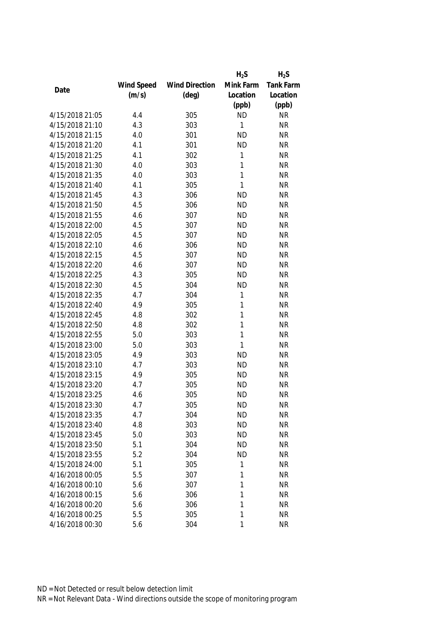|                 |            |                       | $H_2S$       | $H_2S$    |
|-----------------|------------|-----------------------|--------------|-----------|
|                 | Wind Speed | <b>Wind Direction</b> | Mink Farm    | Tank Farm |
| Date            | (m/s)      | $(\text{deg})$        | Location     | Location  |
|                 |            |                       | (ppb)        | (ppb)     |
| 4/15/2018 21:05 | 4.4        | 305                   | <b>ND</b>    | <b>NR</b> |
| 4/15/2018 21:10 | 4.3        | 303                   | 1            | <b>NR</b> |
| 4/15/2018 21:15 | 4.0        | 301                   | <b>ND</b>    | <b>NR</b> |
| 4/15/2018 21:20 | 4.1        | 301                   | <b>ND</b>    | <b>NR</b> |
| 4/15/2018 21:25 | 4.1        | 302                   | 1            | <b>NR</b> |
| 4/15/2018 21:30 | 4.0        | 303                   | 1            | <b>NR</b> |
| 4/15/2018 21:35 | 4.0        | 303                   | 1            | <b>NR</b> |
| 4/15/2018 21:40 | 4.1        | 305                   | $\mathbf{1}$ | <b>NR</b> |
| 4/15/2018 21:45 | 4.3        | 306                   | <b>ND</b>    | <b>NR</b> |
| 4/15/2018 21:50 | 4.5        | 306                   | <b>ND</b>    | <b>NR</b> |
| 4/15/2018 21:55 | 4.6        | 307                   | <b>ND</b>    | <b>NR</b> |
| 4/15/2018 22:00 | 4.5        | 307                   | <b>ND</b>    | <b>NR</b> |
| 4/15/2018 22:05 | 4.5        | 307                   | <b>ND</b>    | <b>NR</b> |
| 4/15/2018 22:10 | 4.6        | 306                   | <b>ND</b>    | <b>NR</b> |
| 4/15/2018 22:15 | 4.5        | 307                   | <b>ND</b>    | <b>NR</b> |
| 4/15/2018 22:20 | 4.6        | 307                   | <b>ND</b>    | <b>NR</b> |
| 4/15/2018 22:25 | 4.3        | 305                   | <b>ND</b>    | <b>NR</b> |
| 4/15/2018 22:30 | 4.5        | 304                   | <b>ND</b>    | <b>NR</b> |
| 4/15/2018 22:35 | 4.7        | 304                   | 1            | <b>NR</b> |
| 4/15/2018 22:40 | 4.9        | 305                   | 1            | <b>NR</b> |
| 4/15/2018 22:45 | 4.8        | 302                   | 1            | <b>NR</b> |
| 4/15/2018 22:50 | 4.8        | 302                   | 1            | <b>NR</b> |
| 4/15/2018 22:55 | 5.0        | 303                   | 1            | <b>NR</b> |
| 4/15/2018 23:00 | 5.0        | 303                   | 1            | <b>NR</b> |
| 4/15/2018 23:05 | 4.9        | 303                   | <b>ND</b>    | <b>NR</b> |
| 4/15/2018 23:10 | 4.7        | 303                   | <b>ND</b>    | <b>NR</b> |
| 4/15/2018 23:15 | 4.9        | 305                   | <b>ND</b>    | <b>NR</b> |
| 4/15/2018 23:20 | 4.7        | 305                   | <b>ND</b>    | <b>NR</b> |
| 4/15/2018 23:25 | 4.6        | 305                   | <b>ND</b>    | <b>NR</b> |
| 4/15/2018 23:30 | 4.7        | 305                   | <b>ND</b>    | <b>NR</b> |
| 4/15/2018 23:35 | 4.7        | 304                   | <b>ND</b>    | <b>NR</b> |
| 4/15/2018 23:40 | 4.8        | 303                   | <b>ND</b>    | <b>NR</b> |
| 4/15/2018 23:45 | 5.0        | 303                   | <b>ND</b>    | <b>NR</b> |
| 4/15/2018 23:50 | 5.1        | 304                   | <b>ND</b>    | <b>NR</b> |
| 4/15/2018 23:55 | 5.2        | 304                   | <b>ND</b>    | <b>NR</b> |
| 4/15/2018 24:00 | 5.1        | 305                   | 1            | <b>NR</b> |
| 4/16/2018 00:05 | 5.5        | 307                   | 1            | <b>NR</b> |
| 4/16/2018 00:10 | 5.6        | 307                   | 1            | <b>NR</b> |
| 4/16/2018 00:15 | 5.6        | 306                   | 1            | <b>NR</b> |
| 4/16/2018 00:20 | 5.6        | 306                   | 1            | <b>NR</b> |
| 4/16/2018 00:25 | 5.5        | 305                   | 1            | <b>NR</b> |
| 4/16/2018 00:30 | 5.6        | 304                   | 1            | <b>NR</b> |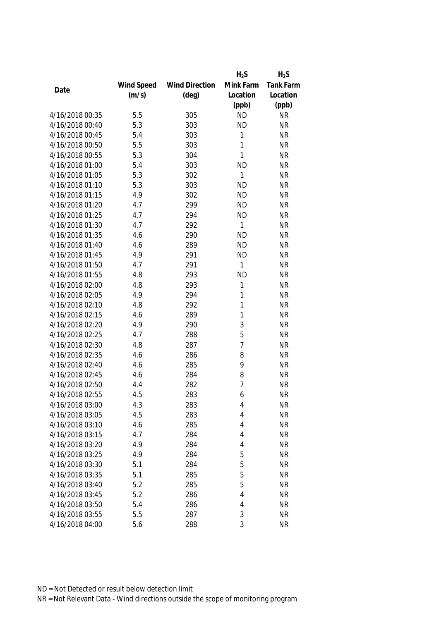|                 |            |                       | $H_2S$         | $H_2S$    |
|-----------------|------------|-----------------------|----------------|-----------|
|                 | Wind Speed | <b>Wind Direction</b> | Mink Farm      | Tank Farm |
| Date            | (m/s)      | $(\text{deg})$        | Location       | Location  |
|                 |            |                       | (ppb)          | (ppb)     |
| 4/16/2018 00:35 | 5.5        | 305                   | <b>ND</b>      | <b>NR</b> |
| 4/16/2018 00:40 | 5.3        | 303                   | <b>ND</b>      | <b>NR</b> |
| 4/16/2018 00:45 | 5.4        | 303                   | 1              | <b>NR</b> |
| 4/16/2018 00:50 | 5.5        | 303                   | 1              | <b>NR</b> |
| 4/16/2018 00:55 | 5.3        | 304                   | 1              | <b>NR</b> |
| 4/16/2018 01:00 | 5.4        | 303                   | <b>ND</b>      | <b>NR</b> |
| 4/16/2018 01:05 | 5.3        | 302                   | 1              | <b>NR</b> |
| 4/16/2018 01:10 | 5.3        | 303                   | <b>ND</b>      | <b>NR</b> |
| 4/16/2018 01:15 | 4.9        | 302                   | <b>ND</b>      | <b>NR</b> |
| 4/16/2018 01:20 | 4.7        | 299                   | <b>ND</b>      | <b>NR</b> |
| 4/16/2018 01:25 | 4.7        | 294                   | <b>ND</b>      | <b>NR</b> |
| 4/16/2018 01:30 | 4.7        | 292                   | 1              | <b>NR</b> |
| 4/16/2018 01:35 | 4.6        | 290                   | <b>ND</b>      | <b>NR</b> |
| 4/16/2018 01:40 | 4.6        | 289                   | <b>ND</b>      | <b>NR</b> |
| 4/16/2018 01:45 | 4.9        | 291                   | <b>ND</b>      | <b>NR</b> |
| 4/16/2018 01:50 | 4.7        | 291                   | 1              | <b>NR</b> |
| 4/16/2018 01:55 | 4.8        | 293                   | <b>ND</b>      | <b>NR</b> |
| 4/16/2018 02:00 | 4.8        | 293                   | 1              | <b>NR</b> |
| 4/16/2018 02:05 | 4.9        | 294                   | 1              | <b>NR</b> |
| 4/16/2018 02:10 | 4.8        | 292                   | 1              | <b>NR</b> |
| 4/16/2018 02:15 | 4.6        | 289                   | 1              | <b>NR</b> |
| 4/16/2018 02:20 | 4.9        | 290                   | 3              | <b>NR</b> |
| 4/16/2018 02:25 | 4.7        | 288                   | 5              | <b>NR</b> |
| 4/16/2018 02:30 | 4.8        | 287                   | $\overline{1}$ | <b>NR</b> |
| 4/16/2018 02:35 | 4.6        | 286                   | 8              | <b>NR</b> |
| 4/16/2018 02:40 | 4.6        | 285                   | 9              | <b>NR</b> |
| 4/16/2018 02:45 | 4.6        | 284                   | 8              | <b>NR</b> |
| 4/16/2018 02:50 | 4.4        | 282                   | $\overline{1}$ | <b>NR</b> |
| 4/16/2018 02:55 | 4.5        | 283                   | 6              | <b>NR</b> |
| 4/16/2018 03:00 | 4.3        | 283                   | 4              | <b>NR</b> |
| 4/16/2018 03:05 | 4.5        | 283                   | 4              | <b>NR</b> |
| 4/16/2018 03:10 | 4.6        | 285                   | 4              | <b>NR</b> |
| 4/16/2018 03:15 | 4.7        | 284                   | 4              | <b>NR</b> |
| 4/16/2018 03:20 | 4.9        | 284                   | 4              | <b>NR</b> |
| 4/16/2018 03:25 | 4.9        | 284                   | 5              | <b>NR</b> |
| 4/16/2018 03:30 | 5.1        | 284                   | 5              | <b>NR</b> |
| 4/16/2018 03:35 | 5.1        | 285                   | 5              | <b>NR</b> |
| 4/16/2018 03:40 | 5.2        | 285                   | 5              | <b>NR</b> |
| 4/16/2018 03:45 | 5.2        | 286                   | 4              | <b>NR</b> |
| 4/16/2018 03:50 | 5.4        | 286                   | 4              | <b>NR</b> |
| 4/16/2018 03:55 | 5.5        | 287                   | 3              | <b>NR</b> |
| 4/16/2018 04:00 | 5.6        | 288                   | 3              | <b>NR</b> |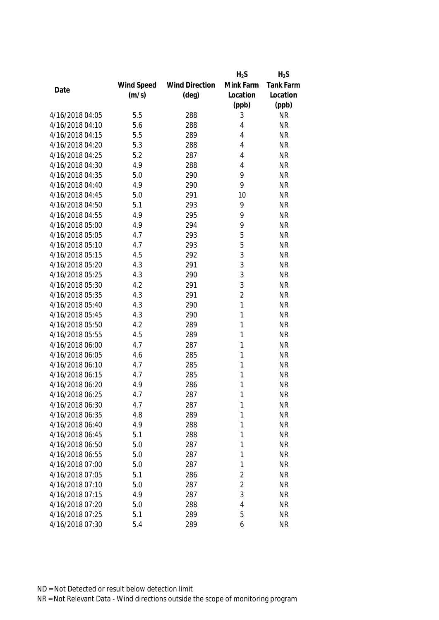|                 |            |                       | $H_2S$         | $H_2S$    |
|-----------------|------------|-----------------------|----------------|-----------|
|                 | Wind Speed | <b>Wind Direction</b> | Mink Farm      | Tank Farm |
| Date            | (m/s)      | $(\text{deg})$        | Location       | Location  |
|                 |            |                       | (ppb)          | (ppb)     |
| 4/16/2018 04:05 | 5.5        | 288                   | 3              | <b>NR</b> |
| 4/16/2018 04:10 | 5.6        | 288                   | 4              | <b>NR</b> |
| 4/16/2018 04:15 | 5.5        | 289                   | 4              | <b>NR</b> |
| 4/16/2018 04:20 | 5.3        | 288                   | 4              | <b>NR</b> |
| 4/16/2018 04:25 | 5.2        | 287                   | 4              | <b>NR</b> |
| 4/16/2018 04:30 | 4.9        | 288                   | 4              | <b>NR</b> |
| 4/16/2018 04:35 | 5.0        | 290                   | 9              | <b>NR</b> |
| 4/16/2018 04:40 | 4.9        | 290                   | 9              | <b>NR</b> |
| 4/16/2018 04:45 | 5.0        | 291                   | 10             | <b>NR</b> |
| 4/16/2018 04:50 | 5.1        | 293                   | 9              | <b>NR</b> |
| 4/16/2018 04:55 | 4.9        | 295                   | 9              | <b>NR</b> |
| 4/16/2018 05:00 | 4.9        | 294                   | 9              | <b>NR</b> |
| 4/16/2018 05:05 | 4.7        | 293                   | 5              | <b>NR</b> |
| 4/16/2018 05:10 | 4.7        | 293                   | 5              | <b>NR</b> |
| 4/16/2018 05:15 | 4.5        | 292                   | 3              | <b>NR</b> |
| 4/16/2018 05:20 | 4.3        | 291                   | 3              | <b>NR</b> |
| 4/16/2018 05:25 | 4.3        | 290                   | 3              | <b>NR</b> |
| 4/16/2018 05:30 | 4.2        | 291                   | 3              | <b>NR</b> |
| 4/16/2018 05:35 | 4.3        | 291                   | $\overline{2}$ | <b>NR</b> |
| 4/16/2018 05:40 | 4.3        | 290                   | 1              | <b>NR</b> |
| 4/16/2018 05:45 | 4.3        | 290                   | 1              | <b>NR</b> |
| 4/16/2018 05:50 | 4.2        | 289                   | 1              | <b>NR</b> |
| 4/16/2018 05:55 | 4.5        | 289                   | 1              | <b>NR</b> |
| 4/16/2018 06:00 | 4.7        | 287                   | 1              | <b>NR</b> |
| 4/16/2018 06:05 | 4.6        | 285                   | 1              | <b>NR</b> |
| 4/16/2018 06:10 | 4.7        | 285                   | 1              | <b>NR</b> |
| 4/16/2018 06:15 | 4.7        | 285                   | 1              | <b>NR</b> |
| 4/16/2018 06:20 | 4.9        | 286                   | 1              | <b>NR</b> |
| 4/16/2018 06:25 | 4.7        | 287                   | 1              | <b>NR</b> |
| 4/16/2018 06:30 | 4.7        | 287                   | 1              | <b>NR</b> |
| 4/16/2018 06:35 | 4.8        | 289                   | 1              | <b>NR</b> |
| 4/16/2018 06:40 | 4.9        | 288                   | 1              | <b>NR</b> |
| 4/16/2018 06:45 | 5.1        | 288                   | 1              | <b>NR</b> |
| 4/16/2018 06:50 | 5.0        | 287                   | 1              | <b>NR</b> |
| 4/16/2018 06:55 | 5.0        | 287                   | 1              | <b>NR</b> |
| 4/16/2018 07:00 | 5.0        | 287                   | 1              | <b>NR</b> |
| 4/16/2018 07:05 | 5.1        | 286                   | $\overline{c}$ | <b>NR</b> |
| 4/16/2018 07:10 | 5.0        | 287                   | $\overline{2}$ | <b>NR</b> |
| 4/16/2018 07:15 | 4.9        | 287                   | 3              | <b>NR</b> |
| 4/16/2018 07:20 | 5.0        | 288                   | 4              | <b>NR</b> |
| 4/16/2018 07:25 | 5.1        | 289                   | 5              | <b>NR</b> |
| 4/16/2018 07:30 | 5.4        | 289                   | 6              | <b>NR</b> |
|                 |            |                       |                |           |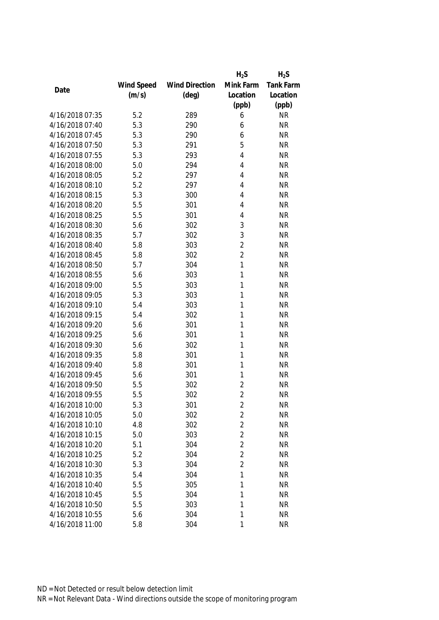|                 |            |                       | $H_2S$         | $H_2S$           |
|-----------------|------------|-----------------------|----------------|------------------|
|                 | Wind Speed | <b>Wind Direction</b> | Mink Farm      | <b>Tank Farm</b> |
| Date            | (m/s)      | $(\text{deg})$        | Location       | Location         |
|                 |            |                       | (ppb)          | (ppb)            |
| 4/16/2018 07:35 | 5.2        | 289                   | 6              | <b>NR</b>        |
| 4/16/2018 07:40 | 5.3        | 290                   | 6              | <b>NR</b>        |
| 4/16/2018 07:45 | 5.3        | 290                   | 6              | <b>NR</b>        |
| 4/16/2018 07:50 | 5.3        | 291                   | 5              | <b>NR</b>        |
| 4/16/2018 07:55 | 5.3        | 293                   | 4              | <b>NR</b>        |
| 4/16/2018 08:00 | 5.0        | 294                   | 4              | <b>NR</b>        |
| 4/16/2018 08:05 | 5.2        | 297                   | 4              | <b>NR</b>        |
| 4/16/2018 08:10 | 5.2        | 297                   | 4              | <b>NR</b>        |
| 4/16/2018 08:15 | 5.3        | 300                   | 4              | <b>NR</b>        |
| 4/16/2018 08:20 | 5.5        | 301                   | 4              | <b>NR</b>        |
| 4/16/2018 08:25 | 5.5        | 301                   | 4              | <b>NR</b>        |
| 4/16/2018 08:30 | 5.6        | 302                   | 3              | <b>NR</b>        |
| 4/16/2018 08:35 | 5.7        | 302                   | 3              | <b>NR</b>        |
| 4/16/2018 08:40 | 5.8        | 303                   | $\overline{2}$ | <b>NR</b>        |
| 4/16/2018 08:45 | 5.8        | 302                   | $\overline{2}$ | <b>NR</b>        |
| 4/16/2018 08:50 | 5.7        | 304                   | $\mathbf{1}$   | <b>NR</b>        |
| 4/16/2018 08:55 | 5.6        | 303                   | 1              | <b>NR</b>        |
| 4/16/2018 09:00 | 5.5        | 303                   | 1              | <b>NR</b>        |
| 4/16/2018 09:05 | 5.3        | 303                   | 1              | <b>NR</b>        |
| 4/16/2018 09:10 | 5.4        | 303                   | 1              | <b>NR</b>        |
| 4/16/2018 09:15 | 5.4        | 302                   | 1              | <b>NR</b>        |
| 4/16/2018 09:20 | 5.6        | 301                   | 1              | <b>NR</b>        |
| 4/16/2018 09:25 | 5.6        | 301                   | 1              | <b>NR</b>        |
| 4/16/2018 09:30 | 5.6        | 302                   | 1              | <b>NR</b>        |
| 4/16/2018 09:35 | 5.8        | 301                   | 1              | <b>NR</b>        |
| 4/16/2018 09:40 | 5.8        | 301                   | 1              | <b>NR</b>        |
| 4/16/2018 09:45 | 5.6        | 301                   | 1              | <b>NR</b>        |
| 4/16/2018 09:50 | 5.5        | 302                   | $\overline{2}$ | <b>NR</b>        |
| 4/16/2018 09:55 | 5.5        | 302                   | $\overline{2}$ | <b>NR</b>        |
| 4/16/2018 10:00 | 5.3        | 301                   | 2              | <b>NR</b>        |
| 4/16/2018 10:05 | 5.0        | 302                   | $\overline{2}$ | <b>NR</b>        |
| 4/16/2018 10:10 | 4.8        | 302                   | $\overline{2}$ | <b>NR</b>        |
| 4/16/2018 10:15 | 5.0        | 303                   | $\overline{2}$ | <b>NR</b>        |
| 4/16/2018 10:20 | 5.1        | 304                   | $\overline{2}$ | <b>NR</b>        |
| 4/16/2018 10:25 | 5.2        | 304                   | $\overline{2}$ | <b>NR</b>        |
| 4/16/2018 10:30 | 5.3        | 304                   | $\overline{2}$ | <b>NR</b>        |
| 4/16/2018 10:35 | 5.4        | 304                   | 1              | <b>NR</b>        |
| 4/16/2018 10:40 | 5.5        | 305                   | 1              | <b>NR</b>        |
| 4/16/2018 10:45 | 5.5        | 304                   | 1              | <b>NR</b>        |
| 4/16/2018 10:50 | 5.5        | 303                   | 1              | <b>NR</b>        |
| 4/16/2018 10:55 | 5.6        | 304                   | 1              | <b>NR</b>        |
| 4/16/2018 11:00 | 5.8        | 304                   | $\mathbf{1}$   | <b>NR</b>        |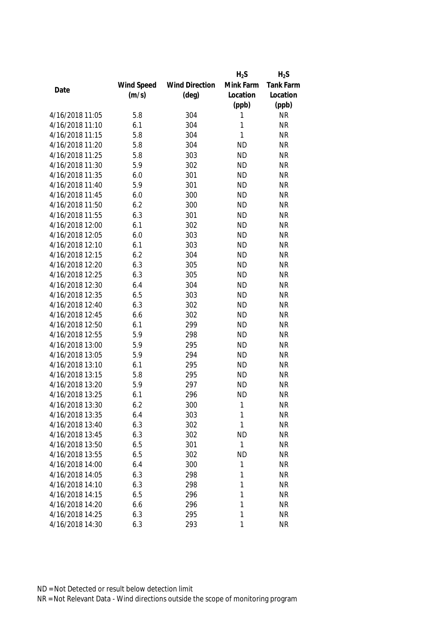|                 |            |                       | $H_2S$    | $H_2S$    |
|-----------------|------------|-----------------------|-----------|-----------|
|                 | Wind Speed | <b>Wind Direction</b> | Mink Farm | Tank Farm |
| Date            | (m/s)      | $(\text{deg})$        | Location  | Location  |
|                 |            |                       | (ppb)     | (ppb)     |
| 4/16/2018 11:05 | 5.8        | 304                   | 1         | <b>NR</b> |
| 4/16/2018 11:10 | 6.1        | 304                   | 1         | <b>NR</b> |
| 4/16/2018 11:15 | 5.8        | 304                   | 1         | <b>NR</b> |
| 4/16/2018 11:20 | 5.8        | 304                   | <b>ND</b> | <b>NR</b> |
| 4/16/2018 11:25 | 5.8        | 303                   | <b>ND</b> | <b>NR</b> |
| 4/16/2018 11:30 | 5.9        | 302                   | <b>ND</b> | <b>NR</b> |
| 4/16/2018 11:35 | 6.0        | 301                   | <b>ND</b> | <b>NR</b> |
| 4/16/2018 11:40 | 5.9        | 301                   | <b>ND</b> | <b>NR</b> |
| 4/16/2018 11:45 | 6.0        | 300                   | <b>ND</b> | <b>NR</b> |
| 4/16/2018 11:50 | 6.2        | 300                   | <b>ND</b> | <b>NR</b> |
| 4/16/2018 11:55 | 6.3        | 301                   | <b>ND</b> | <b>NR</b> |
| 4/16/2018 12:00 | 6.1        | 302                   | <b>ND</b> | <b>NR</b> |
| 4/16/2018 12:05 | 6.0        | 303                   | <b>ND</b> | <b>NR</b> |
| 4/16/2018 12:10 | 6.1        | 303                   | <b>ND</b> | <b>NR</b> |
| 4/16/2018 12:15 | 6.2        | 304                   | <b>ND</b> | <b>NR</b> |
| 4/16/2018 12:20 | 6.3        | 305                   | <b>ND</b> | <b>NR</b> |
| 4/16/2018 12:25 | 6.3        | 305                   | <b>ND</b> | <b>NR</b> |
| 4/16/2018 12:30 | 6.4        | 304                   | <b>ND</b> | <b>NR</b> |
| 4/16/2018 12:35 | 6.5        | 303                   | <b>ND</b> | <b>NR</b> |
| 4/16/2018 12:40 | 6.3        | 302                   | <b>ND</b> | <b>NR</b> |
| 4/16/2018 12:45 | 6.6        | 302                   | <b>ND</b> | <b>NR</b> |
| 4/16/2018 12:50 | 6.1        | 299                   | <b>ND</b> | <b>NR</b> |
| 4/16/2018 12:55 | 5.9        | 298                   | <b>ND</b> | <b>NR</b> |
| 4/16/2018 13:00 | 5.9        | 295                   | <b>ND</b> | <b>NR</b> |
| 4/16/2018 13:05 | 5.9        | 294                   | <b>ND</b> | <b>NR</b> |
| 4/16/2018 13:10 | 6.1        | 295                   | <b>ND</b> | <b>NR</b> |
| 4/16/2018 13:15 | 5.8        | 295                   | <b>ND</b> | <b>NR</b> |
| 4/16/2018 13:20 | 5.9        | 297                   | <b>ND</b> | <b>NR</b> |
| 4/16/2018 13:25 | 6.1        | 296                   | <b>ND</b> | <b>NR</b> |
| 4/16/2018 13:30 | 6.2        | 300                   | 1         | <b>NR</b> |
| 4/16/2018 13:35 | 6.4        | 303                   | 1         | <b>NR</b> |
| 4/16/2018 13:40 | 6.3        | 302                   | 1         | <b>NR</b> |
| 4/16/2018 13:45 | 6.3        | 302                   | <b>ND</b> | <b>NR</b> |
| 4/16/2018 13:50 | 6.5        | 301                   | 1         | <b>NR</b> |
| 4/16/2018 13:55 | 6.5        | 302                   | <b>ND</b> | <b>NR</b> |
| 4/16/2018 14:00 | 6.4        | 300                   | 1         | <b>NR</b> |
| 4/16/2018 14:05 | 6.3        | 298                   | 1         | <b>NR</b> |
| 4/16/2018 14:10 | 6.3        | 298                   | 1         | <b>NR</b> |
| 4/16/2018 14:15 | 6.5        | 296                   | 1         | <b>NR</b> |
| 4/16/2018 14:20 | 6.6        | 296                   | 1         | <b>NR</b> |
| 4/16/2018 14:25 | 6.3        | 295                   | 1         | <b>NR</b> |
| 4/16/2018 14:30 | 6.3        | 293                   | 1         | <b>NR</b> |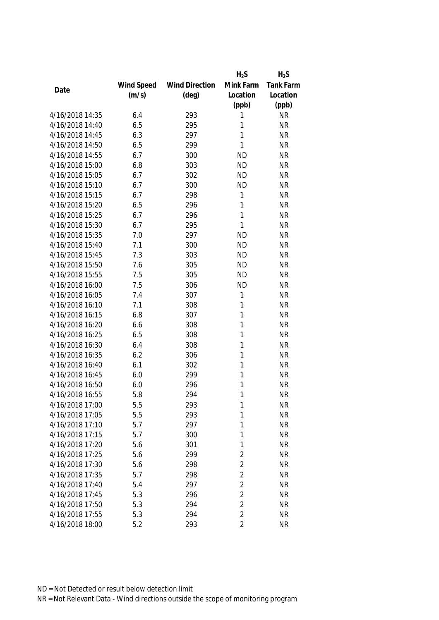|                 |            |                       | $H_2S$         | $H_2S$    |
|-----------------|------------|-----------------------|----------------|-----------|
|                 | Wind Speed | <b>Wind Direction</b> | Mink Farm      | Tank Farm |
| Date            | (m/s)      | $(\text{deg})$        | Location       | Location  |
|                 |            |                       | (ppb)          | (ppb)     |
| 4/16/2018 14:35 | 6.4        | 293                   | 1              | <b>NR</b> |
| 4/16/2018 14:40 | 6.5        | 295                   | 1              | <b>NR</b> |
| 4/16/2018 14:45 | 6.3        | 297                   | 1              | <b>NR</b> |
| 4/16/2018 14:50 | 6.5        | 299                   | 1              | <b>NR</b> |
| 4/16/2018 14:55 | 6.7        | 300                   | <b>ND</b>      | <b>NR</b> |
| 4/16/2018 15:00 | 6.8        | 303                   | <b>ND</b>      | <b>NR</b> |
| 4/16/2018 15:05 | 6.7        | 302                   | <b>ND</b>      | <b>NR</b> |
| 4/16/2018 15:10 | 6.7        | 300                   | <b>ND</b>      | <b>NR</b> |
| 4/16/2018 15:15 | 6.7        | 298                   | 1              | <b>NR</b> |
| 4/16/2018 15:20 | 6.5        | 296                   | 1              | <b>NR</b> |
| 4/16/2018 15:25 | 6.7        | 296                   | 1              | <b>NR</b> |
| 4/16/2018 15:30 | 6.7        | 295                   | 1              | <b>NR</b> |
| 4/16/2018 15:35 | 7.0        | 297                   | <b>ND</b>      | <b>NR</b> |
| 4/16/2018 15:40 | 7.1        | 300                   | <b>ND</b>      | <b>NR</b> |
| 4/16/2018 15:45 | 7.3        | 303                   | <b>ND</b>      | <b>NR</b> |
| 4/16/2018 15:50 | 7.6        | 305                   | <b>ND</b>      | <b>NR</b> |
| 4/16/2018 15:55 | 7.5        | 305                   | <b>ND</b>      | <b>NR</b> |
| 4/16/2018 16:00 | 7.5        | 306                   | <b>ND</b>      | <b>NR</b> |
| 4/16/2018 16:05 | 7.4        | 307                   | 1              | <b>NR</b> |
| 4/16/2018 16:10 | 7.1        | 308                   | 1              | <b>NR</b> |
| 4/16/2018 16:15 | 6.8        | 307                   | 1              | <b>NR</b> |
| 4/16/2018 16:20 | 6.6        | 308                   | 1              | <b>NR</b> |
| 4/16/2018 16:25 | 6.5        | 308                   | 1              | <b>NR</b> |
| 4/16/2018 16:30 | 6.4        | 308                   | 1              | <b>NR</b> |
| 4/16/2018 16:35 | 6.2        | 306                   | 1              | <b>NR</b> |
| 4/16/2018 16:40 | 6.1        | 302                   | 1              | <b>NR</b> |
| 4/16/2018 16:45 | 6.0        | 299                   | 1              | <b>NR</b> |
| 4/16/2018 16:50 | 6.0        | 296                   | 1              | <b>NR</b> |
| 4/16/2018 16:55 | 5.8        | 294                   | 1              | <b>NR</b> |
| 4/16/2018 17:00 | 5.5        | 293                   | 1              | <b>NR</b> |
| 4/16/2018 17:05 | 5.5        | 293                   | 1              | <b>NR</b> |
| 4/16/2018 17:10 | 5.7        | 297                   | 1              | <b>NR</b> |
| 4/16/2018 17:15 | 5.7        | 300                   | 1              | <b>NR</b> |
| 4/16/2018 17:20 | 5.6        | 301                   | 1              | <b>NR</b> |
| 4/16/2018 17:25 | 5.6        | 299                   | $\overline{2}$ | <b>NR</b> |
| 4/16/2018 17:30 | 5.6        | 298                   | $\overline{2}$ | <b>NR</b> |
| 4/16/2018 17:35 | 5.7        | 298                   | $\overline{2}$ | <b>NR</b> |
| 4/16/2018 17:40 | 5.4        | 297                   | $\overline{2}$ | <b>NR</b> |
| 4/16/2018 17:45 | 5.3        | 296                   | $\overline{2}$ | <b>NR</b> |
| 4/16/2018 17:50 | 5.3        | 294                   | $\overline{2}$ | <b>NR</b> |
| 4/16/2018 17:55 | 5.3        | 294                   | $\overline{2}$ | <b>NR</b> |
|                 |            |                       | 2              |           |
| 4/16/2018 18:00 | 5.2        | 293                   |                | <b>NR</b> |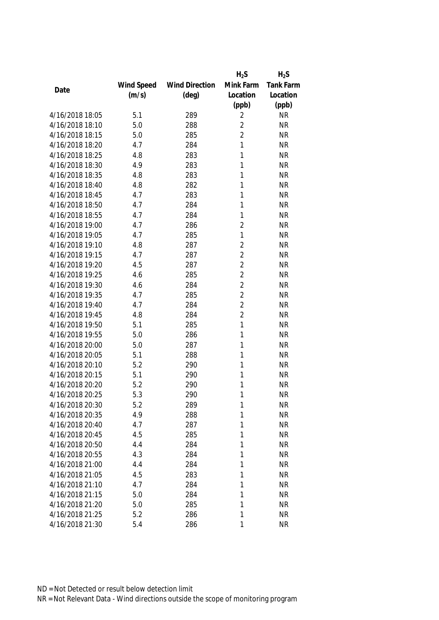|                 |            |                       | $H_2S$         | $H_2S$    |
|-----------------|------------|-----------------------|----------------|-----------|
|                 | Wind Speed | <b>Wind Direction</b> | Mink Farm      | Tank Farm |
| Date            | (m/s)      | $(\text{deg})$        | Location       | Location  |
|                 |            |                       | (ppb)          | (ppb)     |
| 4/16/2018 18:05 | 5.1        | 289                   | 2              | <b>NR</b> |
| 4/16/2018 18:10 | 5.0        | 288                   | $\overline{2}$ | <b>NR</b> |
| 4/16/2018 18:15 | 5.0        | 285                   | $\overline{2}$ | <b>NR</b> |
| 4/16/2018 18:20 | 4.7        | 284                   | 1              | <b>NR</b> |
| 4/16/2018 18:25 | 4.8        | 283                   | 1              | <b>NR</b> |
| 4/16/2018 18:30 | 4.9        | 283                   | 1              | <b>NR</b> |
| 4/16/2018 18:35 | 4.8        | 283                   | 1              | <b>NR</b> |
| 4/16/2018 18:40 | 4.8        | 282                   | 1              | <b>NR</b> |
| 4/16/2018 18:45 | 4.7        | 283                   | 1              | <b>NR</b> |
| 4/16/2018 18:50 | 4.7        | 284                   | 1              | <b>NR</b> |
| 4/16/2018 18:55 | 4.7        | 284                   | 1              | <b>NR</b> |
| 4/16/2018 19:00 | 4.7        | 286                   | $\overline{2}$ | <b>NR</b> |
| 4/16/2018 19:05 | 4.7        | 285                   | 1              | <b>NR</b> |
| 4/16/2018 19:10 | 4.8        | 287                   | $\overline{2}$ | <b>NR</b> |
| 4/16/2018 19:15 | 4.7        | 287                   | $\overline{2}$ | <b>NR</b> |
| 4/16/2018 19:20 | 4.5        | 287                   | $\overline{2}$ | <b>NR</b> |
| 4/16/2018 19:25 | 4.6        | 285                   | $\overline{2}$ | <b>NR</b> |
| 4/16/2018 19:30 | 4.6        | 284                   | $\overline{2}$ | <b>NR</b> |
| 4/16/2018 19:35 | 4.7        | 285                   | $\overline{2}$ | <b>NR</b> |
| 4/16/2018 19:40 | 4.7        | 284                   | $\overline{2}$ | <b>NR</b> |
| 4/16/2018 19:45 | 4.8        | 284                   | $\overline{2}$ | <b>NR</b> |
| 4/16/2018 19:50 | 5.1        | 285                   | 1              | <b>NR</b> |
| 4/16/2018 19:55 | 5.0        | 286                   | 1              | <b>NR</b> |
| 4/16/2018 20:00 | 5.0        | 287                   | 1              | <b>NR</b> |
| 4/16/2018 20:05 | 5.1        | 288                   | 1              | <b>NR</b> |
| 4/16/2018 20:10 | 5.2        | 290                   | 1              | <b>NR</b> |
| 4/16/2018 20:15 | 5.1        | 290                   | 1              | <b>NR</b> |
| 4/16/2018 20:20 | 5.2        | 290                   | 1              | <b>NR</b> |
| 4/16/2018 20:25 | 5.3        | 290                   | 1              | <b>NR</b> |
| 4/16/2018 20:30 | 5.2        | 289                   | 1              | <b>NR</b> |
| 4/16/2018 20:35 | 4.9        | 288                   | 1              | <b>NR</b> |
| 4/16/2018 20:40 | 4.7        | 287                   | 1              | <b>NR</b> |
| 4/16/2018 20:45 | 4.5        | 285                   | 1              | <b>NR</b> |
| 4/16/2018 20:50 | 4.4        | 284                   | 1              | <b>NR</b> |
| 4/16/2018 20:55 | 4.3        | 284                   | 1              | <b>NR</b> |
| 4/16/2018 21:00 | 4.4        | 284                   | 1              | <b>NR</b> |
| 4/16/2018 21:05 | 4.5        | 283                   | 1              | <b>NR</b> |
| 4/16/2018 21:10 | 4.7        | 284                   | 1              | <b>NR</b> |
| 4/16/2018 21:15 | 5.0        | 284                   | 1              | <b>NR</b> |
| 4/16/2018 21:20 | 5.0        | 285                   | 1              | <b>NR</b> |
| 4/16/2018 21:25 | 5.2        | 286                   | 1              | <b>NR</b> |
| 4/16/2018 21:30 | 5.4        | 286                   | 1              | <b>NR</b> |
|                 |            |                       |                |           |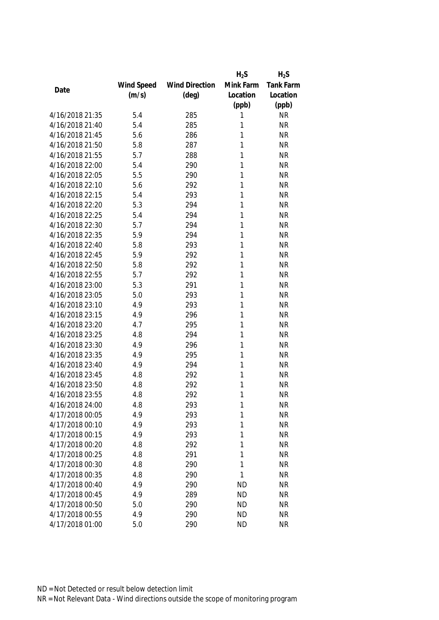|                 |            |                       | $H_2S$    | $H_2S$    |
|-----------------|------------|-----------------------|-----------|-----------|
|                 | Wind Speed | <b>Wind Direction</b> | Mink Farm | Tank Farm |
| Date            | (m/s)      | $(\text{deg})$        | Location  | Location  |
|                 |            |                       | (ppb)     | (ppb)     |
| 4/16/2018 21:35 | 5.4        | 285                   | 1         | <b>NR</b> |
| 4/16/2018 21:40 | 5.4        | 285                   | 1         | <b>NR</b> |
| 4/16/2018 21:45 | 5.6        | 286                   | 1         | <b>NR</b> |
| 4/16/2018 21:50 | 5.8        | 287                   | 1         | <b>NR</b> |
| 4/16/2018 21:55 | 5.7        | 288                   | 1         | <b>NR</b> |
| 4/16/2018 22:00 | 5.4        | 290                   | 1         | <b>NR</b> |
| 4/16/2018 22:05 | 5.5        | 290                   | 1         | <b>NR</b> |
| 4/16/2018 22:10 | 5.6        | 292                   | 1         | <b>NR</b> |
| 4/16/2018 22:15 | 5.4        | 293                   | 1         | <b>NR</b> |
| 4/16/2018 22:20 | 5.3        | 294                   | 1         | <b>NR</b> |
| 4/16/2018 22:25 | 5.4        | 294                   | 1         | <b>NR</b> |
| 4/16/2018 22:30 | 5.7        | 294                   | 1         | <b>NR</b> |
| 4/16/2018 22:35 | 5.9        | 294                   | 1         | <b>NR</b> |
| 4/16/2018 22:40 | 5.8        | 293                   | 1         | <b>NR</b> |
| 4/16/2018 22:45 | 5.9        | 292                   | 1         | <b>NR</b> |
| 4/16/2018 22:50 | 5.8        | 292                   | 1         | <b>NR</b> |
| 4/16/2018 22:55 | 5.7        | 292                   | 1         | <b>NR</b> |
| 4/16/2018 23:00 | 5.3        | 291                   | 1         | <b>NR</b> |
| 4/16/2018 23:05 | 5.0        | 293                   | 1         | <b>NR</b> |
| 4/16/2018 23:10 | 4.9        | 293                   | 1         | <b>NR</b> |
| 4/16/2018 23:15 | 4.9        | 296                   | 1         | <b>NR</b> |
| 4/16/2018 23:20 | 4.7        | 295                   | 1         | <b>NR</b> |
| 4/16/2018 23:25 | 4.8        | 294                   | 1         | <b>NR</b> |
| 4/16/2018 23:30 | 4.9        | 296                   | 1         | <b>NR</b> |
| 4/16/2018 23:35 | 4.9        | 295                   | 1         | <b>NR</b> |
| 4/16/2018 23:40 | 4.9        | 294                   | 1         | <b>NR</b> |
| 4/16/2018 23:45 | 4.8        | 292                   | 1         | <b>NR</b> |
| 4/16/2018 23:50 | 4.8        | 292                   | 1         | <b>NR</b> |
| 4/16/2018 23:55 | 4.8        | 292                   | 1         | <b>NR</b> |
| 4/16/2018 24:00 | 4.8        | 293                   | 1         | <b>NR</b> |
| 4/17/2018 00:05 | 4.9        | 293                   | 1         | <b>NR</b> |
| 4/17/2018 00:10 | 4.9        | 293                   | 1         | <b>NR</b> |
| 4/17/2018 00:15 | 4.9        | 293                   | 1         | <b>NR</b> |
| 4/17/2018 00:20 | 4.8        | 292                   | 1         | <b>NR</b> |
| 4/17/2018 00:25 | 4.8        | 291                   | 1         | <b>NR</b> |
| 4/17/2018 00:30 | 4.8        | 290                   | 1         | <b>NR</b> |
| 4/17/2018 00:35 | 4.8        | 290                   | 1         | <b>NR</b> |
| 4/17/2018 00:40 | 4.9        | 290                   | <b>ND</b> | <b>NR</b> |
| 4/17/2018 00:45 | 4.9        | 289                   | <b>ND</b> | <b>NR</b> |
| 4/17/2018 00:50 | 5.0        | 290                   | <b>ND</b> | <b>NR</b> |
| 4/17/2018 00:55 | 4.9        | 290                   | <b>ND</b> | <b>NR</b> |
|                 |            |                       |           |           |
| 4/17/2018 01:00 | 5.0        | 290                   | <b>ND</b> | <b>NR</b> |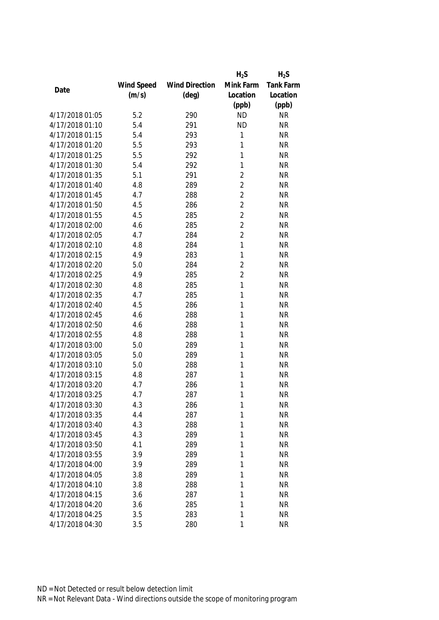|                 |            |                       | $H_2S$         | $H_2S$    |
|-----------------|------------|-----------------------|----------------|-----------|
|                 | Wind Speed | <b>Wind Direction</b> | Mink Farm      | Tank Farm |
| Date            | (m/s)      | $(\text{deg})$        | Location       | Location  |
|                 |            |                       | (ppb)          | (ppb)     |
| 4/17/2018 01:05 | 5.2        | 290                   | <b>ND</b>      | <b>NR</b> |
| 4/17/2018 01:10 | 5.4        | 291                   | <b>ND</b>      | <b>NR</b> |
| 4/17/2018 01:15 | 5.4        | 293                   | 1              | <b>NR</b> |
| 4/17/2018 01:20 | 5.5        | 293                   | 1              | <b>NR</b> |
| 4/17/2018 01:25 | 5.5        | 292                   | 1              | <b>NR</b> |
| 4/17/2018 01:30 | 5.4        | 292                   | 1              | <b>NR</b> |
| 4/17/2018 01:35 | 5.1        | 291                   | $\overline{2}$ | <b>NR</b> |
| 4/17/2018 01:40 | 4.8        | 289                   | $\overline{2}$ | <b>NR</b> |
| 4/17/2018 01:45 | 4.7        | 288                   | $\overline{2}$ | <b>NR</b> |
| 4/17/2018 01:50 | 4.5        | 286                   | $\overline{2}$ | <b>NR</b> |
| 4/17/2018 01:55 | 4.5        | 285                   | $\overline{2}$ | <b>NR</b> |
| 4/17/2018 02:00 | 4.6        | 285                   | $\overline{2}$ | <b>NR</b> |
| 4/17/2018 02:05 | 4.7        | 284                   | $\overline{2}$ | <b>NR</b> |
| 4/17/2018 02:10 | 4.8        | 284                   | 1              | <b>NR</b> |
| 4/17/2018 02:15 | 4.9        | 283                   | 1              | <b>NR</b> |
| 4/17/2018 02:20 | 5.0        | 284                   | $\overline{2}$ | <b>NR</b> |
| 4/17/2018 02:25 | 4.9        | 285                   | $\overline{2}$ | <b>NR</b> |
| 4/17/2018 02:30 | 4.8        | 285                   | 1              | <b>NR</b> |
| 4/17/2018 02:35 | 4.7        | 285                   | 1              | <b>NR</b> |
| 4/17/2018 02:40 | 4.5        | 286                   | 1              | <b>NR</b> |
| 4/17/2018 02:45 | 4.6        | 288                   | 1              | <b>NR</b> |
| 4/17/2018 02:50 | 4.6        | 288                   | 1              | <b>NR</b> |
| 4/17/2018 02:55 | 4.8        | 288                   | 1              | <b>NR</b> |
| 4/17/2018 03:00 | 5.0        | 289                   | 1              | <b>NR</b> |
| 4/17/2018 03:05 | 5.0        | 289                   | 1              | <b>NR</b> |
| 4/17/2018 03:10 | 5.0        | 288                   | 1              | <b>NR</b> |
| 4/17/2018 03:15 | 4.8        | 287                   | 1              | <b>NR</b> |
| 4/17/2018 03:20 | 4.7        | 286                   | 1              | <b>NR</b> |
| 4/17/2018 03:25 | 4.7        | 287                   | 1              | <b>NR</b> |
| 4/17/2018 03:30 | 4.3        | 286                   | 1              | <b>NR</b> |
| 4/17/2018 03:35 | 4.4        | 287                   | 1              | <b>NR</b> |
| 4/17/2018 03:40 | 4.3        | 288                   | 1              | <b>NR</b> |
| 4/17/2018 03:45 | 4.3        | 289                   | 1              | <b>NR</b> |
| 4/17/2018 03:50 | 4.1        | 289                   | 1              | <b>NR</b> |
| 4/17/2018 03:55 | 3.9        | 289                   | 1              | <b>NR</b> |
| 4/17/2018 04:00 | 3.9        | 289                   | 1              | <b>NR</b> |
| 4/17/2018 04:05 | 3.8        | 289                   | 1              | <b>NR</b> |
| 4/17/2018 04:10 | 3.8        | 288                   | 1              | <b>NR</b> |
| 4/17/2018 04:15 | 3.6        | 287                   | 1              | <b>NR</b> |
| 4/17/2018 04:20 | 3.6        | 285                   | 1              | <b>NR</b> |
| 4/17/2018 04:25 | 3.5        | 283                   | 1              | <b>NR</b> |
| 4/17/2018 04:30 | 3.5        | 280                   | 1              | <b>NR</b> |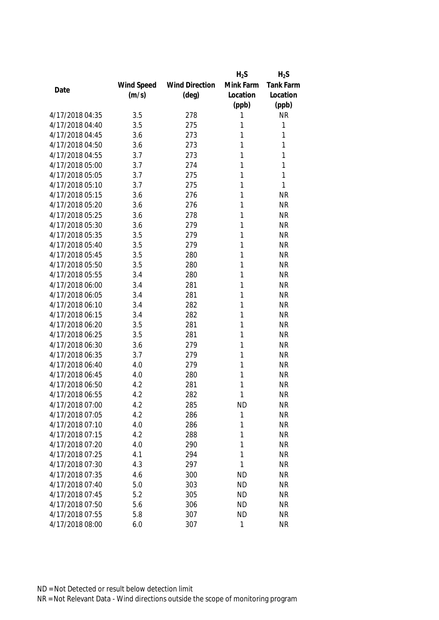|                 |            |                       | $H_2S$    | $H_2S$           |
|-----------------|------------|-----------------------|-----------|------------------|
|                 | Wind Speed | <b>Wind Direction</b> | Mink Farm | <b>Tank Farm</b> |
| Date            | (m/s)      | $(\text{deg})$        | Location  | Location         |
|                 |            |                       | (ppb)     | (ppb)            |
| 4/17/2018 04:35 | 3.5        | 278                   | 1         | <b>NR</b>        |
| 4/17/2018 04:40 | 3.5        | 275                   | 1         | 1                |
| 4/17/2018 04:45 | 3.6        | 273                   | 1         | 1                |
| 4/17/2018 04:50 | 3.6        | 273                   | 1         | 1                |
| 4/17/2018 04:55 | 3.7        | 273                   | 1         | 1                |
| 4/17/2018 05:00 | 3.7        | 274                   | 1         | 1                |
| 4/17/2018 05:05 | 3.7        | 275                   | 1         | 1                |
| 4/17/2018 05:10 | 3.7        | 275                   | 1         | 1                |
| 4/17/2018 05:15 | 3.6        | 276                   | 1         | <b>NR</b>        |
| 4/17/2018 05:20 | 3.6        | 276                   | 1         | <b>NR</b>        |
| 4/17/2018 05:25 | 3.6        | 278                   | 1         | <b>NR</b>        |
| 4/17/2018 05:30 | 3.6        | 279                   | 1         | <b>NR</b>        |
| 4/17/2018 05:35 | 3.5        | 279                   | 1         | <b>NR</b>        |
| 4/17/2018 05:40 | 3.5        | 279                   | 1         | <b>NR</b>        |
| 4/17/2018 05:45 | 3.5        | 280                   | 1         | <b>NR</b>        |
| 4/17/2018 05:50 | 3.5        | 280                   | 1         | <b>NR</b>        |
| 4/17/2018 05:55 | 3.4        | 280                   | 1         | <b>NR</b>        |
| 4/17/2018 06:00 | 3.4        | 281                   | 1         | <b>NR</b>        |
| 4/17/2018 06:05 | 3.4        | 281                   | 1         | <b>NR</b>        |
| 4/17/2018 06:10 | 3.4        | 282                   | 1         | <b>NR</b>        |
| 4/17/2018 06:15 | 3.4        | 282                   | 1         | <b>NR</b>        |
| 4/17/2018 06:20 | 3.5        | 281                   | 1         | <b>NR</b>        |
| 4/17/2018 06:25 | 3.5        | 281                   | 1         | <b>NR</b>        |
| 4/17/2018 06:30 | 3.6        | 279                   | 1         | <b>NR</b>        |
| 4/17/2018 06:35 | 3.7        | 279                   | 1         | <b>NR</b>        |
| 4/17/2018 06:40 | 4.0        | 279                   | 1         | <b>NR</b>        |
| 4/17/2018 06:45 | 4.0        | 280                   | 1         | <b>NR</b>        |
| 4/17/2018 06:50 | 4.2        | 281                   | 1         | <b>NR</b>        |
| 4/17/2018 06:55 | 4.2        | 282                   | 1         | <b>NR</b>        |
| 4/17/2018 07:00 | 4.2        | 285                   | <b>ND</b> | <b>NR</b>        |
| 4/17/2018 07:05 | 4.2        | 286                   | 1         | <b>NR</b>        |
| 4/17/2018 07:10 | 4.0        | 286                   | 1         | <b>NR</b>        |
| 4/17/2018 07:15 | 4.2        | 288                   | 1         | <b>NR</b>        |
| 4/17/2018 07:20 | 4.0        | 290                   | 1         | <b>NR</b>        |
| 4/17/2018 07:25 | 4.1        | 294                   | 1         | <b>NR</b>        |
| 4/17/2018 07:30 | 4.3        | 297                   | 1         | <b>NR</b>        |
| 4/17/2018 07:35 | 4.6        | 300                   | <b>ND</b> | <b>NR</b>        |
| 4/17/2018 07:40 | 5.0        | 303                   | <b>ND</b> | <b>NR</b>        |
| 4/17/2018 07:45 | 5.2        | 305                   | <b>ND</b> | <b>NR</b>        |
| 4/17/2018 07:50 | 5.6        | 306                   | <b>ND</b> | <b>NR</b>        |
| 4/17/2018 07:55 | 5.8        | 307                   | <b>ND</b> | <b>NR</b>        |
| 4/17/2018 08:00 | 6.0        | 307                   | 1         | <b>NR</b>        |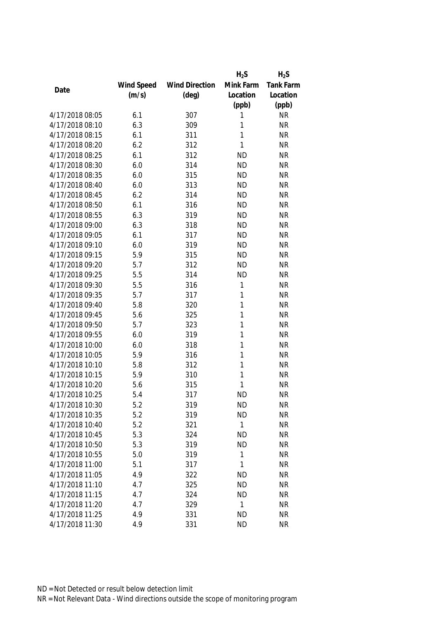|                 |            |                       | $H_2S$    | $H_2S$    |
|-----------------|------------|-----------------------|-----------|-----------|
|                 | Wind Speed | <b>Wind Direction</b> | Mink Farm | Tank Farm |
| Date            | (m/s)      | $(\text{deg})$        | Location  | Location  |
|                 |            |                       | (ppb)     | (ppb)     |
| 4/17/2018 08:05 | 6.1        | 307                   | 1         | <b>NR</b> |
| 4/17/2018 08:10 | 6.3        | 309                   | 1         | <b>NR</b> |
| 4/17/2018 08:15 | 6.1        | 311                   | 1         | <b>NR</b> |
| 4/17/2018 08:20 | 6.2        | 312                   | 1         | <b>NR</b> |
| 4/17/2018 08:25 | 6.1        | 312                   | <b>ND</b> | <b>NR</b> |
| 4/17/2018 08:30 | 6.0        | 314                   | <b>ND</b> | <b>NR</b> |
| 4/17/2018 08:35 | 6.0        | 315                   | <b>ND</b> | <b>NR</b> |
| 4/17/2018 08:40 | 6.0        | 313                   | <b>ND</b> | <b>NR</b> |
| 4/17/2018 08:45 | 6.2        | 314                   | <b>ND</b> | <b>NR</b> |
| 4/17/2018 08:50 | 6.1        | 316                   | <b>ND</b> | <b>NR</b> |
| 4/17/2018 08:55 | 6.3        | 319                   | <b>ND</b> | <b>NR</b> |
| 4/17/2018 09:00 | 6.3        | 318                   | <b>ND</b> | <b>NR</b> |
| 4/17/2018 09:05 | 6.1        | 317                   | <b>ND</b> | <b>NR</b> |
| 4/17/2018 09:10 | 6.0        | 319                   | <b>ND</b> | <b>NR</b> |
| 4/17/2018 09:15 | 5.9        | 315                   | <b>ND</b> | <b>NR</b> |
| 4/17/2018 09:20 | 5.7        | 312                   | <b>ND</b> | <b>NR</b> |
| 4/17/2018 09:25 | 5.5        | 314                   | <b>ND</b> | <b>NR</b> |
| 4/17/2018 09:30 | 5.5        | 316                   | 1         | <b>NR</b> |
| 4/17/2018 09:35 | 5.7        | 317                   | 1         | <b>NR</b> |
| 4/17/2018 09:40 | 5.8        | 320                   | 1         | <b>NR</b> |
| 4/17/2018 09:45 | 5.6        | 325                   | 1         | <b>NR</b> |
| 4/17/2018 09:50 | 5.7        | 323                   | 1         | <b>NR</b> |
| 4/17/2018 09:55 | 6.0        | 319                   | 1         | <b>NR</b> |
| 4/17/2018 10:00 | 6.0        | 318                   | 1         | <b>NR</b> |
| 4/17/2018 10:05 | 5.9        | 316                   | 1         | <b>NR</b> |
| 4/17/2018 10:10 | 5.8        | 312                   | 1         | <b>NR</b> |
| 4/17/2018 10:15 | 5.9        | 310                   | 1         | <b>NR</b> |
| 4/17/2018 10:20 | 5.6        | 315                   | 1         | <b>NR</b> |
| 4/17/2018 10:25 | 5.4        | 317                   | <b>ND</b> | <b>NR</b> |
| 4/17/2018 10:30 | 5.2        | 319                   | <b>ND</b> | <b>NR</b> |
| 4/17/2018 10:35 | 5.2        | 319                   | <b>ND</b> | <b>NR</b> |
| 4/17/2018 10:40 | 5.2        | 321                   | 1         | <b>NR</b> |
| 4/17/2018 10:45 | 5.3        | 324                   | <b>ND</b> | <b>NR</b> |
| 4/17/2018 10:50 | 5.3        | 319                   | <b>ND</b> | <b>NR</b> |
| 4/17/2018 10:55 | 5.0        | 319                   | 1         | <b>NR</b> |
| 4/17/2018 11:00 | 5.1        | 317                   | 1         | <b>NR</b> |
| 4/17/2018 11:05 | 4.9        | 322                   | <b>ND</b> | <b>NR</b> |
| 4/17/2018 11:10 | 4.7        | 325                   | <b>ND</b> | <b>NR</b> |
| 4/17/2018 11:15 | 4.7        | 324                   | <b>ND</b> | <b>NR</b> |
| 4/17/2018 11:20 | 4.7        | 329                   | 1         | <b>NR</b> |
| 4/17/2018 11:25 | 4.9        | 331                   | <b>ND</b> | <b>NR</b> |
| 4/17/2018 11:30 | 4.9        | 331                   | <b>ND</b> | <b>NR</b> |
|                 |            |                       |           |           |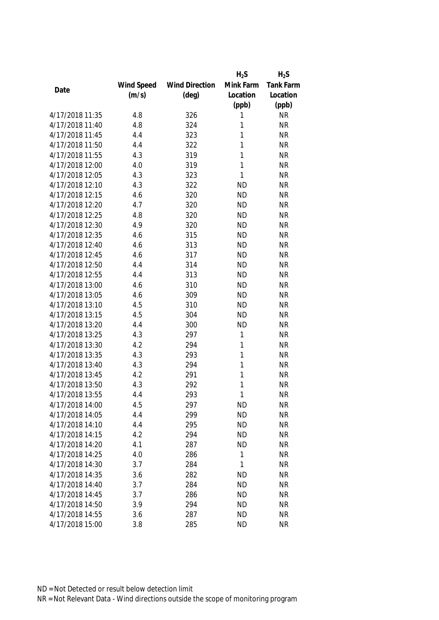|                 |            |                       | $H_2S$       | $H_2S$    |
|-----------------|------------|-----------------------|--------------|-----------|
|                 | Wind Speed | <b>Wind Direction</b> | Mink Farm    | Tank Farm |
| Date            | (m/s)      | $(\text{deg})$        | Location     | Location  |
|                 |            |                       | (ppb)        | (ppb)     |
| 4/17/2018 11:35 | 4.8        | 326                   | 1            | <b>NR</b> |
| 4/17/2018 11:40 | 4.8        | 324                   | 1            | <b>NR</b> |
| 4/17/2018 11:45 | 4.4        | 323                   | 1            | <b>NR</b> |
| 4/17/2018 11:50 | 4.4        | 322                   | 1            | <b>NR</b> |
| 4/17/2018 11:55 | 4.3        | 319                   | 1            | <b>NR</b> |
| 4/17/2018 12:00 | 4.0        | 319                   | 1            | <b>NR</b> |
| 4/17/2018 12:05 | 4.3        | 323                   | $\mathbf{1}$ | <b>NR</b> |
| 4/17/2018 12:10 | 4.3        | 322                   | <b>ND</b>    | <b>NR</b> |
| 4/17/2018 12:15 | 4.6        | 320                   | <b>ND</b>    | <b>NR</b> |
| 4/17/2018 12:20 | 4.7        | 320                   | <b>ND</b>    | <b>NR</b> |
| 4/17/2018 12:25 | 4.8        | 320                   | <b>ND</b>    | <b>NR</b> |
| 4/17/2018 12:30 | 4.9        | 320                   | <b>ND</b>    | <b>NR</b> |
| 4/17/2018 12:35 | 4.6        | 315                   | <b>ND</b>    | <b>NR</b> |
| 4/17/2018 12:40 | 4.6        | 313                   | <b>ND</b>    | <b>NR</b> |
| 4/17/2018 12:45 | 4.6        | 317                   | <b>ND</b>    | <b>NR</b> |
| 4/17/2018 12:50 | 4.4        | 314                   | <b>ND</b>    | <b>NR</b> |
| 4/17/2018 12:55 | 4.4        | 313                   | <b>ND</b>    | <b>NR</b> |
| 4/17/2018 13:00 | 4.6        | 310                   | <b>ND</b>    | <b>NR</b> |
| 4/17/2018 13:05 | 4.6        | 309                   | <b>ND</b>    | <b>NR</b> |
| 4/17/2018 13:10 | 4.5        | 310                   | <b>ND</b>    | <b>NR</b> |
| 4/17/2018 13:15 | 4.5        | 304                   | <b>ND</b>    | <b>NR</b> |
| 4/17/2018 13:20 | 4.4        | 300                   | <b>ND</b>    | <b>NR</b> |
| 4/17/2018 13:25 | 4.3        | 297                   | $\mathbf{1}$ | <b>NR</b> |
| 4/17/2018 13:30 | 4.2        | 294                   | 1            | <b>NR</b> |
| 4/17/2018 13:35 | 4.3        | 293                   | 1            | <b>NR</b> |
| 4/17/2018 13:40 | 4.3        | 294                   | 1            | <b>NR</b> |
| 4/17/2018 13:45 | 4.2        | 291                   | 1            | <b>NR</b> |
| 4/17/2018 13:50 | 4.3        | 292                   | 1            | <b>NR</b> |
| 4/17/2018 13:55 | 4.4        | 293                   | 1            | <b>NR</b> |
| 4/17/2018 14:00 | 4.5        | 297                   | <b>ND</b>    | <b>NR</b> |
| 4/17/2018 14:05 | 4.4        | 299                   | <b>ND</b>    | <b>NR</b> |
| 4/17/2018 14:10 | 4.4        | 295                   | <b>ND</b>    | <b>NR</b> |
| 4/17/2018 14:15 | 4.2        | 294                   | <b>ND</b>    | <b>NR</b> |
| 4/17/2018 14:20 | 4.1        | 287                   | <b>ND</b>    | <b>NR</b> |
| 4/17/2018 14:25 | 4.0        | 286                   | 1            | <b>NR</b> |
| 4/17/2018 14:30 | 3.7        | 284                   | 1            | <b>NR</b> |
| 4/17/2018 14:35 | 3.6        | 282                   | <b>ND</b>    | <b>NR</b> |
| 4/17/2018 14:40 | 3.7        | 284                   | <b>ND</b>    | <b>NR</b> |
| 4/17/2018 14:45 | 3.7        | 286                   | <b>ND</b>    | <b>NR</b> |
| 4/17/2018 14:50 | 3.9        | 294                   | <b>ND</b>    | <b>NR</b> |
| 4/17/2018 14:55 | 3.6        | 287                   | <b>ND</b>    | <b>NR</b> |
| 4/17/2018 15:00 | 3.8        | 285                   | <b>ND</b>    | <b>NR</b> |
|                 |            |                       |              |           |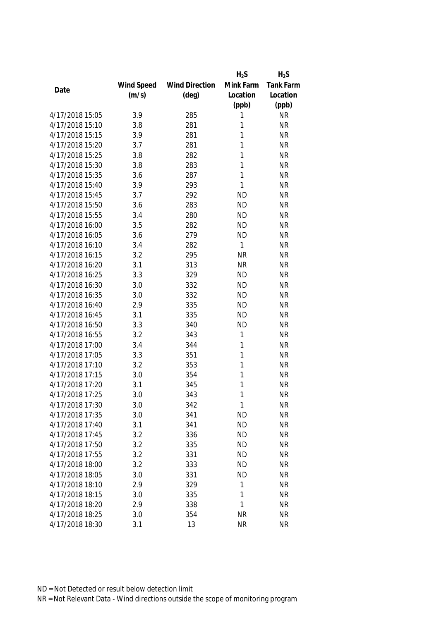|                 |            |                       | $H_2S$       | $H_2S$           |
|-----------------|------------|-----------------------|--------------|------------------|
|                 | Wind Speed | <b>Wind Direction</b> | Mink Farm    | <b>Tank Farm</b> |
| Date            | (m/s)      | $(\text{deg})$        | Location     | Location         |
|                 |            |                       | (ppb)        | (ppb)            |
| 4/17/2018 15:05 | 3.9        | 285                   | 1            | <b>NR</b>        |
| 4/17/2018 15:10 | 3.8        | 281                   | 1            | <b>NR</b>        |
| 4/17/2018 15:15 | 3.9        | 281                   | 1            | <b>NR</b>        |
| 4/17/2018 15:20 | 3.7        | 281                   | 1            | <b>NR</b>        |
| 4/17/2018 15:25 | 3.8        | 282                   | 1            | <b>NR</b>        |
| 4/17/2018 15:30 | 3.8        | 283                   | 1            | <b>NR</b>        |
| 4/17/2018 15:35 | 3.6        | 287                   | 1            | <b>NR</b>        |
| 4/17/2018 15:40 | 3.9        | 293                   | 1            | <b>NR</b>        |
| 4/17/2018 15:45 | 3.7        | 292                   | <b>ND</b>    | <b>NR</b>        |
| 4/17/2018 15:50 | 3.6        | 283                   | <b>ND</b>    | <b>NR</b>        |
| 4/17/2018 15:55 | 3.4        | 280                   | <b>ND</b>    | <b>NR</b>        |
| 4/17/2018 16:00 | 3.5        | 282                   | <b>ND</b>    | <b>NR</b>        |
| 4/17/2018 16:05 | 3.6        | 279                   | <b>ND</b>    | <b>NR</b>        |
| 4/17/2018 16:10 | 3.4        | 282                   | $\mathbf{1}$ | <b>NR</b>        |
| 4/17/2018 16:15 | 3.2        | 295                   | <b>NR</b>    | <b>NR</b>        |
| 4/17/2018 16:20 | 3.1        | 313                   | <b>NR</b>    | <b>NR</b>        |
| 4/17/2018 16:25 | 3.3        | 329                   | <b>ND</b>    | <b>NR</b>        |
| 4/17/2018 16:30 | 3.0        | 332                   | <b>ND</b>    | <b>NR</b>        |
| 4/17/2018 16:35 | 3.0        | 332                   | <b>ND</b>    | <b>NR</b>        |
| 4/17/2018 16:40 | 2.9        | 335                   | <b>ND</b>    | <b>NR</b>        |
| 4/17/2018 16:45 | 3.1        | 335                   | <b>ND</b>    | <b>NR</b>        |
| 4/17/2018 16:50 | 3.3        | 340                   | <b>ND</b>    | <b>NR</b>        |
| 4/17/2018 16:55 | 3.2        | 343                   | 1            | <b>NR</b>        |
| 4/17/2018 17:00 | 3.4        | 344                   | 1            | <b>NR</b>        |
| 4/17/2018 17:05 | 3.3        | 351                   | 1            | <b>NR</b>        |
| 4/17/2018 17:10 | 3.2        | 353                   | 1            | <b>NR</b>        |
| 4/17/2018 17:15 | 3.0        | 354                   | 1            | <b>NR</b>        |
| 4/17/2018 17:20 | 3.1        | 345                   | 1            | <b>NR</b>        |
| 4/17/2018 17:25 | 3.0        | 343                   | 1            | <b>NR</b>        |
| 4/17/2018 17:30 | 3.0        | 342                   | 1            | <b>NR</b>        |
| 4/17/2018 17:35 | 3.0        | 341                   | <b>ND</b>    | <b>NR</b>        |
| 4/17/2018 17:40 | 3.1        | 341                   | <b>ND</b>    | <b>NR</b>        |
| 4/17/2018 17:45 | 3.2        | 336                   | <b>ND</b>    | <b>NR</b>        |
| 4/17/2018 17:50 | 3.2        | 335                   | <b>ND</b>    | <b>NR</b>        |
| 4/17/2018 17:55 | 3.2        | 331                   | <b>ND</b>    | <b>NR</b>        |
| 4/17/2018 18:00 | 3.2        | 333                   | <b>ND</b>    | <b>NR</b>        |
| 4/17/2018 18:05 | 3.0        | 331                   | <b>ND</b>    | <b>NR</b>        |
| 4/17/2018 18:10 | 2.9        | 329                   | 1            | <b>NR</b>        |
| 4/17/2018 18:15 | 3.0        | 335                   | 1            | <b>NR</b>        |
| 4/17/2018 18:20 | 2.9        | 338                   | 1            | <b>NR</b>        |
| 4/17/2018 18:25 | 3.0        | 354                   | <b>NR</b>    | <b>NR</b>        |
| 4/17/2018 18:30 | 3.1        | 13                    | <b>NR</b>    | <b>NR</b>        |
|                 |            |                       |              |                  |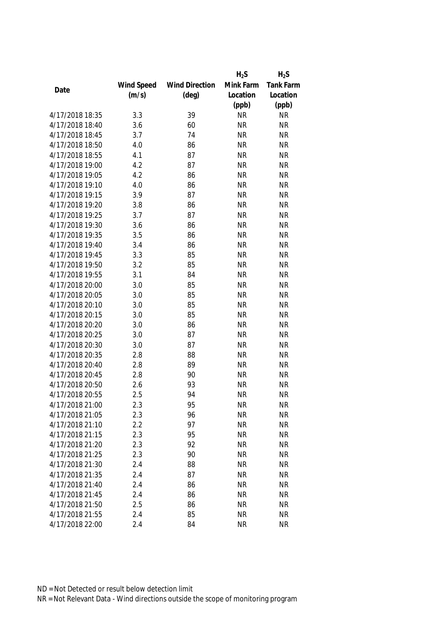|      |                 |            |                       | $H_2S$    | $H_2S$           |
|------|-----------------|------------|-----------------------|-----------|------------------|
|      |                 | Wind Speed | <b>Wind Direction</b> | Mink Farm | <b>Tank Farm</b> |
| Date |                 | (m/s)      | $(\text{deg})$        | Location  | Location         |
|      |                 |            |                       | (ppb)     | (ppb)            |
|      | 4/17/2018 18:35 | 3.3        | 39                    | <b>NR</b> | <b>NR</b>        |
|      | 4/17/2018 18:40 | 3.6        | 60                    | <b>NR</b> | <b>NR</b>        |
|      | 4/17/2018 18:45 | 3.7        | 74                    | <b>NR</b> | <b>NR</b>        |
|      | 4/17/2018 18:50 | 4.0        | 86                    | <b>NR</b> | <b>NR</b>        |
|      | 4/17/2018 18:55 | 4.1        | 87                    | <b>NR</b> | <b>NR</b>        |
|      | 4/17/2018 19:00 | 4.2        | 87                    | <b>NR</b> | <b>NR</b>        |
|      | 4/17/2018 19:05 | 4.2        | 86                    | <b>NR</b> | <b>NR</b>        |
|      | 4/17/2018 19:10 | 4.0        | 86                    | <b>NR</b> | <b>NR</b>        |
|      | 4/17/2018 19:15 | 3.9        | 87                    | <b>NR</b> | <b>NR</b>        |
|      | 4/17/2018 19:20 | 3.8        | 86                    | <b>NR</b> | <b>NR</b>        |
|      | 4/17/2018 19:25 | 3.7        | 87                    | <b>NR</b> | <b>NR</b>        |
|      | 4/17/2018 19:30 | 3.6        | 86                    | <b>NR</b> | <b>NR</b>        |
|      | 4/17/2018 19:35 | 3.5        | 86                    | <b>NR</b> | <b>NR</b>        |
|      | 4/17/2018 19:40 | 3.4        | 86                    | <b>NR</b> | <b>NR</b>        |
|      | 4/17/2018 19:45 | 3.3        | 85                    | <b>NR</b> | <b>NR</b>        |
|      | 4/17/2018 19:50 | 3.2        | 85                    | <b>NR</b> | <b>NR</b>        |
|      | 4/17/2018 19:55 | 3.1        | 84                    | <b>NR</b> | <b>NR</b>        |
|      | 4/17/2018 20:00 | 3.0        | 85                    | <b>NR</b> | <b>NR</b>        |
|      | 4/17/2018 20:05 | 3.0        | 85                    | <b>NR</b> | <b>NR</b>        |
|      | 4/17/2018 20:10 | 3.0        | 85                    | <b>NR</b> | <b>NR</b>        |
|      | 4/17/2018 20:15 | 3.0        | 85                    | <b>NR</b> | <b>NR</b>        |
|      | 4/17/2018 20:20 | 3.0        | 86                    | <b>NR</b> | <b>NR</b>        |
|      | 4/17/2018 20:25 | 3.0        | 87                    | <b>NR</b> | <b>NR</b>        |
|      | 4/17/2018 20:30 | 3.0        | 87                    | <b>NR</b> | <b>NR</b>        |
|      | 4/17/2018 20:35 | 2.8        | 88                    | <b>NR</b> | <b>NR</b>        |
|      | 4/17/2018 20:40 | 2.8        | 89                    | <b>NR</b> | <b>NR</b>        |
|      | 4/17/2018 20:45 | 2.8        | 90                    | <b>NR</b> | <b>NR</b>        |
|      | 4/17/2018 20:50 | 2.6        | 93                    | <b>NR</b> | <b>NR</b>        |
|      | 4/17/2018 20:55 | 2.5        | 94                    | <b>NR</b> | <b>NR</b>        |
|      | 4/17/2018 21:00 | 2.3        | 95                    | <b>NR</b> | <b>NR</b>        |
|      | 4/17/2018 21:05 | 2.3        | 96                    | <b>NR</b> | <b>NR</b>        |
|      | 4/17/2018 21:10 | 2.2        | 97                    | <b>NR</b> | <b>NR</b>        |
|      | 4/17/2018 21:15 | 2.3        | 95                    | <b>NR</b> | <b>NR</b>        |
|      | 4/17/2018 21:20 | 2.3        | 92                    | <b>NR</b> | <b>NR</b>        |
|      | 4/17/2018 21:25 | 2.3        | 90                    | <b>NR</b> | <b>NR</b>        |
|      | 4/17/2018 21:30 | 2.4        | 88                    | <b>NR</b> | <b>NR</b>        |
|      | 4/17/2018 21:35 | 2.4        | 87                    | <b>NR</b> | <b>NR</b>        |
|      | 4/17/2018 21:40 | 2.4        | 86                    | <b>NR</b> | <b>NR</b>        |
|      | 4/17/2018 21:45 | 2.4        | 86                    | <b>NR</b> | <b>NR</b>        |
|      | 4/17/2018 21:50 | 2.5        | 86                    | <b>NR</b> | <b>NR</b>        |
|      | 4/17/2018 21:55 | 2.4        | 85                    | <b>NR</b> | <b>NR</b>        |
|      | 4/17/2018 22:00 | 2.4        | 84                    | <b>NR</b> | <b>NR</b>        |
|      |                 |            |                       |           |                  |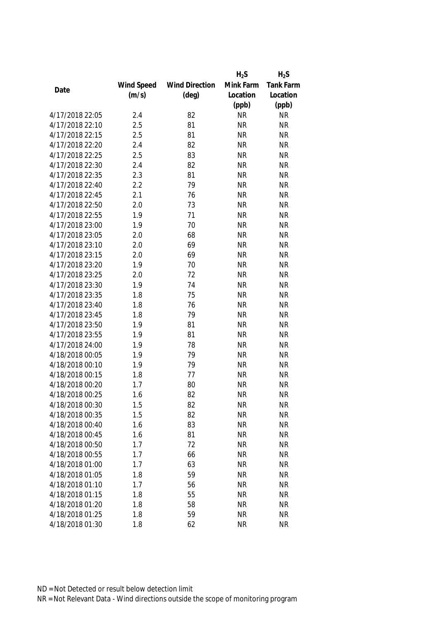|                 |            |                       | $H_2S$    | $H_2S$           |
|-----------------|------------|-----------------------|-----------|------------------|
|                 | Wind Speed | <b>Wind Direction</b> | Mink Farm | <b>Tank Farm</b> |
| Date            | (m/s)      | $(\text{deg})$        | Location  | Location         |
|                 |            |                       | (ppb)     | (ppb)            |
| 4/17/2018 22:05 | 2.4        | 82                    | <b>NR</b> | <b>NR</b>        |
| 4/17/2018 22:10 | 2.5        | 81                    | <b>NR</b> | <b>NR</b>        |
| 4/17/2018 22:15 | 2.5        | 81                    | <b>NR</b> | <b>NR</b>        |
| 4/17/2018 22:20 | 2.4        | 82                    | <b>NR</b> | <b>NR</b>        |
| 4/17/2018 22:25 | 2.5        | 83                    | <b>NR</b> | <b>NR</b>        |
| 4/17/2018 22:30 | 2.4        | 82                    | <b>NR</b> | <b>NR</b>        |
| 4/17/2018 22:35 | 2.3        | 81                    | <b>NR</b> | <b>NR</b>        |
| 4/17/2018 22:40 | 2.2        | 79                    | <b>NR</b> | <b>NR</b>        |
| 4/17/2018 22:45 | 2.1        | 76                    | <b>NR</b> | <b>NR</b>        |
| 4/17/2018 22:50 | 2.0        | 73                    | <b>NR</b> | <b>NR</b>        |
| 4/17/2018 22:55 | 1.9        | 71                    | <b>NR</b> | <b>NR</b>        |
| 4/17/2018 23:00 | 1.9        | 70                    | <b>NR</b> | <b>NR</b>        |
| 4/17/2018 23:05 | 2.0        | 68                    | <b>NR</b> | <b>NR</b>        |
| 4/17/2018 23:10 | 2.0        | 69                    | <b>NR</b> | <b>NR</b>        |
| 4/17/2018 23:15 | 2.0        | 69                    | <b>NR</b> | <b>NR</b>        |
| 4/17/2018 23:20 | 1.9        | 70                    | <b>NR</b> | <b>NR</b>        |
| 4/17/2018 23:25 | 2.0        | 72                    | <b>NR</b> | <b>NR</b>        |
| 4/17/2018 23:30 | 1.9        | 74                    | <b>NR</b> | <b>NR</b>        |
| 4/17/2018 23:35 | 1.8        | 75                    | <b>NR</b> | <b>NR</b>        |
| 4/17/2018 23:40 | 1.8        | 76                    | <b>NR</b> | <b>NR</b>        |
| 4/17/2018 23:45 | 1.8        | 79                    | <b>NR</b> | <b>NR</b>        |
| 4/17/2018 23:50 | 1.9        | 81                    | <b>NR</b> | <b>NR</b>        |
| 4/17/2018 23:55 | 1.9        | 81                    | <b>NR</b> | <b>NR</b>        |
| 4/17/2018 24:00 | 1.9        | 78                    | <b>NR</b> | <b>NR</b>        |
| 4/18/2018 00:05 | 1.9        | 79                    | <b>NR</b> | <b>NR</b>        |
| 4/18/2018 00:10 | 1.9        | 79                    | <b>NR</b> | <b>NR</b>        |
| 4/18/2018 00:15 | 1.8        | 77                    | <b>NR</b> | <b>NR</b>        |
| 4/18/2018 00:20 | 1.7        | 80                    | <b>NR</b> | <b>NR</b>        |
| 4/18/2018 00:25 | 1.6        | 82                    | <b>NR</b> | <b>NR</b>        |
| 4/18/2018 00:30 | 1.5        | 82                    | <b>NR</b> | <b>NR</b>        |
| 4/18/2018 00:35 | 1.5        | 82                    | <b>NR</b> | <b>NR</b>        |
| 4/18/2018 00:40 | 1.6        | 83                    | <b>NR</b> | <b>NR</b>        |
| 4/18/2018 00:45 | 1.6        | 81                    | <b>NR</b> | <b>NR</b>        |
| 4/18/2018 00:50 | 1.7        | 72                    | <b>NR</b> | <b>NR</b>        |
| 4/18/2018 00:55 | 1.7        | 66                    | <b>NR</b> | <b>NR</b>        |
| 4/18/2018 01:00 | 1.7        | 63                    | <b>NR</b> | <b>NR</b>        |
| 4/18/2018 01:05 | 1.8        | 59                    | <b>NR</b> | <b>NR</b>        |
| 4/18/2018 01:10 |            |                       |           |                  |
| 4/18/2018 01:15 | 1.7        | 56                    | <b>NR</b> | <b>NR</b>        |
|                 | 1.8        | 55                    | <b>NR</b> | <b>NR</b>        |
| 4/18/2018 01:20 | 1.8        | 58                    | <b>NR</b> | <b>NR</b>        |
| 4/18/2018 01:25 | 1.8        | 59                    | <b>NR</b> | <b>NR</b>        |
| 4/18/2018 01:30 | 1.8        | 62                    | <b>NR</b> | <b>NR</b>        |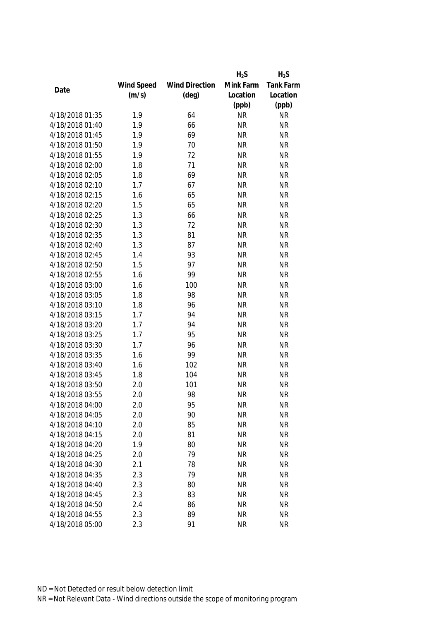|                 |            |                       | $H_2S$    | $H_2S$           |
|-----------------|------------|-----------------------|-----------|------------------|
|                 | Wind Speed | <b>Wind Direction</b> | Mink Farm | <b>Tank Farm</b> |
| Date            | (m/s)      | $(\text{deg})$        | Location  | Location         |
|                 |            |                       | (ppb)     | (ppb)            |
| 4/18/2018 01:35 | 1.9        | 64                    | <b>NR</b> | <b>NR</b>        |
| 4/18/2018 01:40 | 1.9        | 66                    | <b>NR</b> | <b>NR</b>        |
| 4/18/2018 01:45 | 1.9        | 69                    | <b>NR</b> | <b>NR</b>        |
| 4/18/2018 01:50 | 1.9        | 70                    | <b>NR</b> | <b>NR</b>        |
| 4/18/2018 01:55 | 1.9        | 72                    | <b>NR</b> | <b>NR</b>        |
| 4/18/2018 02:00 | 1.8        | 71                    | <b>NR</b> | <b>NR</b>        |
| 4/18/2018 02:05 | 1.8        | 69                    | <b>NR</b> | <b>NR</b>        |
| 4/18/2018 02:10 | 1.7        | 67                    | <b>NR</b> | <b>NR</b>        |
| 4/18/2018 02:15 | 1.6        | 65                    | <b>NR</b> | <b>NR</b>        |
| 4/18/2018 02:20 | 1.5        | 65                    | <b>NR</b> | <b>NR</b>        |
| 4/18/2018 02:25 | 1.3        | 66                    | <b>NR</b> | <b>NR</b>        |
| 4/18/2018 02:30 | 1.3        | 72                    | <b>NR</b> | <b>NR</b>        |
| 4/18/2018 02:35 | 1.3        | 81                    | <b>NR</b> | <b>NR</b>        |
| 4/18/2018 02:40 | 1.3        | 87                    | <b>NR</b> | <b>NR</b>        |
| 4/18/2018 02:45 | 1.4        | 93                    | <b>NR</b> | <b>NR</b>        |
| 4/18/2018 02:50 | 1.5        | 97                    | <b>NR</b> | <b>NR</b>        |
| 4/18/2018 02:55 | 1.6        | 99                    | <b>NR</b> | <b>NR</b>        |
| 4/18/2018 03:00 | 1.6        | 100                   | <b>NR</b> | <b>NR</b>        |
| 4/18/2018 03:05 | 1.8        | 98                    | <b>NR</b> | <b>NR</b>        |
| 4/18/2018 03:10 | 1.8        | 96                    | <b>NR</b> | <b>NR</b>        |
| 4/18/2018 03:15 | 1.7        | 94                    | <b>NR</b> | <b>NR</b>        |
| 4/18/2018 03:20 | 1.7        | 94                    | <b>NR</b> | <b>NR</b>        |
| 4/18/2018 03:25 | 1.7        | 95                    | <b>NR</b> | <b>NR</b>        |
| 4/18/2018 03:30 | 1.7        | 96                    | <b>NR</b> | <b>NR</b>        |
| 4/18/2018 03:35 | 1.6        | 99                    | <b>NR</b> | <b>NR</b>        |
| 4/18/2018 03:40 | 1.6        | 102                   | <b>NR</b> | <b>NR</b>        |
| 4/18/2018 03:45 | 1.8        | 104                   | <b>NR</b> | <b>NR</b>        |
| 4/18/2018 03:50 | 2.0        | 101                   | <b>NR</b> | <b>NR</b>        |
| 4/18/2018 03:55 | 2.0        | 98                    | <b>NR</b> | <b>NR</b>        |
| 4/18/2018 04:00 | 2.0        | 95                    | <b>NR</b> | <b>NR</b>        |
| 4/18/2018 04:05 | 2.0        | 90                    | <b>NR</b> | <b>NR</b>        |
| 4/18/2018 04:10 | 2.0        | 85                    | <b>NR</b> | <b>NR</b>        |
| 4/18/2018 04:15 | 2.0        | 81                    | <b>NR</b> | <b>NR</b>        |
| 4/18/2018 04:20 | 1.9        | 80                    | <b>NR</b> | <b>NR</b>        |
| 4/18/2018 04:25 | 2.0        | 79                    | <b>NR</b> | <b>NR</b>        |
| 4/18/2018 04:30 | 2.1        | 78                    | <b>NR</b> | <b>NR</b>        |
| 4/18/2018 04:35 | 2.3        | 79                    | <b>NR</b> | <b>NR</b>        |
| 4/18/2018 04:40 | 2.3        | 80                    | <b>NR</b> | <b>NR</b>        |
| 4/18/2018 04:45 | 2.3        | 83                    | <b>NR</b> | <b>NR</b>        |
| 4/18/2018 04:50 | 2.4        | 86                    | <b>NR</b> | <b>NR</b>        |
| 4/18/2018 04:55 | 2.3        | 89                    | <b>NR</b> | <b>NR</b>        |
| 4/18/2018 05:00 | 2.3        | 91                    | <b>NR</b> | <b>NR</b>        |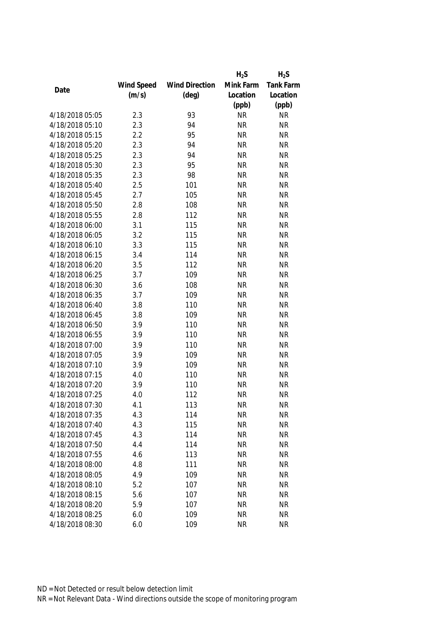|                 |            |                       | $H_2S$    | $H_2S$           |
|-----------------|------------|-----------------------|-----------|------------------|
|                 | Wind Speed | <b>Wind Direction</b> | Mink Farm | <b>Tank Farm</b> |
| Date            | (m/s)      | $(\text{deg})$        | Location  | Location         |
|                 |            |                       | (ppb)     | (ppb)            |
| 4/18/2018 05:05 | 2.3        | 93                    | <b>NR</b> | <b>NR</b>        |
| 4/18/2018 05:10 | 2.3        | 94                    | <b>NR</b> | <b>NR</b>        |
| 4/18/2018 05:15 | 2.2        | 95                    | <b>NR</b> | <b>NR</b>        |
| 4/18/2018 05:20 | 2.3        | 94                    | <b>NR</b> | <b>NR</b>        |
| 4/18/2018 05:25 | 2.3        | 94                    | <b>NR</b> | <b>NR</b>        |
| 4/18/2018 05:30 | 2.3        | 95                    | <b>NR</b> | <b>NR</b>        |
| 4/18/2018 05:35 | 2.3        | 98                    | <b>NR</b> | <b>NR</b>        |
| 4/18/2018 05:40 | 2.5        | 101                   | <b>NR</b> | <b>NR</b>        |
| 4/18/2018 05:45 | 2.7        | 105                   | <b>NR</b> | <b>NR</b>        |
| 4/18/2018 05:50 | 2.8        | 108                   | <b>NR</b> | <b>NR</b>        |
| 4/18/2018 05:55 | 2.8        | 112                   | <b>NR</b> | <b>NR</b>        |
| 4/18/2018 06:00 | 3.1        | 115                   | <b>NR</b> | <b>NR</b>        |
| 4/18/2018 06:05 | 3.2        | 115                   | <b>NR</b> | <b>NR</b>        |
| 4/18/2018 06:10 | 3.3        | 115                   | <b>NR</b> | <b>NR</b>        |
| 4/18/2018 06:15 | 3.4        | 114                   | <b>NR</b> | <b>NR</b>        |
| 4/18/2018 06:20 | 3.5        | 112                   | <b>NR</b> | <b>NR</b>        |
| 4/18/2018 06:25 | 3.7        | 109                   | <b>NR</b> | <b>NR</b>        |
| 4/18/2018 06:30 | 3.6        | 108                   | <b>NR</b> | <b>NR</b>        |
| 4/18/2018 06:35 | 3.7        | 109                   | <b>NR</b> | <b>NR</b>        |
| 4/18/2018 06:40 | 3.8        | 110                   | <b>NR</b> | <b>NR</b>        |
| 4/18/2018 06:45 | 3.8        | 109                   | <b>NR</b> | <b>NR</b>        |
| 4/18/2018 06:50 | 3.9        | 110                   | <b>NR</b> | <b>NR</b>        |
| 4/18/2018 06:55 | 3.9        | 110                   | <b>NR</b> | <b>NR</b>        |
| 4/18/2018 07:00 | 3.9        | 110                   | <b>NR</b> | <b>NR</b>        |
| 4/18/2018 07:05 | 3.9        | 109                   | <b>NR</b> | <b>NR</b>        |
| 4/18/2018 07:10 | 3.9        | 109                   | <b>NR</b> | <b>NR</b>        |
| 4/18/2018 07:15 | 4.0        | 110                   | <b>NR</b> | <b>NR</b>        |
| 4/18/2018 07:20 | 3.9        | 110                   | <b>NR</b> | <b>NR</b>        |
| 4/18/2018 07:25 | 4.0        | 112                   | <b>NR</b> | <b>NR</b>        |
| 4/18/2018 07:30 | 4.1        | 113                   | <b>NR</b> | <b>NR</b>        |
| 4/18/2018 07:35 | 4.3        | 114                   | <b>NR</b> | <b>NR</b>        |
| 4/18/2018 07:40 | 4.3        | 115                   | <b>NR</b> | <b>NR</b>        |
| 4/18/2018 07:45 | 4.3        | 114                   | <b>NR</b> | <b>NR</b>        |
| 4/18/2018 07:50 | 4.4        | 114                   | <b>NR</b> | <b>NR</b>        |
| 4/18/2018 07:55 | 4.6        | 113                   | <b>NR</b> | <b>NR</b>        |
| 4/18/2018 08:00 | 4.8        | 111                   | <b>NR</b> | <b>NR</b>        |
| 4/18/2018 08:05 | 4.9        | 109                   | <b>NR</b> | <b>NR</b>        |
| 4/18/2018 08:10 |            |                       |           |                  |
| 4/18/2018 08:15 | 5.2        | 107                   | <b>NR</b> | <b>NR</b>        |
|                 | 5.6        | 107                   | <b>NR</b> | <b>NR</b>        |
| 4/18/2018 08:20 | 5.9        | 107                   | <b>NR</b> | <b>NR</b>        |
| 4/18/2018 08:25 | 6.0        | 109                   | <b>NR</b> | <b>NR</b>        |
| 4/18/2018 08:30 | 6.0        | 109                   | <b>NR</b> | <b>NR</b>        |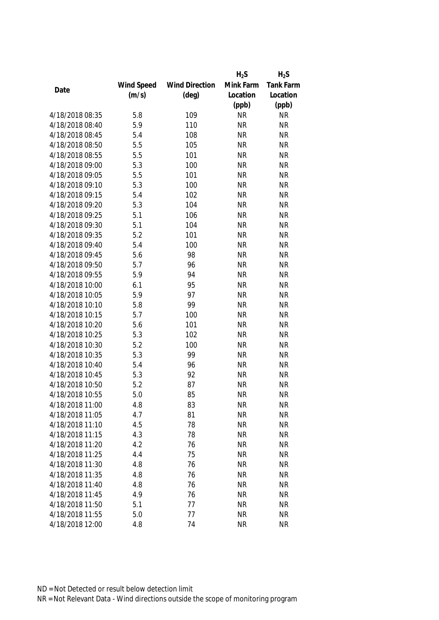|                 |            |                       | $H_2S$    | $H_2S$    |
|-----------------|------------|-----------------------|-----------|-----------|
|                 | Wind Speed | <b>Wind Direction</b> | Mink Farm | Tank Farm |
| Date            | (m/s)      | $(\text{deg})$        | Location  | Location  |
|                 |            |                       | (ppb)     | (ppb)     |
| 4/18/2018 08:35 | 5.8        | 109                   | <b>NR</b> | <b>NR</b> |
| 4/18/2018 08:40 | 5.9        | 110                   | <b>NR</b> | <b>NR</b> |
| 4/18/2018 08:45 | 5.4        | 108                   | <b>NR</b> | <b>NR</b> |
| 4/18/2018 08:50 | 5.5        | 105                   | <b>NR</b> | <b>NR</b> |
| 4/18/2018 08:55 | 5.5        | 101                   | <b>NR</b> | <b>NR</b> |
| 4/18/2018 09:00 | 5.3        | 100                   | <b>NR</b> | <b>NR</b> |
| 4/18/2018 09:05 | 5.5        | 101                   | <b>NR</b> | <b>NR</b> |
| 4/18/2018 09:10 | 5.3        | 100                   | <b>NR</b> | <b>NR</b> |
| 4/18/2018 09:15 | 5.4        | 102                   | <b>NR</b> | <b>NR</b> |
| 4/18/2018 09:20 | 5.3        | 104                   | <b>NR</b> | <b>NR</b> |
| 4/18/2018 09:25 | 5.1        | 106                   | <b>NR</b> | <b>NR</b> |
| 4/18/2018 09:30 | 5.1        | 104                   | <b>NR</b> | <b>NR</b> |
| 4/18/2018 09:35 | 5.2        | 101                   | <b>NR</b> | <b>NR</b> |
| 4/18/2018 09:40 | 5.4        | 100                   | <b>NR</b> | <b>NR</b> |
| 4/18/2018 09:45 | 5.6        | 98                    | <b>NR</b> | <b>NR</b> |
| 4/18/2018 09:50 | 5.7        | 96                    | <b>NR</b> | <b>NR</b> |
| 4/18/2018 09:55 | 5.9        | 94                    | <b>NR</b> | <b>NR</b> |
| 4/18/2018 10:00 | 6.1        | 95                    | <b>NR</b> | <b>NR</b> |
| 4/18/2018 10:05 | 5.9        | 97                    | <b>NR</b> | <b>NR</b> |
| 4/18/2018 10:10 | 5.8        | 99                    | <b>NR</b> | <b>NR</b> |
| 4/18/2018 10:15 | 5.7        | 100                   | <b>NR</b> | <b>NR</b> |
| 4/18/2018 10:20 | 5.6        | 101                   | <b>NR</b> | <b>NR</b> |
| 4/18/2018 10:25 | 5.3        | 102                   | <b>NR</b> | <b>NR</b> |
| 4/18/2018 10:30 | 5.2        | 100                   | <b>NR</b> | <b>NR</b> |
| 4/18/2018 10:35 | 5.3        | 99                    | <b>NR</b> | <b>NR</b> |
| 4/18/2018 10:40 | 5.4        | 96                    | <b>NR</b> | <b>NR</b> |
| 4/18/2018 10:45 | 5.3        | 92                    | <b>NR</b> | <b>NR</b> |
| 4/18/2018 10:50 | 5.2        | 87                    | <b>NR</b> | <b>NR</b> |
| 4/18/2018 10:55 | 5.0        | 85                    | <b>NR</b> | <b>NR</b> |
| 4/18/2018 11:00 | 4.8        | 83                    | <b>NR</b> | <b>NR</b> |
| 4/18/2018 11:05 | 4.7        | 81                    | <b>NR</b> | <b>NR</b> |
| 4/18/2018 11:10 | 4.5        | 78                    | <b>NR</b> | <b>NR</b> |
| 4/18/2018 11:15 | 4.3        | 78                    | <b>NR</b> | <b>NR</b> |
| 4/18/2018 11:20 | 4.2        | 76                    | <b>NR</b> | <b>NR</b> |
| 4/18/2018 11:25 | 4.4        | 75                    | <b>NR</b> | <b>NR</b> |
| 4/18/2018 11:30 | 4.8        | 76                    | <b>NR</b> | <b>NR</b> |
| 4/18/2018 11:35 | 4.8        | 76                    | <b>NR</b> | <b>NR</b> |
| 4/18/2018 11:40 | 4.8        | 76                    | <b>NR</b> | <b>NR</b> |
| 4/18/2018 11:45 | 4.9        | 76                    | <b>NR</b> | <b>NR</b> |
| 4/18/2018 11:50 | 5.1        | 77                    | <b>NR</b> | <b>NR</b> |
| 4/18/2018 11:55 | 5.0        | 77                    | <b>NR</b> | <b>NR</b> |
| 4/18/2018 12:00 | 4.8        | 74                    | <b>NR</b> | <b>NR</b> |
|                 |            |                       |           |           |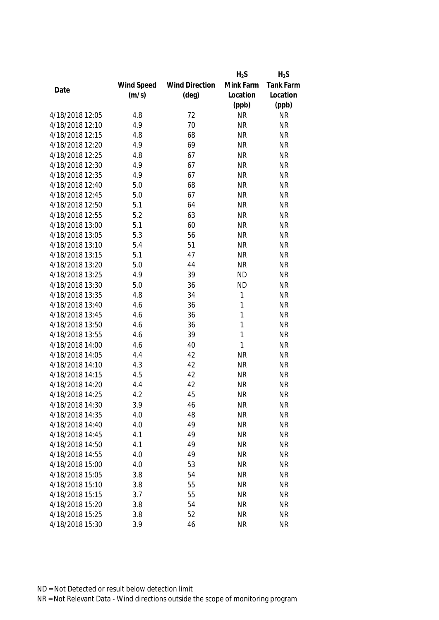|                 |            |                       | $H_2S$       | $H_2S$    |
|-----------------|------------|-----------------------|--------------|-----------|
|                 | Wind Speed | <b>Wind Direction</b> | Mink Farm    | Tank Farm |
| Date            | (m/s)      | $(\text{deg})$        | Location     | Location  |
|                 |            |                       | (ppb)        | (ppb)     |
| 4/18/2018 12:05 | 4.8        | 72                    | <b>NR</b>    | <b>NR</b> |
| 4/18/2018 12:10 | 4.9        | 70                    | <b>NR</b>    | <b>NR</b> |
| 4/18/2018 12:15 | 4.8        | 68                    | <b>NR</b>    | <b>NR</b> |
| 4/18/2018 12:20 | 4.9        | 69                    | <b>NR</b>    | <b>NR</b> |
| 4/18/2018 12:25 | 4.8        | 67                    | <b>NR</b>    | <b>NR</b> |
| 4/18/2018 12:30 | 4.9        | 67                    | <b>NR</b>    | <b>NR</b> |
| 4/18/2018 12:35 | 4.9        | 67                    | <b>NR</b>    | <b>NR</b> |
| 4/18/2018 12:40 | 5.0        | 68                    | <b>NR</b>    | <b>NR</b> |
| 4/18/2018 12:45 | 5.0        | 67                    | <b>NR</b>    | <b>NR</b> |
| 4/18/2018 12:50 | 5.1        | 64                    | <b>NR</b>    | <b>NR</b> |
| 4/18/2018 12:55 | 5.2        | 63                    | <b>NR</b>    | <b>NR</b> |
| 4/18/2018 13:00 | 5.1        | 60                    | <b>NR</b>    | <b>NR</b> |
| 4/18/2018 13:05 | 5.3        | 56                    | <b>NR</b>    | <b>NR</b> |
| 4/18/2018 13:10 | 5.4        | 51                    | <b>NR</b>    | <b>NR</b> |
| 4/18/2018 13:15 | 5.1        | 47                    | <b>NR</b>    | <b>NR</b> |
| 4/18/2018 13:20 | 5.0        | 44                    | <b>NR</b>    | <b>NR</b> |
| 4/18/2018 13:25 | 4.9        | 39                    | <b>ND</b>    | <b>NR</b> |
| 4/18/2018 13:30 | 5.0        | 36                    | <b>ND</b>    | <b>NR</b> |
| 4/18/2018 13:35 | 4.8        | 34                    | 1            | <b>NR</b> |
| 4/18/2018 13:40 | 4.6        | 36                    | 1            | <b>NR</b> |
| 4/18/2018 13:45 | 4.6        | 36                    | 1            | <b>NR</b> |
| 4/18/2018 13:50 | 4.6        | 36                    | 1            | <b>NR</b> |
| 4/18/2018 13:55 | 4.6        | 39                    | 1            | <b>NR</b> |
| 4/18/2018 14:00 | 4.6        | 40                    | $\mathbf{1}$ | <b>NR</b> |
| 4/18/2018 14:05 | 4.4        | 42                    | <b>NR</b>    | <b>NR</b> |
| 4/18/2018 14:10 | 4.3        | 42                    | <b>NR</b>    | <b>NR</b> |
| 4/18/2018 14:15 | 4.5        | 42                    | <b>NR</b>    | <b>NR</b> |
| 4/18/2018 14:20 | 4.4        | 42                    | <b>NR</b>    | <b>NR</b> |
| 4/18/2018 14:25 | 4.2        | 45                    | <b>NR</b>    | <b>NR</b> |
| 4/18/2018 14:30 | 3.9        | 46                    | <b>NR</b>    | <b>NR</b> |
| 4/18/2018 14:35 | 4.0        | 48                    | <b>NR</b>    | <b>NR</b> |
| 4/18/2018 14:40 | 4.0        | 49                    | <b>NR</b>    | <b>NR</b> |
| 4/18/2018 14:45 | 4.1        | 49                    | <b>NR</b>    | <b>NR</b> |
| 4/18/2018 14:50 | 4.1        | 49                    | <b>NR</b>    | <b>NR</b> |
| 4/18/2018 14:55 | 4.0        | 49                    | <b>NR</b>    | <b>NR</b> |
| 4/18/2018 15:00 | 4.0        | 53                    | <b>NR</b>    | <b>NR</b> |
| 4/18/2018 15:05 | 3.8        | 54                    | <b>NR</b>    | <b>NR</b> |
| 4/18/2018 15:10 | 3.8        | 55                    | <b>NR</b>    | <b>NR</b> |
| 4/18/2018 15:15 | 3.7        | 55                    | <b>NR</b>    | <b>NR</b> |
| 4/18/2018 15:20 | 3.8        | 54                    | <b>NR</b>    | <b>NR</b> |
| 4/18/2018 15:25 | 3.8        | 52                    | <b>NR</b>    | <b>NR</b> |
|                 |            |                       |              |           |
| 4/18/2018 15:30 | 3.9        | 46                    | <b>NR</b>    | <b>NR</b> |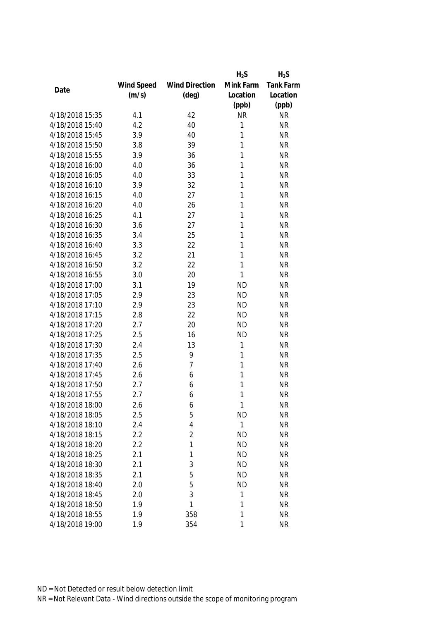|                 |            |                       | $H_2S$       | $H_2S$    |
|-----------------|------------|-----------------------|--------------|-----------|
|                 | Wind Speed | <b>Wind Direction</b> | Mink Farm    | Tank Farm |
| Date            | (m/s)      | $(\text{deg})$        | Location     | Location  |
|                 |            |                       | (ppb)        | (ppb)     |
| 4/18/2018 15:35 | 4.1        | 42                    | <b>NR</b>    | <b>NR</b> |
| 4/18/2018 15:40 | 4.2        | 40                    | 1            | <b>NR</b> |
| 4/18/2018 15:45 | 3.9        | 40                    | 1            | <b>NR</b> |
| 4/18/2018 15:50 | 3.8        | 39                    | 1            | <b>NR</b> |
| 4/18/2018 15:55 | 3.9        | 36                    | 1            | <b>NR</b> |
| 4/18/2018 16:00 | 4.0        | 36                    | 1            | <b>NR</b> |
| 4/18/2018 16:05 | 4.0        | 33                    | 1            | <b>NR</b> |
| 4/18/2018 16:10 | 3.9        | 32                    | 1            | <b>NR</b> |
| 4/18/2018 16:15 | 4.0        | 27                    | 1            | <b>NR</b> |
| 4/18/2018 16:20 | 4.0        | 26                    | 1            | <b>NR</b> |
| 4/18/2018 16:25 | 4.1        | 27                    | 1            | <b>NR</b> |
| 4/18/2018 16:30 | 3.6        | 27                    | 1            | <b>NR</b> |
| 4/18/2018 16:35 | 3.4        | 25                    | 1            | <b>NR</b> |
| 4/18/2018 16:40 | 3.3        | 22                    | 1            | <b>NR</b> |
| 4/18/2018 16:45 | 3.2        | 21                    | 1            | <b>NR</b> |
| 4/18/2018 16:50 | 3.2        | 22                    | $\mathbf{1}$ | <b>NR</b> |
| 4/18/2018 16:55 | 3.0        | 20                    | 1            | <b>NR</b> |
| 4/18/2018 17:00 | 3.1        | 19                    | <b>ND</b>    | <b>NR</b> |
| 4/18/2018 17:05 | 2.9        | 23                    | <b>ND</b>    | <b>NR</b> |
| 4/18/2018 17:10 | 2.9        | 23                    | <b>ND</b>    | <b>NR</b> |
| 4/18/2018 17:15 | 2.8        | 22                    | <b>ND</b>    | <b>NR</b> |
| 4/18/2018 17:20 | 2.7        | 20                    | <b>ND</b>    | <b>NR</b> |
| 4/18/2018 17:25 | 2.5        | 16                    | <b>ND</b>    | <b>NR</b> |
| 4/18/2018 17:30 | 2.4        | 13                    | 1            | <b>NR</b> |
| 4/18/2018 17:35 | 2.5        | 9                     | 1            | <b>NR</b> |
| 4/18/2018 17:40 | 2.6        | $\overline{7}$        | 1            | <b>NR</b> |
| 4/18/2018 17:45 | 2.6        | 6                     | 1            | <b>NR</b> |
| 4/18/2018 17:50 | 2.7        | 6                     | 1            | <b>NR</b> |
| 4/18/2018 17:55 | 2.7        | 6                     | 1            | <b>NR</b> |
| 4/18/2018 18:00 | 2.6        | 6                     | 1            | <b>NR</b> |
| 4/18/2018 18:05 | 2.5        | 5                     | <b>ND</b>    | <b>NR</b> |
| 4/18/2018 18:10 | 2.4        | 4                     | 1            | <b>NR</b> |
| 4/18/2018 18:15 | 2.2        | $\overline{2}$        | <b>ND</b>    | <b>NR</b> |
| 4/18/2018 18:20 | 2.2        | 1                     | <b>ND</b>    | <b>NR</b> |
| 4/18/2018 18:25 | 2.1        | 1                     | <b>ND</b>    | <b>NR</b> |
| 4/18/2018 18:30 | 2.1        | 3                     | <b>ND</b>    | <b>NR</b> |
| 4/18/2018 18:35 | 2.1        | 5                     | <b>ND</b>    | <b>NR</b> |
| 4/18/2018 18:40 | 2.0        | 5                     | <b>ND</b>    | <b>NR</b> |
| 4/18/2018 18:45 | 2.0        | 3                     | 1            | <b>NR</b> |
| 4/18/2018 18:50 | 1.9        | 1                     | 1            | <b>NR</b> |
| 4/18/2018 18:55 | 1.9        | 358                   | 1            | <b>NR</b> |
| 4/18/2018 19:00 | 1.9        | 354                   | 1            | <b>NR</b> |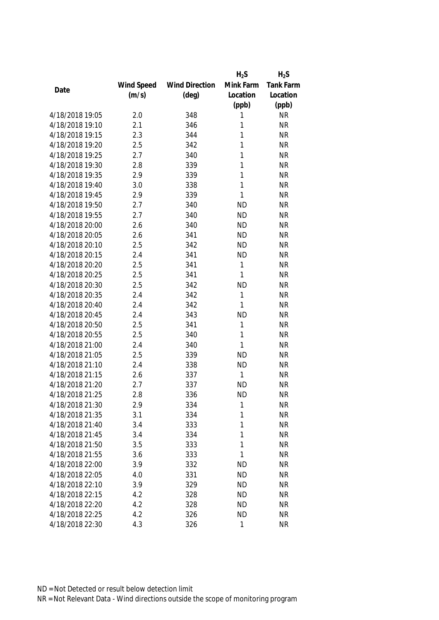|                 |            |                       | $H_2S$       | $H_2S$    |
|-----------------|------------|-----------------------|--------------|-----------|
|                 | Wind Speed | <b>Wind Direction</b> | Mink Farm    | Tank Farm |
| Date            | (m/s)      | $(\text{deg})$        | Location     | Location  |
|                 |            |                       | (ppb)        | (ppb)     |
| 4/18/2018 19:05 | 2.0        | 348                   | 1            | <b>NR</b> |
| 4/18/2018 19:10 | 2.1        | 346                   | 1            | <b>NR</b> |
| 4/18/2018 19:15 | 2.3        | 344                   | 1            | <b>NR</b> |
| 4/18/2018 19:20 | 2.5        | 342                   | 1            | <b>NR</b> |
| 4/18/2018 19:25 | 2.7        | 340                   | 1            | <b>NR</b> |
| 4/18/2018 19:30 | 2.8        | 339                   | 1            | <b>NR</b> |
| 4/18/2018 19:35 | 2.9        | 339                   | 1            | <b>NR</b> |
| 4/18/2018 19:40 | 3.0        | 338                   | $\mathbf{1}$ | <b>NR</b> |
| 4/18/2018 19:45 | 2.9        | 339                   | $\mathbf{1}$ | <b>NR</b> |
| 4/18/2018 19:50 | 2.7        | 340                   | <b>ND</b>    | <b>NR</b> |
| 4/18/2018 19:55 | 2.7        | 340                   | <b>ND</b>    | <b>NR</b> |
| 4/18/2018 20:00 | 2.6        | 340                   | <b>ND</b>    | <b>NR</b> |
| 4/18/2018 20:05 | 2.6        | 341                   | <b>ND</b>    | <b>NR</b> |
| 4/18/2018 20:10 | 2.5        | 342                   | <b>ND</b>    | <b>NR</b> |
| 4/18/2018 20:15 | 2.4        | 341                   | <b>ND</b>    | <b>NR</b> |
| 4/18/2018 20:20 | 2.5        | 341                   | 1            | <b>NR</b> |
| 4/18/2018 20:25 | 2.5        | 341                   | 1            | <b>NR</b> |
| 4/18/2018 20:30 | 2.5        | 342                   | <b>ND</b>    | <b>NR</b> |
| 4/18/2018 20:35 | 2.4        | 342                   | 1            | <b>NR</b> |
| 4/18/2018 20:40 | 2.4        | 342                   | 1            | <b>NR</b> |
| 4/18/2018 20:45 | 2.4        | 343                   | <b>ND</b>    | <b>NR</b> |
| 4/18/2018 20:50 | 2.5        | 341                   | 1            | <b>NR</b> |
| 4/18/2018 20:55 | 2.5        | 340                   | 1            | <b>NR</b> |
| 4/18/2018 21:00 | 2.4        | 340                   | 1            | <b>NR</b> |
| 4/18/2018 21:05 | 2.5        | 339                   | <b>ND</b>    | <b>NR</b> |
| 4/18/2018 21:10 | 2.4        | 338                   | <b>ND</b>    | <b>NR</b> |
| 4/18/2018 21:15 | 2.6        | 337                   | $\mathbf{1}$ | <b>NR</b> |
| 4/18/2018 21:20 | 2.7        | 337                   | <b>ND</b>    | <b>NR</b> |
| 4/18/2018 21:25 | 2.8        | 336                   | <b>ND</b>    | <b>NR</b> |
| 4/18/2018 21:30 | 2.9        | 334                   | 1            | <b>NR</b> |
| 4/18/2018 21:35 | 3.1        | 334                   | 1            | <b>NR</b> |
| 4/18/2018 21:40 | 3.4        | 333                   | 1            | <b>NR</b> |
| 4/18/2018 21:45 | 3.4        | 334                   | 1            | <b>NR</b> |
| 4/18/2018 21:50 | 3.5        | 333                   | 1            | <b>NR</b> |
| 4/18/2018 21:55 | 3.6        | 333                   | 1            | <b>NR</b> |
| 4/18/2018 22:00 | 3.9        | 332                   | <b>ND</b>    | <b>NR</b> |
| 4/18/2018 22:05 | 4.0        | 331                   | <b>ND</b>    | <b>NR</b> |
| 4/18/2018 22:10 | 3.9        | 329                   | <b>ND</b>    | <b>NR</b> |
| 4/18/2018 22:15 | 4.2        | 328                   | <b>ND</b>    | <b>NR</b> |
| 4/18/2018 22:20 | 4.2        | 328                   | <b>ND</b>    | <b>NR</b> |
| 4/18/2018 22:25 | 4.2        | 326                   | <b>ND</b>    | <b>NR</b> |
| 4/18/2018 22:30 | 4.3        | 326                   | 1            | <b>NR</b> |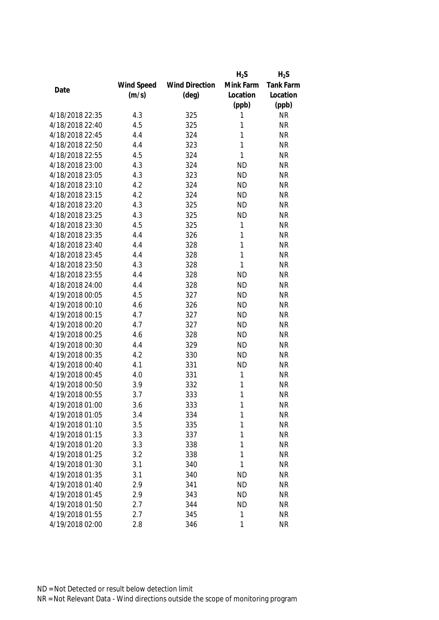|                 |            |                       | $H_2S$       | $H_2S$    |
|-----------------|------------|-----------------------|--------------|-----------|
|                 | Wind Speed | <b>Wind Direction</b> | Mink Farm    | Tank Farm |
| Date            | (m/s)      | $(\text{deg})$        | Location     | Location  |
|                 |            |                       | (ppb)        | (ppb)     |
| 4/18/2018 22:35 | 4.3        | 325                   | 1            | <b>NR</b> |
| 4/18/2018 22:40 | 4.5        | 325                   | 1            | <b>NR</b> |
| 4/18/2018 22:45 | 4.4        | 324                   | 1            | <b>NR</b> |
| 4/18/2018 22:50 | 4.4        | 323                   | 1            | <b>NR</b> |
| 4/18/2018 22:55 | 4.5        | 324                   | 1            | <b>NR</b> |
| 4/18/2018 23:00 | 4.3        | 324                   | <b>ND</b>    | <b>NR</b> |
| 4/18/2018 23:05 | 4.3        | 323                   | <b>ND</b>    | <b>NR</b> |
| 4/18/2018 23:10 | 4.2        | 324                   | <b>ND</b>    | <b>NR</b> |
| 4/18/2018 23:15 | 4.2        | 324                   | <b>ND</b>    | <b>NR</b> |
| 4/18/2018 23:20 | 4.3        | 325                   | <b>ND</b>    | <b>NR</b> |
| 4/18/2018 23:25 | 4.3        | 325                   | <b>ND</b>    | <b>NR</b> |
| 4/18/2018 23:30 | 4.5        | 325                   | 1            | <b>NR</b> |
| 4/18/2018 23:35 | 4.4        | 326                   | 1            | <b>NR</b> |
| 4/18/2018 23:40 | 4.4        | 328                   | 1            | <b>NR</b> |
| 4/18/2018 23:45 | 4.4        | 328                   | 1            | <b>NR</b> |
| 4/18/2018 23:50 | 4.3        | 328                   | $\mathbf{1}$ | <b>NR</b> |
| 4/18/2018 23:55 | 4.4        | 328                   | <b>ND</b>    | <b>NR</b> |
| 4/18/2018 24:00 | 4.4        | 328                   | <b>ND</b>    | <b>NR</b> |
| 4/19/2018 00:05 | 4.5        | 327                   | <b>ND</b>    | <b>NR</b> |
| 4/19/2018 00:10 | 4.6        | 326                   | <b>ND</b>    | <b>NR</b> |
| 4/19/2018 00:15 | 4.7        | 327                   | <b>ND</b>    | <b>NR</b> |
| 4/19/2018 00:20 | 4.7        | 327                   | <b>ND</b>    | <b>NR</b> |
| 4/19/2018 00:25 | 4.6        | 328                   | <b>ND</b>    | <b>NR</b> |
| 4/19/2018 00:30 | 4.4        | 329                   | <b>ND</b>    | <b>NR</b> |
| 4/19/2018 00:35 | 4.2        | 330                   | <b>ND</b>    | <b>NR</b> |
| 4/19/2018 00:40 | 4.1        | 331                   | <b>ND</b>    | <b>NR</b> |
| 4/19/2018 00:45 | 4.0        | 331                   | 1            | <b>NR</b> |
| 4/19/2018 00:50 | 3.9        | 332                   | 1            | <b>NR</b> |
| 4/19/2018 00:55 | 3.7        | 333                   | 1            | <b>NR</b> |
| 4/19/2018 01:00 | 3.6        | 333                   | 1            | <b>NR</b> |
| 4/19/2018 01:05 | 3.4        | 334                   | 1            | <b>NR</b> |
| 4/19/2018 01:10 | 3.5        | 335                   | 1            | <b>NR</b> |
| 4/19/2018 01:15 | 3.3        | 337                   | 1            | <b>NR</b> |
| 4/19/2018 01:20 | 3.3        | 338                   | 1            | <b>NR</b> |
| 4/19/2018 01:25 | 3.2        | 338                   | 1            | <b>NR</b> |
| 4/19/2018 01:30 | 3.1        | 340                   | 1            | <b>NR</b> |
| 4/19/2018 01:35 |            |                       |              | <b>NR</b> |
| 4/19/2018 01:40 | 3.1        | 340                   | <b>ND</b>    |           |
| 4/19/2018 01:45 | 2.9        | 341                   | <b>ND</b>    | <b>NR</b> |
|                 | 2.9        | 343                   | <b>ND</b>    | <b>NR</b> |
| 4/19/2018 01:50 | 2.7        | 344                   | <b>ND</b>    | <b>NR</b> |
| 4/19/2018 01:55 | 2.7        | 345                   | 1            | <b>NR</b> |
| 4/19/2018 02:00 | 2.8        | 346                   | 1            | <b>NR</b> |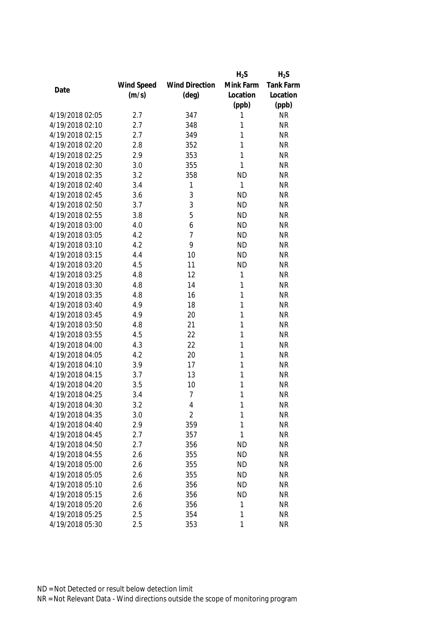|                 |            |                       | $H_2S$    | $H_2S$    |
|-----------------|------------|-----------------------|-----------|-----------|
|                 | Wind Speed | <b>Wind Direction</b> | Mink Farm | Tank Farm |
| Date            | (m/s)      | $(\text{deg})$        | Location  | Location  |
|                 |            |                       | (ppb)     | (ppb)     |
| 4/19/2018 02:05 | 2.7        | 347                   | 1         | <b>NR</b> |
| 4/19/2018 02:10 | 2.7        | 348                   | 1         | <b>NR</b> |
| 4/19/2018 02:15 | 2.7        | 349                   | 1         | <b>NR</b> |
| 4/19/2018 02:20 | 2.8        | 352                   | 1         | <b>NR</b> |
| 4/19/2018 02:25 | 2.9        | 353                   | 1         | <b>NR</b> |
| 4/19/2018 02:30 | 3.0        | 355                   | 1         | <b>NR</b> |
| 4/19/2018 02:35 | 3.2        | 358                   | <b>ND</b> | <b>NR</b> |
| 4/19/2018 02:40 | 3.4        | 1                     | 1         | <b>NR</b> |
| 4/19/2018 02:45 | 3.6        | 3                     | <b>ND</b> | <b>NR</b> |
| 4/19/2018 02:50 | 3.7        | 3                     | <b>ND</b> | <b>NR</b> |
| 4/19/2018 02:55 | 3.8        | 5                     | <b>ND</b> | <b>NR</b> |
| 4/19/2018 03:00 | 4.0        | 6                     | <b>ND</b> | <b>NR</b> |
| 4/19/2018 03:05 | 4.2        | 7                     | <b>ND</b> | <b>NR</b> |
| 4/19/2018 03:10 | 4.2        | 9                     | <b>ND</b> | <b>NR</b> |
| 4/19/2018 03:15 | 4.4        | 10                    | <b>ND</b> | <b>NR</b> |
| 4/19/2018 03:20 | 4.5        | 11                    | <b>ND</b> | <b>NR</b> |
| 4/19/2018 03:25 | 4.8        | 12                    | 1         | <b>NR</b> |
| 4/19/2018 03:30 | 4.8        | 14                    | 1         | <b>NR</b> |
| 4/19/2018 03:35 | 4.8        | 16                    | 1         | <b>NR</b> |
| 4/19/2018 03:40 | 4.9        | 18                    | 1         | <b>NR</b> |
| 4/19/2018 03:45 | 4.9        | 20                    | 1         | <b>NR</b> |
| 4/19/2018 03:50 | 4.8        | 21                    | 1         | <b>NR</b> |
| 4/19/2018 03:55 | 4.5        | 22                    | 1         | <b>NR</b> |
| 4/19/2018 04:00 | 4.3        | 22                    | 1         | <b>NR</b> |
| 4/19/2018 04:05 | 4.2        | 20                    | 1         | <b>NR</b> |
| 4/19/2018 04:10 | 3.9        | 17                    | 1         | <b>NR</b> |
| 4/19/2018 04:15 | 3.7        | 13                    | 1         | <b>NR</b> |
| 4/19/2018 04:20 | 3.5        | 10                    | 1         | <b>NR</b> |
| 4/19/2018 04:25 | 3.4        | $\overline{7}$        | 1         | <b>NR</b> |
| 4/19/2018 04:30 | 3.2        | 4                     | 1         | <b>NR</b> |
| 4/19/2018 04:35 | 3.0        | $\overline{2}$        | 1         | <b>NR</b> |
| 4/19/2018 04:40 | 2.9        | 359                   | 1         | <b>NR</b> |
| 4/19/2018 04:45 | 2.7        | 357                   | 1         | <b>NR</b> |
| 4/19/2018 04:50 | 2.7        | 356                   | <b>ND</b> | <b>NR</b> |
| 4/19/2018 04:55 | 2.6        | 355                   | <b>ND</b> | <b>NR</b> |
| 4/19/2018 05:00 | 2.6        | 355                   | <b>ND</b> | <b>NR</b> |
| 4/19/2018 05:05 | 2.6        | 355                   | <b>ND</b> | <b>NR</b> |
| 4/19/2018 05:10 | 2.6        | 356                   | <b>ND</b> | <b>NR</b> |
| 4/19/2018 05:15 | 2.6        | 356                   | <b>ND</b> | <b>NR</b> |
| 4/19/2018 05:20 | 2.6        | 356                   | 1         | <b>NR</b> |
| 4/19/2018 05:25 | 2.5        | 354                   | 1         | <b>NR</b> |
| 4/19/2018 05:30 | 2.5        | 353                   | 1         | <b>NR</b> |
|                 |            |                       |           |           |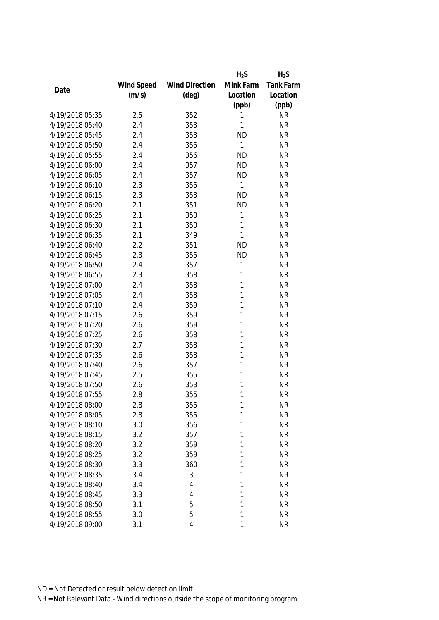|                 |            |                       | $H_2S$    | $H_2S$    |
|-----------------|------------|-----------------------|-----------|-----------|
|                 | Wind Speed | <b>Wind Direction</b> | Mink Farm | Tank Farm |
| Date            | (m/s)      | $(\text{deg})$        | Location  | Location  |
|                 |            |                       | (ppb)     | (ppb)     |
| 4/19/2018 05:35 | 2.5        | 352                   | 1         | <b>NR</b> |
| 4/19/2018 05:40 | 2.4        | 353                   | 1         | <b>NR</b> |
| 4/19/2018 05:45 | 2.4        | 353                   | <b>ND</b> | <b>NR</b> |
| 4/19/2018 05:50 | 2.4        | 355                   | 1         | <b>NR</b> |
| 4/19/2018 05:55 | 2.4        | 356                   | <b>ND</b> | <b>NR</b> |
| 4/19/2018 06:00 | 2.4        | 357                   | <b>ND</b> | <b>NR</b> |
| 4/19/2018 06:05 | 2.4        | 357                   | <b>ND</b> | <b>NR</b> |
| 4/19/2018 06:10 | 2.3        | 355                   | 1         | <b>NR</b> |
| 4/19/2018 06:15 | 2.3        | 353                   | <b>ND</b> | <b>NR</b> |
| 4/19/2018 06:20 | 2.1        | 351                   | <b>ND</b> | <b>NR</b> |
| 4/19/2018 06:25 | 2.1        | 350                   | 1         | <b>NR</b> |
| 4/19/2018 06:30 | 2.1        | 350                   | 1         | <b>NR</b> |
| 4/19/2018 06:35 | 2.1        | 349                   | 1         | <b>NR</b> |
| 4/19/2018 06:40 | 2.2        | 351                   | <b>ND</b> | <b>NR</b> |
| 4/19/2018 06:45 | 2.3        | 355                   | <b>ND</b> | <b>NR</b> |
| 4/19/2018 06:50 | 2.4        | 357                   | 1         | <b>NR</b> |
| 4/19/2018 06:55 | 2.3        | 358                   | 1         | <b>NR</b> |
| 4/19/2018 07:00 | 2.4        | 358                   | 1         | <b>NR</b> |
| 4/19/2018 07:05 | 2.4        | 358                   | 1         | <b>NR</b> |
| 4/19/2018 07:10 | 2.4        | 359                   | 1         | <b>NR</b> |
| 4/19/2018 07:15 | 2.6        | 359                   | 1         | <b>NR</b> |
| 4/19/2018 07:20 | 2.6        | 359                   | 1         | <b>NR</b> |
| 4/19/2018 07:25 | 2.6        | 358                   | 1         | <b>NR</b> |
| 4/19/2018 07:30 | 2.7        | 358                   | 1         | <b>NR</b> |
| 4/19/2018 07:35 | 2.6        | 358                   | 1         | <b>NR</b> |
| 4/19/2018 07:40 | 2.6        | 357                   | 1         | <b>NR</b> |
| 4/19/2018 07:45 | 2.5        | 355                   | 1         | <b>NR</b> |
| 4/19/2018 07:50 | 2.6        | 353                   | 1         | <b>NR</b> |
| 4/19/2018 07:55 | 2.8        | 355                   | 1         | <b>NR</b> |
| 4/19/2018 08:00 | 2.8        | 355                   | 1         | <b>NR</b> |
| 4/19/2018 08:05 | 2.8        | 355                   | 1         | <b>NR</b> |
| 4/19/2018 08:10 | 3.0        | 356                   | 1         | <b>NR</b> |
| 4/19/2018 08:15 | 3.2        | 357                   | 1         | <b>NR</b> |
| 4/19/2018 08:20 | 3.2        | 359                   | 1         | <b>NR</b> |
| 4/19/2018 08:25 | 3.2        | 359                   | 1         | <b>NR</b> |
| 4/19/2018 08:30 | 3.3        | 360                   | 1         | <b>NR</b> |
| 4/19/2018 08:35 | 3.4        | 3                     | 1         | <b>NR</b> |
| 4/19/2018 08:40 | 3.4        | 4                     | 1         | <b>NR</b> |
| 4/19/2018 08:45 | 3.3        | 4                     | 1         | <b>NR</b> |
| 4/19/2018 08:50 | 3.1        | 5                     | 1         | <b>NR</b> |
| 4/19/2018 08:55 | 3.0        | 5                     | 1         | <b>NR</b> |
| 4/19/2018 09:00 | 3.1        | 4                     | 1         | <b>NR</b> |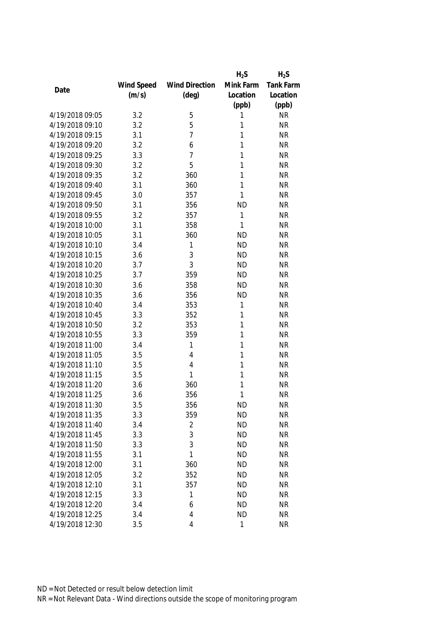|                 |            |                       | $H_2S$    | $H_2S$           |
|-----------------|------------|-----------------------|-----------|------------------|
|                 | Wind Speed | <b>Wind Direction</b> | Mink Farm | <b>Tank Farm</b> |
| Date            | (m/s)      | $(\text{deg})$        | Location  | Location         |
|                 |            |                       | (ppb)     | (ppb)            |
| 4/19/2018 09:05 | 3.2        | 5                     | 1         | <b>NR</b>        |
| 4/19/2018 09:10 | 3.2        | 5                     | 1         | <b>NR</b>        |
| 4/19/2018 09:15 | 3.1        | $\overline{7}$        | 1         | <b>NR</b>        |
| 4/19/2018 09:20 | 3.2        | 6                     | 1         | <b>NR</b>        |
| 4/19/2018 09:25 | 3.3        | 7                     | 1         | <b>NR</b>        |
| 4/19/2018 09:30 | 3.2        | 5                     | 1         | <b>NR</b>        |
| 4/19/2018 09:35 | 3.2        | 360                   | 1         | <b>NR</b>        |
| 4/19/2018 09:40 | 3.1        | 360                   | 1         | <b>NR</b>        |
| 4/19/2018 09:45 | 3.0        | 357                   | 1         | <b>NR</b>        |
| 4/19/2018 09:50 | 3.1        | 356                   | <b>ND</b> | <b>NR</b>        |
| 4/19/2018 09:55 | 3.2        | 357                   | 1         | <b>NR</b>        |
| 4/19/2018 10:00 | 3.1        | 358                   | 1         | <b>NR</b>        |
| 4/19/2018 10:05 | 3.1        | 360                   | <b>ND</b> | <b>NR</b>        |
| 4/19/2018 10:10 | 3.4        | 1                     | <b>ND</b> | <b>NR</b>        |
| 4/19/2018 10:15 | 3.6        | 3                     | <b>ND</b> | <b>NR</b>        |
| 4/19/2018 10:20 | 3.7        | 3                     | <b>ND</b> | <b>NR</b>        |
| 4/19/2018 10:25 | 3.7        | 359                   | <b>ND</b> | <b>NR</b>        |
| 4/19/2018 10:30 | 3.6        | 358                   | <b>ND</b> | <b>NR</b>        |
| 4/19/2018 10:35 | 3.6        | 356                   | <b>ND</b> | <b>NR</b>        |
| 4/19/2018 10:40 | 3.4        | 353                   | 1         | <b>NR</b>        |
| 4/19/2018 10:45 | 3.3        | 352                   | 1         | <b>NR</b>        |
| 4/19/2018 10:50 | 3.2        | 353                   | 1         | <b>NR</b>        |
| 4/19/2018 10:55 | 3.3        | 359                   | 1         | <b>NR</b>        |
| 4/19/2018 11:00 | 3.4        | 1                     | 1         | <b>NR</b>        |
| 4/19/2018 11:05 | 3.5        | 4                     | 1         | <b>NR</b>        |
| 4/19/2018 11:10 | 3.5        | $\overline{4}$        | 1         | <b>NR</b>        |
| 4/19/2018 11:15 | 3.5        | 1                     | 1         | <b>NR</b>        |
| 4/19/2018 11:20 | 3.6        | 360                   | 1         | <b>NR</b>        |
| 4/19/2018 11:25 | 3.6        | 356                   | 1         | <b>NR</b>        |
| 4/19/2018 11:30 | 3.5        | 356                   | <b>ND</b> | <b>NR</b>        |
| 4/19/2018 11:35 | 3.3        | 359                   | <b>ND</b> | <b>NR</b>        |
| 4/19/2018 11:40 | 3.4        | 2                     | <b>ND</b> | <b>NR</b>        |
| 4/19/2018 11:45 | 3.3        | 3                     | <b>ND</b> | <b>NR</b>        |
| 4/19/2018 11:50 | 3.3        | 3                     | <b>ND</b> | NR               |
| 4/19/2018 11:55 | 3.1        | 1                     | <b>ND</b> | <b>NR</b>        |
| 4/19/2018 12:00 | 3.1        | 360                   | <b>ND</b> | <b>NR</b>        |
| 4/19/2018 12:05 | 3.2        | 352                   | <b>ND</b> | <b>NR</b>        |
| 4/19/2018 12:10 | 3.1        | 357                   | <b>ND</b> | <b>NR</b>        |
| 4/19/2018 12:15 | 3.3        | 1                     | <b>ND</b> | <b>NR</b>        |
| 4/19/2018 12:20 | 3.4        | 6                     | <b>ND</b> | <b>NR</b>        |
| 4/19/2018 12:25 | 3.4        | 4                     | <b>ND</b> | <b>NR</b>        |
| 4/19/2018 12:30 | 3.5        | 4                     | 1         | <b>NR</b>        |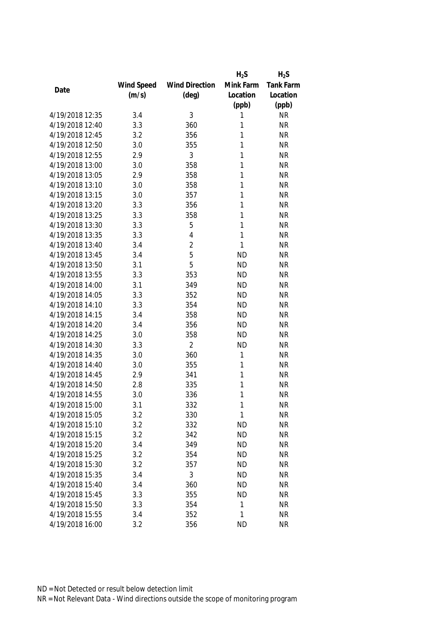|                 |            |                       | $H_2S$    | $H_2S$           |
|-----------------|------------|-----------------------|-----------|------------------|
|                 | Wind Speed | <b>Wind Direction</b> | Mink Farm | <b>Tank Farm</b> |
| Date            | (m/s)      | $(\text{deg})$        | Location  | Location         |
|                 |            |                       | (ppb)     | (ppb)            |
| 4/19/2018 12:35 | 3.4        | 3                     | 1         | <b>NR</b>        |
| 4/19/2018 12:40 | 3.3        | 360                   | 1         | <b>NR</b>        |
| 4/19/2018 12:45 | 3.2        | 356                   | 1         | <b>NR</b>        |
| 4/19/2018 12:50 | 3.0        | 355                   | 1         | <b>NR</b>        |
| 4/19/2018 12:55 | 2.9        | 3                     | 1         | <b>NR</b>        |
| 4/19/2018 13:00 | 3.0        | 358                   | 1         | <b>NR</b>        |
| 4/19/2018 13:05 | 2.9        | 358                   | 1         | <b>NR</b>        |
| 4/19/2018 13:10 | 3.0        | 358                   | 1         | <b>NR</b>        |
| 4/19/2018 13:15 | 3.0        | 357                   | 1         | <b>NR</b>        |
| 4/19/2018 13:20 | 3.3        | 356                   | 1         | <b>NR</b>        |
| 4/19/2018 13:25 | 3.3        | 358                   | 1         | <b>NR</b>        |
| 4/19/2018 13:30 | 3.3        | 5                     | 1         | <b>NR</b>        |
| 4/19/2018 13:35 | 3.3        | $\overline{4}$        | 1         | <b>NR</b>        |
| 4/19/2018 13:40 | 3.4        | $\overline{2}$        | 1         | <b>NR</b>        |
| 4/19/2018 13:45 | 3.4        | 5                     | <b>ND</b> | <b>NR</b>        |
| 4/19/2018 13:50 | 3.1        | 5                     | <b>ND</b> | <b>NR</b>        |
| 4/19/2018 13:55 | 3.3        | 353                   | <b>ND</b> | <b>NR</b>        |
| 4/19/2018 14:00 | 3.1        | 349                   | <b>ND</b> | <b>NR</b>        |
| 4/19/2018 14:05 | 3.3        | 352                   | <b>ND</b> | <b>NR</b>        |
| 4/19/2018 14:10 | 3.3        | 354                   | <b>ND</b> | <b>NR</b>        |
| 4/19/2018 14:15 | 3.4        | 358                   | <b>ND</b> | <b>NR</b>        |
| 4/19/2018 14:20 | 3.4        | 356                   | <b>ND</b> | <b>NR</b>        |
| 4/19/2018 14:25 | 3.0        | 358                   | <b>ND</b> | <b>NR</b>        |
| 4/19/2018 14:30 | 3.3        | $\overline{2}$        | <b>ND</b> | <b>NR</b>        |
| 4/19/2018 14:35 | 3.0        | 360                   | 1         | <b>NR</b>        |
| 4/19/2018 14:40 | 3.0        | 355                   | 1         | <b>NR</b>        |
| 4/19/2018 14:45 | 2.9        | 341                   | 1         | <b>NR</b>        |
| 4/19/2018 14:50 | 2.8        | 335                   | 1         | <b>NR</b>        |
| 4/19/2018 14:55 | 3.0        | 336                   | 1         | <b>NR</b>        |
| 4/19/2018 15:00 | 3.1        | 332                   | 1         | <b>NR</b>        |
| 4/19/2018 15:05 | 3.2        | 330                   | 1         | <b>NR</b>        |
| 4/19/2018 15:10 | 3.2        | 332                   | <b>ND</b> | <b>NR</b>        |
| 4/19/2018 15:15 | 3.2        | 342                   | <b>ND</b> | <b>NR</b>        |
| 4/19/2018 15:20 | 3.4        | 349                   | <b>ND</b> | <b>NR</b>        |
| 4/19/2018 15:25 | 3.2        | 354                   | <b>ND</b> | <b>NR</b>        |
| 4/19/2018 15:30 | 3.2        | 357                   | <b>ND</b> | <b>NR</b>        |
| 4/19/2018 15:35 | 3.4        | 3                     | <b>ND</b> | <b>NR</b>        |
| 4/19/2018 15:40 | 3.4        | 360                   | <b>ND</b> | <b>NR</b>        |
| 4/19/2018 15:45 | 3.3        | 355                   | <b>ND</b> | <b>NR</b>        |
| 4/19/2018 15:50 | 3.3        | 354                   | 1         | <b>NR</b>        |
| 4/19/2018 15:55 | 3.4        | 352                   | 1         | <b>NR</b>        |
| 4/19/2018 16:00 | 3.2        | 356                   | <b>ND</b> | <b>NR</b>        |
|                 |            |                       |           |                  |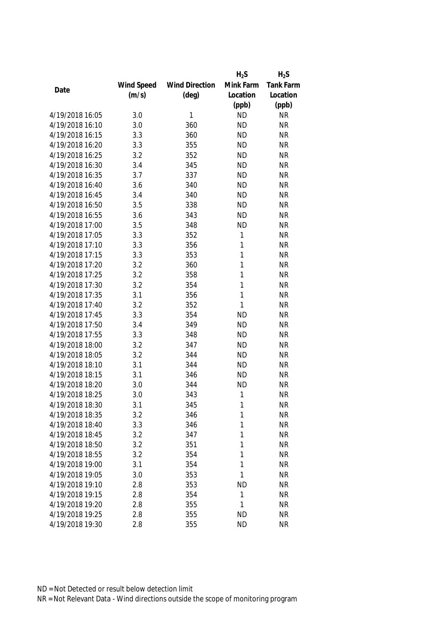|                 |            |                       | $H_2S$       | $H_2S$    |
|-----------------|------------|-----------------------|--------------|-----------|
|                 | Wind Speed | <b>Wind Direction</b> | Mink Farm    | Tank Farm |
| Date            | (m/s)      | $(\text{deg})$        | Location     | Location  |
|                 |            |                       | (ppb)        | (ppb)     |
| 4/19/2018 16:05 | 3.0        | 1                     | <b>ND</b>    | <b>NR</b> |
| 4/19/2018 16:10 | 3.0        | 360                   | <b>ND</b>    | <b>NR</b> |
| 4/19/2018 16:15 | 3.3        | 360                   | <b>ND</b>    | <b>NR</b> |
| 4/19/2018 16:20 | 3.3        | 355                   | <b>ND</b>    | <b>NR</b> |
| 4/19/2018 16:25 | 3.2        | 352                   | <b>ND</b>    | <b>NR</b> |
| 4/19/2018 16:30 | 3.4        | 345                   | <b>ND</b>    | <b>NR</b> |
| 4/19/2018 16:35 | 3.7        | 337                   | <b>ND</b>    | <b>NR</b> |
| 4/19/2018 16:40 | 3.6        | 340                   | <b>ND</b>    | <b>NR</b> |
| 4/19/2018 16:45 | 3.4        | 340                   | <b>ND</b>    | <b>NR</b> |
| 4/19/2018 16:50 | 3.5        | 338                   | <b>ND</b>    | <b>NR</b> |
| 4/19/2018 16:55 | 3.6        | 343                   | <b>ND</b>    | <b>NR</b> |
| 4/19/2018 17:00 | 3.5        | 348                   | <b>ND</b>    | <b>NR</b> |
| 4/19/2018 17:05 | 3.3        | 352                   | 1            | <b>NR</b> |
| 4/19/2018 17:10 | 3.3        | 356                   | 1            | <b>NR</b> |
| 4/19/2018 17:15 | 3.3        | 353                   | 1            | <b>NR</b> |
| 4/19/2018 17:20 | 3.2        | 360                   | $\mathbf{1}$ | <b>NR</b> |
| 4/19/2018 17:25 | 3.2        | 358                   | 1            | <b>NR</b> |
| 4/19/2018 17:30 | 3.2        | 354                   | $\mathbf{1}$ | <b>NR</b> |
| 4/19/2018 17:35 | 3.1        | 356                   | 1            | <b>NR</b> |
| 4/19/2018 17:40 | 3.2        | 352                   | 1            | <b>NR</b> |
| 4/19/2018 17:45 | 3.3        | 354                   | <b>ND</b>    | <b>NR</b> |
| 4/19/2018 17:50 | 3.4        | 349                   | <b>ND</b>    | <b>NR</b> |
| 4/19/2018 17:55 | 3.3        | 348                   | <b>ND</b>    | <b>NR</b> |
| 4/19/2018 18:00 | 3.2        | 347                   | <b>ND</b>    | <b>NR</b> |
| 4/19/2018 18:05 | 3.2        | 344                   | <b>ND</b>    | <b>NR</b> |
| 4/19/2018 18:10 | 3.1        | 344                   | <b>ND</b>    | <b>NR</b> |
| 4/19/2018 18:15 | 3.1        | 346                   | <b>ND</b>    | <b>NR</b> |
| 4/19/2018 18:20 | 3.0        | 344                   | <b>ND</b>    | <b>NR</b> |
| 4/19/2018 18:25 | 3.0        | 343                   | $\mathbf{1}$ | <b>NR</b> |
| 4/19/2018 18:30 | 3.1        | 345                   | 1            | <b>NR</b> |
| 4/19/2018 18:35 | 3.2        | 346                   | 1            | <b>NR</b> |
| 4/19/2018 18:40 | 3.3        | 346                   | 1            | <b>NR</b> |
| 4/19/2018 18:45 | 3.2        | 347                   | 1            | <b>NR</b> |
| 4/19/2018 18:50 | 3.2        | 351                   | 1            | <b>NR</b> |
| 4/19/2018 18:55 | 3.2        | 354                   | 1            | <b>NR</b> |
| 4/19/2018 19:00 |            |                       | 1            | <b>NR</b> |
|                 | 3.1        | 354                   |              |           |
| 4/19/2018 19:05 | 3.0        | 353                   | 1            | <b>NR</b> |
| 4/19/2018 19:10 | 2.8        | 353                   | <b>ND</b>    | <b>NR</b> |
| 4/19/2018 19:15 | 2.8        | 354                   | 1            | <b>NR</b> |
| 4/19/2018 19:20 | 2.8        | 355                   | 1            | <b>NR</b> |
| 4/19/2018 19:25 | 2.8        | 355                   | <b>ND</b>    | <b>NR</b> |
| 4/19/2018 19:30 | 2.8        | 355                   | <b>ND</b>    | <b>NR</b> |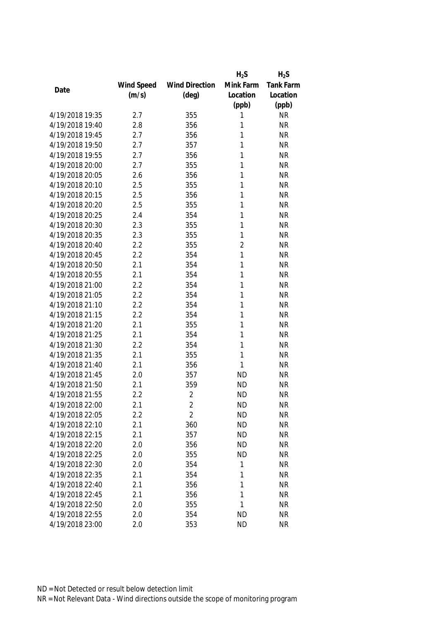|                 |            |                       | $H_2S$         | $H_2S$    |
|-----------------|------------|-----------------------|----------------|-----------|
|                 | Wind Speed | <b>Wind Direction</b> | Mink Farm      | Tank Farm |
| Date            | (m/s)      | $(\text{deg})$        | Location       | Location  |
|                 |            |                       | (ppb)          | (ppb)     |
| 4/19/2018 19:35 | 2.7        | 355                   | 1              | <b>NR</b> |
| 4/19/2018 19:40 | 2.8        | 356                   | 1              | <b>NR</b> |
| 4/19/2018 19:45 | 2.7        | 356                   | 1              | <b>NR</b> |
| 4/19/2018 19:50 | 2.7        | 357                   | 1              | <b>NR</b> |
| 4/19/2018 19:55 | 2.7        | 356                   | 1              | <b>NR</b> |
| 4/19/2018 20:00 | 2.7        | 355                   | 1              | <b>NR</b> |
| 4/19/2018 20:05 | 2.6        | 356                   | 1              | <b>NR</b> |
| 4/19/2018 20:10 | 2.5        | 355                   | 1              | <b>NR</b> |
| 4/19/2018 20:15 | 2.5        | 356                   | 1              | <b>NR</b> |
| 4/19/2018 20:20 | 2.5        | 355                   | 1              | <b>NR</b> |
| 4/19/2018 20:25 | 2.4        | 354                   | 1              | <b>NR</b> |
| 4/19/2018 20:30 | 2.3        | 355                   | 1              | <b>NR</b> |
| 4/19/2018 20:35 | 2.3        | 355                   | 1              | <b>NR</b> |
| 4/19/2018 20:40 | 2.2        | 355                   | $\overline{2}$ | <b>NR</b> |
| 4/19/2018 20:45 | 2.2        | 354                   | 1              | <b>NR</b> |
| 4/19/2018 20:50 | 2.1        | 354                   | 1              | <b>NR</b> |
| 4/19/2018 20:55 | 2.1        | 354                   | 1              | <b>NR</b> |
| 4/19/2018 21:00 | 2.2        | 354                   | 1              | <b>NR</b> |
| 4/19/2018 21:05 | 2.2        | 354                   | 1              | <b>NR</b> |
| 4/19/2018 21:10 | 2.2        | 354                   | 1              | <b>NR</b> |
| 4/19/2018 21:15 | 2.2        | 354                   | 1              | <b>NR</b> |
| 4/19/2018 21:20 | 2.1        | 355                   | 1              | <b>NR</b> |
| 4/19/2018 21:25 | 2.1        | 354                   | 1              | <b>NR</b> |
| 4/19/2018 21:30 | 2.2        | 354                   | 1              | <b>NR</b> |
| 4/19/2018 21:35 | 2.1        | 355                   | 1              | <b>NR</b> |
| 4/19/2018 21:40 | 2.1        | 356                   | 1              | <b>NR</b> |
| 4/19/2018 21:45 | 2.0        | 357                   | <b>ND</b>      | <b>NR</b> |
| 4/19/2018 21:50 | 2.1        | 359                   | <b>ND</b>      | <b>NR</b> |
| 4/19/2018 21:55 | 2.2        | $\overline{2}$        | <b>ND</b>      | <b>NR</b> |
| 4/19/2018 22:00 | 2.1        | 2                     | <b>ND</b>      | <b>NR</b> |
| 4/19/2018 22:05 | 2.2        | $\overline{2}$        | <b>ND</b>      | <b>NR</b> |
| 4/19/2018 22:10 | 2.1        | 360                   | <b>ND</b>      | <b>NR</b> |
| 4/19/2018 22:15 | 2.1        | 357                   | <b>ND</b>      | <b>NR</b> |
| 4/19/2018 22:20 | 2.0        | 356                   | <b>ND</b>      | <b>NR</b> |
| 4/19/2018 22:25 | 2.0        | 355                   | <b>ND</b>      | <b>NR</b> |
| 4/19/2018 22:30 | 2.0        | 354                   | 1              | <b>NR</b> |
| 4/19/2018 22:35 |            |                       |                |           |
|                 | 2.1<br>2.1 | 354                   | 1              | <b>NR</b> |
| 4/19/2018 22:40 |            | 356                   | 1<br>1         | <b>NR</b> |
| 4/19/2018 22:45 | 2.1        | 356                   |                | <b>NR</b> |
| 4/19/2018 22:50 | 2.0        | 355                   | 1              | <b>NR</b> |
| 4/19/2018 22:55 | 2.0        | 354                   | <b>ND</b>      | <b>NR</b> |
| 4/19/2018 23:00 | 2.0        | 353                   | <b>ND</b>      | <b>NR</b> |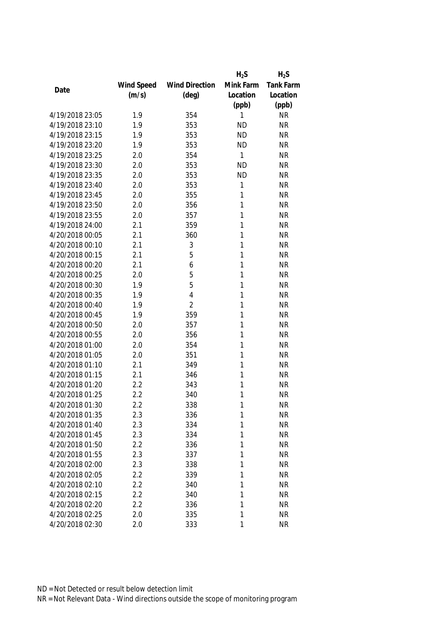|                 |            |                       | $H_2S$    | $H_2S$    |
|-----------------|------------|-----------------------|-----------|-----------|
|                 | Wind Speed | <b>Wind Direction</b> | Mink Farm | Tank Farm |
| Date            | (m/s)      | $(\text{deg})$        | Location  | Location  |
|                 |            |                       | (ppb)     | (ppb)     |
| 4/19/2018 23:05 | 1.9        | 354                   | 1         | <b>NR</b> |
| 4/19/2018 23:10 | 1.9        | 353                   | <b>ND</b> | <b>NR</b> |
| 4/19/2018 23:15 | 1.9        | 353                   | <b>ND</b> | <b>NR</b> |
| 4/19/2018 23:20 | 1.9        | 353                   | <b>ND</b> | <b>NR</b> |
| 4/19/2018 23:25 | 2.0        | 354                   | 1         | <b>NR</b> |
| 4/19/2018 23:30 | 2.0        | 353                   | <b>ND</b> | <b>NR</b> |
| 4/19/2018 23:35 | 2.0        | 353                   | <b>ND</b> | <b>NR</b> |
| 4/19/2018 23:40 | 2.0        | 353                   | 1         | <b>NR</b> |
| 4/19/2018 23:45 | 2.0        | 355                   | 1         | <b>NR</b> |
| 4/19/2018 23:50 | 2.0        | 356                   | 1         | <b>NR</b> |
| 4/19/2018 23:55 | 2.0        | 357                   | 1         | <b>NR</b> |
| 4/19/2018 24:00 | 2.1        | 359                   | 1         | <b>NR</b> |
| 4/20/2018 00:05 | 2.1        | 360                   | 1         | <b>NR</b> |
| 4/20/2018 00:10 | 2.1        | 3                     | 1         | <b>NR</b> |
| 4/20/2018 00:15 | 2.1        | 5                     | 1         | <b>NR</b> |
| 4/20/2018 00:20 | 2.1        | 6                     | 1         | <b>NR</b> |
| 4/20/2018 00:25 | 2.0        | 5                     | 1         | <b>NR</b> |
| 4/20/2018 00:30 | 1.9        | 5                     | 1         | <b>NR</b> |
| 4/20/2018 00:35 | 1.9        | $\overline{4}$        | 1         | <b>NR</b> |
| 4/20/2018 00:40 | 1.9        | $\overline{2}$        | 1         | <b>NR</b> |
| 4/20/2018 00:45 | 1.9        | 359                   | 1         | <b>NR</b> |
| 4/20/2018 00:50 | 2.0        | 357                   | 1         | <b>NR</b> |
| 4/20/2018 00:55 | 2.0        | 356                   | 1         | <b>NR</b> |
| 4/20/2018 01:00 | 2.0        | 354                   | 1         | <b>NR</b> |
| 4/20/2018 01:05 | 2.0        | 351                   | 1         | <b>NR</b> |
| 4/20/2018 01:10 | 2.1        | 349                   | 1         | <b>NR</b> |
| 4/20/2018 01:15 | 2.1        | 346                   | 1         | <b>NR</b> |
| 4/20/2018 01:20 | 2.2        | 343                   | 1         | <b>NR</b> |
| 4/20/2018 01:25 | 2.2        | 340                   | 1         | <b>NR</b> |
| 4/20/2018 01:30 | 2.2        | 338                   | 1         | <b>NR</b> |
| 4/20/2018 01:35 | 2.3        | 336                   | 1         | <b>NR</b> |
| 4/20/2018 01:40 | 2.3        | 334                   | 1         | <b>NR</b> |
| 4/20/2018 01:45 | 2.3        | 334                   | 1         | <b>NR</b> |
| 4/20/2018 01:50 | 2.2        | 336                   | 1         | <b>NR</b> |
| 4/20/2018 01:55 | 2.3        | 337                   | 1         | <b>NR</b> |
| 4/20/2018 02:00 | 2.3        | 338                   | 1         | <b>NR</b> |
| 4/20/2018 02:05 | 2.2        | 339                   | 1         | <b>NR</b> |
| 4/20/2018 02:10 | 2.2        | 340                   | 1         | <b>NR</b> |
| 4/20/2018 02:15 | 2.2        | 340                   | 1         | <b>NR</b> |
| 4/20/2018 02:20 | 2.2        | 336                   | 1         | <b>NR</b> |
| 4/20/2018 02:25 | 2.0        | 335                   | 1         | <b>NR</b> |
| 4/20/2018 02:30 | 2.0        | 333                   | 1         | <b>NR</b> |
|                 |            |                       |           |           |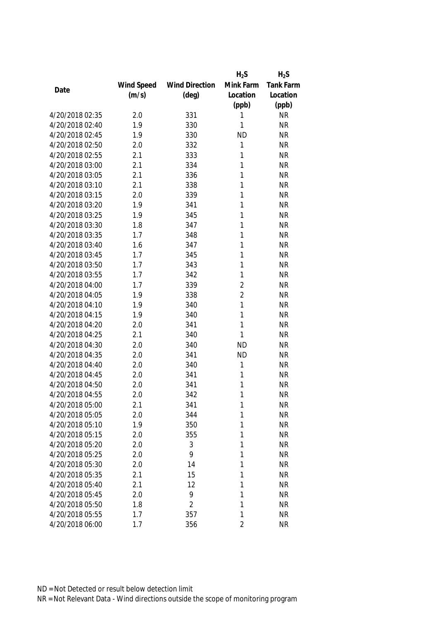|                 |            |                       | $H_2S$         | $H_2S$           |
|-----------------|------------|-----------------------|----------------|------------------|
|                 | Wind Speed | <b>Wind Direction</b> | Mink Farm      | <b>Tank Farm</b> |
| Date            | (m/s)      | $(\text{deg})$        | Location       | Location         |
|                 |            |                       | (ppb)          | (ppb)            |
| 4/20/2018 02:35 | 2.0        | 331                   | 1              | <b>NR</b>        |
| 4/20/2018 02:40 | 1.9        | 330                   | 1              | <b>NR</b>        |
| 4/20/2018 02:45 | 1.9        | 330                   | <b>ND</b>      | <b>NR</b>        |
| 4/20/2018 02:50 | 2.0        | 332                   | 1              | <b>NR</b>        |
| 4/20/2018 02:55 | 2.1        | 333                   | 1              | <b>NR</b>        |
| 4/20/2018 03:00 | 2.1        | 334                   | 1              | <b>NR</b>        |
| 4/20/2018 03:05 | 2.1        | 336                   | 1              | <b>NR</b>        |
| 4/20/2018 03:10 | 2.1        | 338                   | 1              | <b>NR</b>        |
| 4/20/2018 03:15 | 2.0        | 339                   | 1              | <b>NR</b>        |
| 4/20/2018 03:20 | 1.9        | 341                   | 1              | <b>NR</b>        |
| 4/20/2018 03:25 | 1.9        | 345                   | 1              | <b>NR</b>        |
| 4/20/2018 03:30 | 1.8        | 347                   | 1              | <b>NR</b>        |
| 4/20/2018 03:35 | 1.7        | 348                   | 1              | <b>NR</b>        |
| 4/20/2018 03:40 | 1.6        | 347                   | 1              | <b>NR</b>        |
| 4/20/2018 03:45 | 1.7        | 345                   | 1              | <b>NR</b>        |
| 4/20/2018 03:50 | 1.7        | 343                   | 1              | <b>NR</b>        |
| 4/20/2018 03:55 | 1.7        | 342                   | 1              | <b>NR</b>        |
| 4/20/2018 04:00 | 1.7        | 339                   | $\overline{2}$ | <b>NR</b>        |
| 4/20/2018 04:05 | 1.9        | 338                   | $\overline{2}$ | <b>NR</b>        |
| 4/20/2018 04:10 | 1.9        | 340                   | 1              | <b>NR</b>        |
| 4/20/2018 04:15 | 1.9        | 340                   | 1              | <b>NR</b>        |
| 4/20/2018 04:20 | 2.0        | 341                   | 1              | <b>NR</b>        |
| 4/20/2018 04:25 | 2.1        | 340                   | 1              | <b>NR</b>        |
| 4/20/2018 04:30 | 2.0        | 340                   | <b>ND</b>      | <b>NR</b>        |
| 4/20/2018 04:35 | 2.0        | 341                   | <b>ND</b>      | <b>NR</b>        |
| 4/20/2018 04:40 | 2.0        | 340                   | 1              | <b>NR</b>        |
| 4/20/2018 04:45 | 2.0        | 341                   | 1              | <b>NR</b>        |
| 4/20/2018 04:50 | 2.0        | 341                   | 1              | <b>NR</b>        |
| 4/20/2018 04:55 | 2.0        | 342                   | 1              | <b>NR</b>        |
| 4/20/2018 05:00 | 2.1        | 341                   | 1              | <b>NR</b>        |
| 4/20/2018 05:05 | 2.0        | 344                   | 1              | <b>NR</b>        |
| 4/20/2018 05:10 | 1.9        | 350                   | 1              | <b>NR</b>        |
| 4/20/2018 05:15 | 2.0        | 355                   | 1              | <b>NR</b>        |
| 4/20/2018 05:20 | 2.0        | 3                     | 1              | <b>NR</b>        |
| 4/20/2018 05:25 | 2.0        | 9                     | 1              | <b>NR</b>        |
| 4/20/2018 05:30 | 2.0        | 14                    | 1              | <b>NR</b>        |
| 4/20/2018 05:35 | 2.1        | 15                    | 1              | <b>NR</b>        |
| 4/20/2018 05:40 | 2.1        | 12                    | 1              | <b>NR</b>        |
| 4/20/2018 05:45 | 2.0        | 9                     | 1              | <b>NR</b>        |
| 4/20/2018 05:50 | 1.8        | $\overline{2}$        | 1              | <b>NR</b>        |
| 4/20/2018 05:55 | 1.7        | 357                   | 1              | <b>NR</b>        |
| 4/20/2018 06:00 | 1.7        | 356                   | $\overline{2}$ | <b>NR</b>        |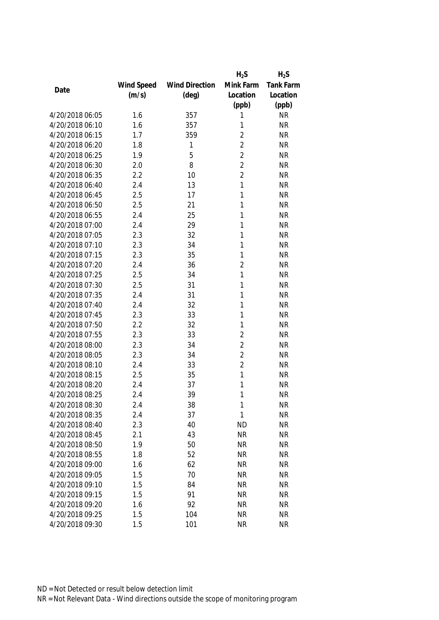|                 |            |                       | $H_2S$         | $H_2S$    |
|-----------------|------------|-----------------------|----------------|-----------|
|                 | Wind Speed | <b>Wind Direction</b> | Mink Farm      | Tank Farm |
| Date            | (m/s)      | $(\text{deg})$        | Location       | Location  |
|                 |            |                       | (ppb)          | (ppb)     |
| 4/20/2018 06:05 | 1.6        | 357                   | 1              | <b>NR</b> |
| 4/20/2018 06:10 | 1.6        | 357                   | 1              | <b>NR</b> |
| 4/20/2018 06:15 | 1.7        | 359                   | $\overline{2}$ | <b>NR</b> |
| 4/20/2018 06:20 | 1.8        | 1                     | $\overline{2}$ | <b>NR</b> |
| 4/20/2018 06:25 | 1.9        | 5                     | $\overline{2}$ | <b>NR</b> |
| 4/20/2018 06:30 | 2.0        | 8                     | $\overline{2}$ | <b>NR</b> |
| 4/20/2018 06:35 | 2.2        | 10                    | $\overline{2}$ | <b>NR</b> |
| 4/20/2018 06:40 | 2.4        | 13                    | 1              | <b>NR</b> |
| 4/20/2018 06:45 | 2.5        | 17                    | 1              | <b>NR</b> |
| 4/20/2018 06:50 | 2.5        | 21                    | 1              | <b>NR</b> |
| 4/20/2018 06:55 | 2.4        | 25                    | 1              | <b>NR</b> |
| 4/20/2018 07:00 | 2.4        | 29                    | 1              | <b>NR</b> |
| 4/20/2018 07:05 | 2.3        | 32                    | 1              | <b>NR</b> |
| 4/20/2018 07:10 | 2.3        | 34                    | 1              | <b>NR</b> |
| 4/20/2018 07:15 | 2.3        | 35                    | 1              | <b>NR</b> |
| 4/20/2018 07:20 | 2.4        | 36                    | $\overline{2}$ | <b>NR</b> |
| 4/20/2018 07:25 | 2.5        | 34                    | 1              | <b>NR</b> |
| 4/20/2018 07:30 | 2.5        | 31                    | 1              | <b>NR</b> |
| 4/20/2018 07:35 | 2.4        | 31                    | 1              | <b>NR</b> |
| 4/20/2018 07:40 | 2.4        | 32                    | 1              | <b>NR</b> |
| 4/20/2018 07:45 | 2.3        | 33                    | 1              | <b>NR</b> |
| 4/20/2018 07:50 | 2.2        | 32                    | 1              | <b>NR</b> |
| 4/20/2018 07:55 | 2.3        | 33                    | $\overline{2}$ | <b>NR</b> |
| 4/20/2018 08:00 | 2.3        | 34                    | $\overline{2}$ | <b>NR</b> |
| 4/20/2018 08:05 | 2.3        | 34                    | $\overline{2}$ | <b>NR</b> |
| 4/20/2018 08:10 | 2.4        | 33                    | $\overline{2}$ | <b>NR</b> |
| 4/20/2018 08:15 | 2.5        | 35                    | 1              | <b>NR</b> |
| 4/20/2018 08:20 | 2.4        | 37                    | 1              | <b>NR</b> |
| 4/20/2018 08:25 | 2.4        | 39                    | 1              | <b>NR</b> |
| 4/20/2018 08:30 | 2.4        | 38                    | 1              | <b>NR</b> |
| 4/20/2018 08:35 | 2.4        | 37                    | 1              | <b>NR</b> |
| 4/20/2018 08:40 | 2.3        | 40                    | <b>ND</b>      | <b>NR</b> |
| 4/20/2018 08:45 | 2.1        | 43                    | <b>NR</b>      | <b>NR</b> |
| 4/20/2018 08:50 | 1.9        | 50                    | <b>NR</b>      | <b>NR</b> |
| 4/20/2018 08:55 | 1.8        | 52                    | <b>NR</b>      | <b>NR</b> |
| 4/20/2018 09:00 | 1.6        | 62                    | <b>NR</b>      | <b>NR</b> |
| 4/20/2018 09:05 | 1.5        | 70                    | <b>NR</b>      | <b>NR</b> |
| 4/20/2018 09:10 | 1.5        | 84                    | <b>NR</b>      | <b>NR</b> |
| 4/20/2018 09:15 | 1.5        | 91                    | <b>NR</b>      | <b>NR</b> |
| 4/20/2018 09:20 | 1.6        | 92                    | <b>NR</b>      | <b>NR</b> |
| 4/20/2018 09:25 | 1.5        | 104                   | <b>NR</b>      | <b>NR</b> |
| 4/20/2018 09:30 | 1.5        | 101                   | <b>NR</b>      | <b>NR</b> |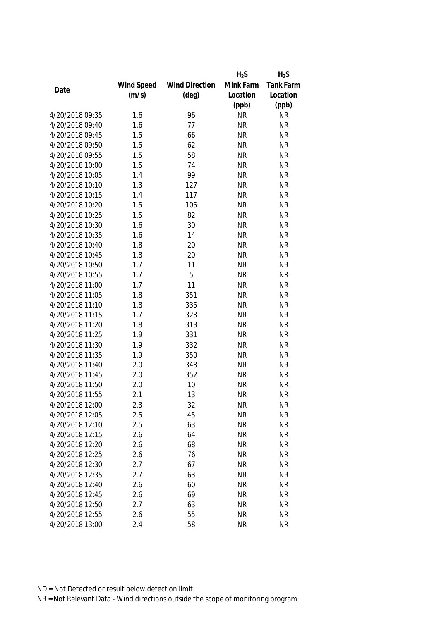|                 |            |                       | $H_2S$    | $H_2S$           |
|-----------------|------------|-----------------------|-----------|------------------|
|                 | Wind Speed | <b>Wind Direction</b> | Mink Farm | <b>Tank Farm</b> |
| Date            | (m/s)      | $(\text{deg})$        | Location  | Location         |
|                 |            |                       | (ppb)     | (ppb)            |
| 4/20/2018 09:35 | 1.6        | 96                    | <b>NR</b> | <b>NR</b>        |
| 4/20/2018 09:40 | 1.6        | 77                    | <b>NR</b> | <b>NR</b>        |
| 4/20/2018 09:45 | 1.5        | 66                    | <b>NR</b> | <b>NR</b>        |
| 4/20/2018 09:50 | 1.5        | 62                    | <b>NR</b> | <b>NR</b>        |
| 4/20/2018 09:55 | 1.5        | 58                    | <b>NR</b> | <b>NR</b>        |
| 4/20/2018 10:00 | 1.5        | 74                    | <b>NR</b> | <b>NR</b>        |
| 4/20/2018 10:05 | 1.4        | 99                    | <b>NR</b> | <b>NR</b>        |
| 4/20/2018 10:10 | 1.3        | 127                   | <b>NR</b> | <b>NR</b>        |
| 4/20/2018 10:15 | 1.4        | 117                   | <b>NR</b> | <b>NR</b>        |
| 4/20/2018 10:20 | 1.5        | 105                   | <b>NR</b> | <b>NR</b>        |
| 4/20/2018 10:25 | 1.5        | 82                    | <b>NR</b> | <b>NR</b>        |
| 4/20/2018 10:30 | 1.6        | 30                    | <b>NR</b> | <b>NR</b>        |
| 4/20/2018 10:35 | 1.6        | 14                    | <b>NR</b> | <b>NR</b>        |
| 4/20/2018 10:40 | 1.8        | 20                    | <b>NR</b> | <b>NR</b>        |
| 4/20/2018 10:45 | 1.8        | 20                    | <b>NR</b> | <b>NR</b>        |
| 4/20/2018 10:50 | 1.7        | 11                    | <b>NR</b> | <b>NR</b>        |
| 4/20/2018 10:55 | 1.7        | 5                     | <b>NR</b> | <b>NR</b>        |
| 4/20/2018 11:00 | 1.7        | 11                    | <b>NR</b> | <b>NR</b>        |
| 4/20/2018 11:05 | 1.8        | 351                   | <b>NR</b> | <b>NR</b>        |
| 4/20/2018 11:10 | 1.8        | 335                   | <b>NR</b> | <b>NR</b>        |
| 4/20/2018 11:15 | 1.7        | 323                   | <b>NR</b> | <b>NR</b>        |
| 4/20/2018 11:20 | 1.8        | 313                   | <b>NR</b> | <b>NR</b>        |
| 4/20/2018 11:25 | 1.9        | 331                   | <b>NR</b> | <b>NR</b>        |
| 4/20/2018 11:30 | 1.9        | 332                   | <b>NR</b> | <b>NR</b>        |
| 4/20/2018 11:35 | 1.9        | 350                   | <b>NR</b> | <b>NR</b>        |
| 4/20/2018 11:40 | 2.0        | 348                   | <b>NR</b> | <b>NR</b>        |
| 4/20/2018 11:45 | 2.0        | 352                   | <b>NR</b> | <b>NR</b>        |
| 4/20/2018 11:50 | 2.0        | 10                    | <b>NR</b> | <b>NR</b>        |
| 4/20/2018 11:55 | 2.1        | 13                    | <b>NR</b> | <b>NR</b>        |
| 4/20/2018 12:00 | 2.3        | 32                    | <b>NR</b> | <b>NR</b>        |
| 4/20/2018 12:05 | 2.5        | 45                    | <b>NR</b> | <b>NR</b>        |
| 4/20/2018 12:10 | 2.5        | 63                    | <b>NR</b> | <b>NR</b>        |
| 4/20/2018 12:15 | 2.6        | 64                    | <b>NR</b> | <b>NR</b>        |
| 4/20/2018 12:20 | 2.6        | 68                    | <b>NR</b> | <b>NR</b>        |
| 4/20/2018 12:25 | 2.6        | 76                    | <b>NR</b> | <b>NR</b>        |
| 4/20/2018 12:30 | 2.7        | 67                    | <b>NR</b> | <b>NR</b>        |
| 4/20/2018 12:35 | 2.7        | 63                    | <b>NR</b> | <b>NR</b>        |
| 4/20/2018 12:40 | 2.6        | 60                    | <b>NR</b> | <b>NR</b>        |
| 4/20/2018 12:45 | 2.6        | 69                    | <b>NR</b> | <b>NR</b>        |
| 4/20/2018 12:50 | 2.7        | 63                    | <b>NR</b> | <b>NR</b>        |
| 4/20/2018 12:55 | 2.6        | 55                    | <b>NR</b> | <b>NR</b>        |
| 4/20/2018 13:00 | 2.4        | 58                    | <b>NR</b> | <b>NR</b>        |
|                 |            |                       |           |                  |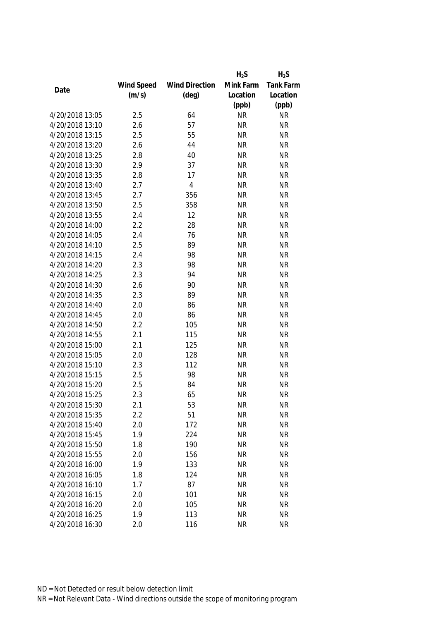|                 |            |                       | $H_2S$    | $H_2S$           |
|-----------------|------------|-----------------------|-----------|------------------|
|                 | Wind Speed | <b>Wind Direction</b> | Mink Farm | <b>Tank Farm</b> |
| Date            | (m/s)      | $(\text{deg})$        | Location  | Location         |
|                 |            |                       | (ppb)     | (ppb)            |
| 4/20/2018 13:05 | 2.5        | 64                    | <b>NR</b> | <b>NR</b>        |
| 4/20/2018 13:10 | 2.6        | 57                    | <b>NR</b> | <b>NR</b>        |
| 4/20/2018 13:15 | 2.5        | 55                    | <b>NR</b> | <b>NR</b>        |
| 4/20/2018 13:20 | 2.6        | 44                    | <b>NR</b> | <b>NR</b>        |
| 4/20/2018 13:25 | 2.8        | 40                    | <b>NR</b> | <b>NR</b>        |
| 4/20/2018 13:30 | 2.9        | 37                    | <b>NR</b> | <b>NR</b>        |
| 4/20/2018 13:35 | 2.8        | 17                    | <b>NR</b> | <b>NR</b>        |
| 4/20/2018 13:40 | 2.7        | $\overline{4}$        | <b>NR</b> | <b>NR</b>        |
| 4/20/2018 13:45 | 2.7        | 356                   | <b>NR</b> | <b>NR</b>        |
| 4/20/2018 13:50 | 2.5        | 358                   | <b>NR</b> | <b>NR</b>        |
| 4/20/2018 13:55 | 2.4        | 12                    | <b>NR</b> | <b>NR</b>        |
| 4/20/2018 14:00 | 2.2        | 28                    | <b>NR</b> | <b>NR</b>        |
| 4/20/2018 14:05 | 2.4        | 76                    | <b>NR</b> | <b>NR</b>        |
| 4/20/2018 14:10 | 2.5        | 89                    | <b>NR</b> | <b>NR</b>        |
| 4/20/2018 14:15 | 2.4        | 98                    | <b>NR</b> | <b>NR</b>        |
| 4/20/2018 14:20 | 2.3        | 98                    | <b>NR</b> | <b>NR</b>        |
| 4/20/2018 14:25 | 2.3        | 94                    | <b>NR</b> | <b>NR</b>        |
| 4/20/2018 14:30 | 2.6        | 90                    | <b>NR</b> | <b>NR</b>        |
| 4/20/2018 14:35 | 2.3        | 89                    | <b>NR</b> | <b>NR</b>        |
| 4/20/2018 14:40 | 2.0        | 86                    | <b>NR</b> | <b>NR</b>        |
| 4/20/2018 14:45 | 2.0        | 86                    | <b>NR</b> | <b>NR</b>        |
| 4/20/2018 14:50 | 2.2        | 105                   | <b>NR</b> | <b>NR</b>        |
| 4/20/2018 14:55 | 2.1        | 115                   | <b>NR</b> | <b>NR</b>        |
| 4/20/2018 15:00 | 2.1        | 125                   | <b>NR</b> | <b>NR</b>        |
| 4/20/2018 15:05 | 2.0        | 128                   | <b>NR</b> | <b>NR</b>        |
| 4/20/2018 15:10 | 2.3        | 112                   | <b>NR</b> | <b>NR</b>        |
| 4/20/2018 15:15 | 2.5        | 98                    | <b>NR</b> | <b>NR</b>        |
| 4/20/2018 15:20 | 2.5        | 84                    | <b>NR</b> | <b>NR</b>        |
| 4/20/2018 15:25 | 2.3        | 65                    | <b>NR</b> | <b>NR</b>        |
| 4/20/2018 15:30 | 2.1        | 53                    | <b>NR</b> | <b>NR</b>        |
| 4/20/2018 15:35 | 2.2        | 51                    | <b>NR</b> | <b>NR</b>        |
| 4/20/2018 15:40 | 2.0        | 172                   | <b>NR</b> | <b>NR</b>        |
| 4/20/2018 15:45 | 1.9        | 224                   | <b>NR</b> | <b>NR</b>        |
| 4/20/2018 15:50 | 1.8        | 190                   | <b>NR</b> | <b>NR</b>        |
| 4/20/2018 15:55 | 2.0        | 156                   | <b>NR</b> | <b>NR</b>        |
| 4/20/2018 16:00 | 1.9        | 133                   | <b>NR</b> | <b>NR</b>        |
| 4/20/2018 16:05 | 1.8        | 124                   | <b>NR</b> | <b>NR</b>        |
| 4/20/2018 16:10 | 1.7        | 87                    | <b>NR</b> | <b>NR</b>        |
| 4/20/2018 16:15 | 2.0        | 101                   | <b>NR</b> | <b>NR</b>        |
| 4/20/2018 16:20 | 2.0        | 105                   | <b>NR</b> | <b>NR</b>        |
| 4/20/2018 16:25 | 1.9        | 113                   | <b>NR</b> | <b>NR</b>        |
| 4/20/2018 16:30 | 2.0        | 116                   | <b>NR</b> | <b>NR</b>        |
|                 |            |                       |           |                  |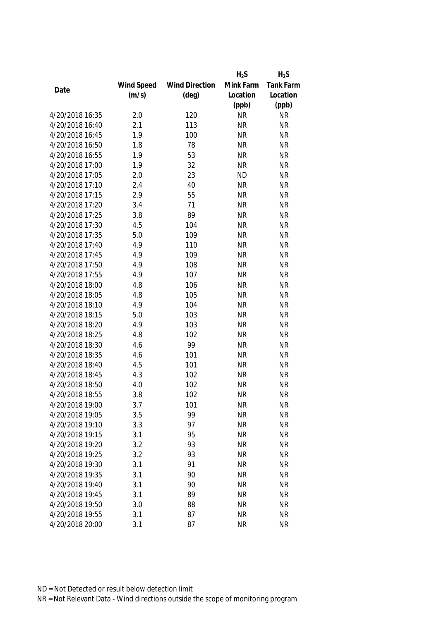|                 |            |                       | $H_2S$    | $H_2S$                 |
|-----------------|------------|-----------------------|-----------|------------------------|
|                 | Wind Speed | <b>Wind Direction</b> | Mink Farm | Tank Farm              |
| Date            | (m/s)      | $(\text{deg})$        | Location  | Location               |
|                 |            |                       | (ppb)     | (ppb)                  |
| 4/20/2018 16:35 | 2.0        | 120                   | <b>NR</b> | <b>NR</b>              |
| 4/20/2018 16:40 | 2.1        | 113                   | <b>NR</b> | <b>NR</b>              |
| 4/20/2018 16:45 | 1.9        | 100                   | <b>NR</b> | <b>NR</b>              |
| 4/20/2018 16:50 | 1.8        | 78                    | <b>NR</b> | <b>NR</b>              |
| 4/20/2018 16:55 | 1.9        | 53                    | <b>NR</b> | <b>NR</b>              |
| 4/20/2018 17:00 | 1.9        | 32                    | <b>NR</b> | <b>NR</b>              |
| 4/20/2018 17:05 | 2.0        | 23                    | <b>ND</b> | <b>NR</b>              |
| 4/20/2018 17:10 | 2.4        | 40                    | <b>NR</b> | <b>NR</b>              |
| 4/20/2018 17:15 | 2.9        | 55                    | <b>NR</b> | <b>NR</b>              |
| 4/20/2018 17:20 | 3.4        | 71                    | <b>NR</b> | <b>NR</b>              |
| 4/20/2018 17:25 | 3.8        | 89                    | <b>NR</b> | <b>NR</b>              |
| 4/20/2018 17:30 | 4.5        | 104                   | <b>NR</b> | <b>NR</b>              |
| 4/20/2018 17:35 | 5.0        | 109                   | <b>NR</b> | <b>NR</b>              |
| 4/20/2018 17:40 | 4.9        | 110                   | <b>NR</b> | <b>NR</b>              |
| 4/20/2018 17:45 | 4.9        | 109                   | <b>NR</b> | <b>NR</b>              |
| 4/20/2018 17:50 | 4.9        | 108                   | <b>NR</b> | <b>NR</b>              |
| 4/20/2018 17:55 | 4.9        | 107                   | <b>NR</b> | <b>NR</b>              |
| 4/20/2018 18:00 | 4.8        | 106                   | <b>NR</b> | <b>NR</b>              |
| 4/20/2018 18:05 | 4.8        | 105                   | <b>NR</b> | <b>NR</b>              |
| 4/20/2018 18:10 | 4.9        | 104                   | <b>NR</b> | <b>NR</b>              |
| 4/20/2018 18:15 | 5.0        | 103                   | <b>NR</b> | <b>NR</b>              |
| 4/20/2018 18:20 | 4.9        | 103                   | <b>NR</b> | <b>NR</b>              |
| 4/20/2018 18:25 | 4.8        | 102                   | <b>NR</b> | <b>NR</b>              |
| 4/20/2018 18:30 | 4.6        | 99                    | <b>NR</b> | <b>NR</b>              |
| 4/20/2018 18:35 | 4.6        | 101                   | <b>NR</b> | <b>NR</b>              |
| 4/20/2018 18:40 | 4.5        | 101                   | <b>NR</b> | <b>NR</b>              |
| 4/20/2018 18:45 | 4.3        | 102                   | <b>NR</b> | <b>NR</b>              |
| 4/20/2018 18:50 | 4.0        | 102                   | <b>NR</b> | <b>NR</b>              |
| 4/20/2018 18:55 | 3.8        | 102                   | <b>NR</b> | <b>NR</b>              |
| 4/20/2018 19:00 | 3.7        | 101                   | <b>NR</b> | <b>NR</b>              |
| 4/20/2018 19:05 | 3.5        | 99                    | <b>NR</b> | <b>NR</b>              |
| 4/20/2018 19:10 | 3.3        | 97                    | <b>NR</b> | <b>NR</b>              |
| 4/20/2018 19:15 | 3.1        | 95                    | <b>NR</b> | <b>NR</b>              |
| 4/20/2018 19:20 | 3.2        | 93                    | <b>NR</b> | <b>NR</b>              |
| 4/20/2018 19:25 | 3.2        | 93                    | <b>NR</b> | <b>NR</b>              |
| 4/20/2018 19:30 | 3.1        | 91                    | <b>NR</b> | <b>NR</b>              |
| 4/20/2018 19:35 |            |                       |           | <b>NR</b>              |
| 4/20/2018 19:40 | 3.1        | 90<br>90              | <b>NR</b> |                        |
| 4/20/2018 19:45 | 3.1        |                       | <b>NR</b> | <b>NR</b><br><b>NR</b> |
|                 | 3.1        | 89                    | <b>NR</b> |                        |
| 4/20/2018 19:50 | 3.0        | 88                    | <b>NR</b> | <b>NR</b>              |
| 4/20/2018 19:55 | 3.1        | 87                    | <b>NR</b> | <b>NR</b>              |
| 4/20/2018 20:00 | 3.1        | 87                    | <b>NR</b> | <b>NR</b>              |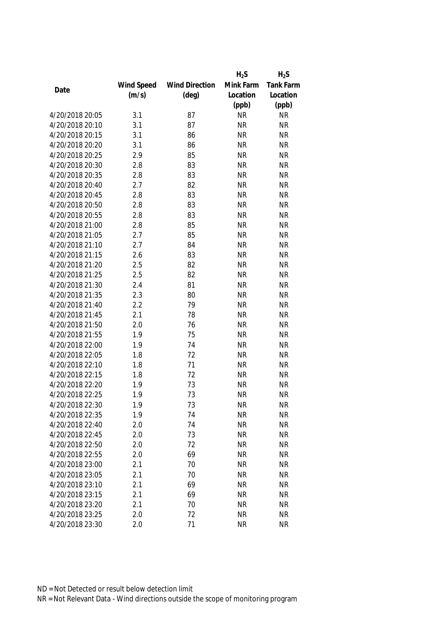|                 |            |                       | $H_2S$    | $H_2S$           |
|-----------------|------------|-----------------------|-----------|------------------|
|                 | Wind Speed | <b>Wind Direction</b> | Mink Farm | <b>Tank Farm</b> |
| Date            | (m/s)      | $(\text{deg})$        | Location  | Location         |
|                 |            |                       | (ppb)     | (ppb)            |
| 4/20/2018 20:05 | 3.1        | 87                    | <b>NR</b> | <b>NR</b>        |
| 4/20/2018 20:10 | 3.1        | 87                    | <b>NR</b> | <b>NR</b>        |
| 4/20/2018 20:15 | 3.1        | 86                    | <b>NR</b> | <b>NR</b>        |
| 4/20/2018 20:20 | 3.1        | 86                    | <b>NR</b> | <b>NR</b>        |
| 4/20/2018 20:25 | 2.9        | 85                    | <b>NR</b> | <b>NR</b>        |
| 4/20/2018 20:30 | 2.8        | 83                    | <b>NR</b> | <b>NR</b>        |
| 4/20/2018 20:35 | 2.8        | 83                    | <b>NR</b> | <b>NR</b>        |
| 4/20/2018 20:40 | 2.7        | 82                    | <b>NR</b> | <b>NR</b>        |
| 4/20/2018 20:45 | 2.8        | 83                    | <b>NR</b> | <b>NR</b>        |
| 4/20/2018 20:50 | 2.8        | 83                    | <b>NR</b> | <b>NR</b>        |
| 4/20/2018 20:55 | 2.8        | 83                    | <b>NR</b> | <b>NR</b>        |
| 4/20/2018 21:00 | 2.8        | 85                    | <b>NR</b> | <b>NR</b>        |
| 4/20/2018 21:05 | 2.7        | 85                    | <b>NR</b> | <b>NR</b>        |
| 4/20/2018 21:10 | 2.7        | 84                    | <b>NR</b> | <b>NR</b>        |
| 4/20/2018 21:15 | 2.6        | 83                    | <b>NR</b> | <b>NR</b>        |
| 4/20/2018 21:20 | 2.5        | 82                    | <b>NR</b> | <b>NR</b>        |
| 4/20/2018 21:25 | 2.5        | 82                    | <b>NR</b> | <b>NR</b>        |
| 4/20/2018 21:30 | 2.4        | 81                    | <b>NR</b> | <b>NR</b>        |
| 4/20/2018 21:35 | 2.3        | 80                    | <b>NR</b> | <b>NR</b>        |
| 4/20/2018 21:40 | 2.2        | 79                    | <b>NR</b> | <b>NR</b>        |
| 4/20/2018 21:45 | 2.1        | 78                    | <b>NR</b> | <b>NR</b>        |
| 4/20/2018 21:50 | 2.0        | 76                    | <b>NR</b> | <b>NR</b>        |
| 4/20/2018 21:55 | 1.9        | 75                    | <b>NR</b> | <b>NR</b>        |
| 4/20/2018 22:00 | 1.9        | 74                    | <b>NR</b> | <b>NR</b>        |
| 4/20/2018 22:05 | 1.8        | 72                    | <b>NR</b> | <b>NR</b>        |
| 4/20/2018 22:10 | 1.8        | 71                    | <b>NR</b> | <b>NR</b>        |
| 4/20/2018 22:15 | 1.8        | 72                    | <b>NR</b> | <b>NR</b>        |
| 4/20/2018 22:20 | 1.9        | 73                    | <b>NR</b> | <b>NR</b>        |
| 4/20/2018 22:25 | 1.9        | 73                    | <b>NR</b> | <b>NR</b>        |
| 4/20/2018 22:30 | 1.9        | 73                    | <b>NR</b> | <b>NR</b>        |
| 4/20/2018 22:35 | 1.9        | 74                    | <b>NR</b> | <b>NR</b>        |
| 4/20/2018 22:40 | 2.0        | 74                    | <b>NR</b> | <b>NR</b>        |
| 4/20/2018 22:45 | 2.0        | 73                    | <b>NR</b> | <b>NR</b>        |
| 4/20/2018 22:50 | 2.0        | 72                    | <b>NR</b> | <b>NR</b>        |
| 4/20/2018 22:55 | 2.0        | 69                    | <b>NR</b> | <b>NR</b>        |
| 4/20/2018 23:00 | 2.1        | 70                    | <b>NR</b> | <b>NR</b>        |
| 4/20/2018 23:05 | 2.1        | 70                    | <b>NR</b> | <b>NR</b>        |
| 4/20/2018 23:10 | 2.1        | 69                    | <b>NR</b> | <b>NR</b>        |
| 4/20/2018 23:15 | 2.1        | 69                    | <b>NR</b> | <b>NR</b>        |
| 4/20/2018 23:20 | 2.1        | 70                    | <b>NR</b> | <b>NR</b>        |
|                 |            |                       |           |                  |
| 4/20/2018 23:25 | 2.0        | 72                    | <b>NR</b> | <b>NR</b>        |
| 4/20/2018 23:30 | 2.0        | 71                    | <b>NR</b> | <b>NR</b>        |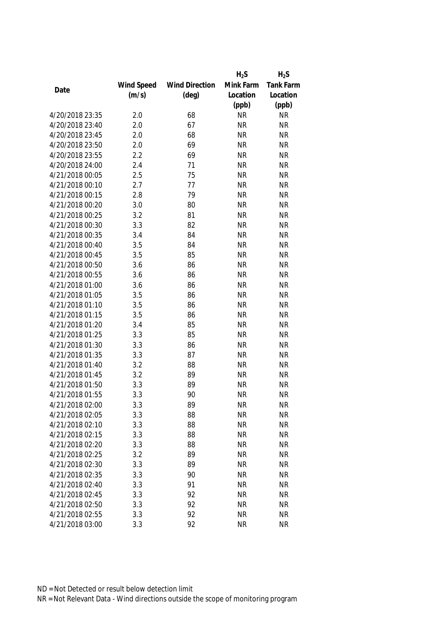|                 |            |                       | $H_2S$    | $H_2S$           |
|-----------------|------------|-----------------------|-----------|------------------|
|                 | Wind Speed | <b>Wind Direction</b> | Mink Farm | <b>Tank Farm</b> |
| Date            | (m/s)      | $(\text{deg})$        | Location  | Location         |
|                 |            |                       | (ppb)     | (ppb)            |
| 4/20/2018 23:35 | 2.0        | 68                    | <b>NR</b> | <b>NR</b>        |
| 4/20/2018 23:40 | 2.0        | 67                    | <b>NR</b> | <b>NR</b>        |
| 4/20/2018 23:45 | 2.0        | 68                    | <b>NR</b> | <b>NR</b>        |
| 4/20/2018 23:50 | 2.0        | 69                    | <b>NR</b> | <b>NR</b>        |
| 4/20/2018 23:55 | 2.2        | 69                    | <b>NR</b> | <b>NR</b>        |
| 4/20/2018 24:00 | 2.4        | 71                    | <b>NR</b> | <b>NR</b>        |
| 4/21/2018 00:05 | 2.5        | 75                    | <b>NR</b> | <b>NR</b>        |
| 4/21/2018 00:10 | 2.7        | 77                    | <b>NR</b> | <b>NR</b>        |
| 4/21/2018 00:15 | 2.8        | 79                    | <b>NR</b> | <b>NR</b>        |
| 4/21/2018 00:20 | 3.0        | 80                    | <b>NR</b> | <b>NR</b>        |
| 4/21/2018 00:25 | 3.2        | 81                    | <b>NR</b> | <b>NR</b>        |
| 4/21/2018 00:30 | 3.3        | 82                    | <b>NR</b> | <b>NR</b>        |
| 4/21/2018 00:35 | 3.4        | 84                    | <b>NR</b> | <b>NR</b>        |
| 4/21/2018 00:40 | 3.5        | 84                    | <b>NR</b> | <b>NR</b>        |
| 4/21/2018 00:45 | 3.5        | 85                    | <b>NR</b> | <b>NR</b>        |
| 4/21/2018 00:50 | 3.6        | 86                    | <b>NR</b> | <b>NR</b>        |
| 4/21/2018 00:55 | 3.6        | 86                    | <b>NR</b> | <b>NR</b>        |
| 4/21/2018 01:00 | 3.6        | 86                    | <b>NR</b> | <b>NR</b>        |
| 4/21/2018 01:05 | 3.5        | 86                    | <b>NR</b> | <b>NR</b>        |
| 4/21/2018 01:10 | 3.5        | 86                    | <b>NR</b> | <b>NR</b>        |
| 4/21/2018 01:15 | 3.5        | 86                    | <b>NR</b> | <b>NR</b>        |
| 4/21/2018 01:20 | 3.4        | 85                    | <b>NR</b> | <b>NR</b>        |
| 4/21/2018 01:25 | 3.3        | 85                    | <b>NR</b> | <b>NR</b>        |
| 4/21/2018 01:30 | 3.3        | 86                    | <b>NR</b> | <b>NR</b>        |
| 4/21/2018 01:35 | 3.3        | 87                    | <b>NR</b> | <b>NR</b>        |
| 4/21/2018 01:40 | 3.2        | 88                    | <b>NR</b> | <b>NR</b>        |
| 4/21/2018 01:45 | 3.2        | 89                    | <b>NR</b> | <b>NR</b>        |
| 4/21/2018 01:50 | 3.3        | 89                    | <b>NR</b> | <b>NR</b>        |
| 4/21/2018 01:55 | 3.3        | 90                    | <b>NR</b> | <b>NR</b>        |
| 4/21/2018 02:00 | 3.3        | 89                    | <b>NR</b> | <b>NR</b>        |
| 4/21/2018 02:05 | 3.3        | 88                    | <b>NR</b> | <b>NR</b>        |
| 4/21/2018 02:10 | 3.3        | 88                    | <b>NR</b> | <b>NR</b>        |
| 4/21/2018 02:15 | 3.3        | 88                    | <b>NR</b> | <b>NR</b>        |
| 4/21/2018 02:20 | 3.3        | 88                    | <b>NR</b> | <b>NR</b>        |
| 4/21/2018 02:25 | 3.2        | 89                    | <b>NR</b> | <b>NR</b>        |
| 4/21/2018 02:30 | 3.3        | 89                    | <b>NR</b> | <b>NR</b>        |
|                 |            |                       |           |                  |
| 4/21/2018 02:35 | 3.3        | 90                    | <b>NR</b> | <b>NR</b>        |
| 4/21/2018 02:40 | 3.3        | 91                    | <b>NR</b> | <b>NR</b>        |
| 4/21/2018 02:45 | 3.3        | 92                    | <b>NR</b> | <b>NR</b>        |
| 4/21/2018 02:50 | 3.3        | 92                    | <b>NR</b> | <b>NR</b>        |
| 4/21/2018 02:55 | 3.3        | 92                    | <b>NR</b> | <b>NR</b>        |
| 4/21/2018 03:00 | 3.3        | 92                    | <b>NR</b> | <b>NR</b>        |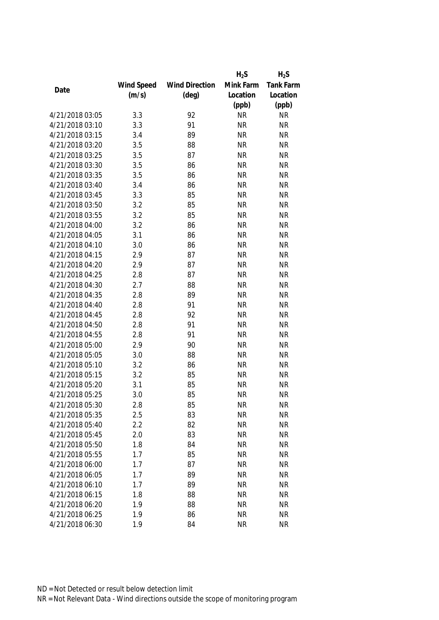|                 |            |                       | $H_2S$    | $H_2S$           |
|-----------------|------------|-----------------------|-----------|------------------|
|                 | Wind Speed | <b>Wind Direction</b> | Mink Farm | <b>Tank Farm</b> |
| Date            | (m/s)      | $(\text{deg})$        | Location  | Location         |
|                 |            |                       | (ppb)     | (ppb)            |
| 4/21/2018 03:05 | 3.3        | 92                    | <b>NR</b> | <b>NR</b>        |
| 4/21/2018 03:10 | 3.3        | 91                    | <b>NR</b> | <b>NR</b>        |
| 4/21/2018 03:15 | 3.4        | 89                    | <b>NR</b> | <b>NR</b>        |
| 4/21/2018 03:20 | 3.5        | 88                    | <b>NR</b> | <b>NR</b>        |
| 4/21/2018 03:25 | 3.5        | 87                    | <b>NR</b> | <b>NR</b>        |
| 4/21/2018 03:30 | 3.5        | 86                    | <b>NR</b> | <b>NR</b>        |
| 4/21/2018 03:35 | 3.5        | 86                    | <b>NR</b> | <b>NR</b>        |
| 4/21/2018 03:40 | 3.4        | 86                    | <b>NR</b> | <b>NR</b>        |
| 4/21/2018 03:45 | 3.3        | 85                    | <b>NR</b> | <b>NR</b>        |
| 4/21/2018 03:50 | 3.2        | 85                    | <b>NR</b> | <b>NR</b>        |
| 4/21/2018 03:55 | 3.2        | 85                    | <b>NR</b> | <b>NR</b>        |
| 4/21/2018 04:00 | 3.2        | 86                    | <b>NR</b> | <b>NR</b>        |
| 4/21/2018 04:05 | 3.1        | 86                    | <b>NR</b> | <b>NR</b>        |
| 4/21/2018 04:10 | 3.0        | 86                    | <b>NR</b> | <b>NR</b>        |
| 4/21/2018 04:15 | 2.9        | 87                    | <b>NR</b> | <b>NR</b>        |
| 4/21/2018 04:20 | 2.9        | 87                    | <b>NR</b> | <b>NR</b>        |
| 4/21/2018 04:25 | 2.8        | 87                    | <b>NR</b> | <b>NR</b>        |
| 4/21/2018 04:30 | 2.7        | 88                    | <b>NR</b> | <b>NR</b>        |
| 4/21/2018 04:35 | 2.8        | 89                    | <b>NR</b> | <b>NR</b>        |
| 4/21/2018 04:40 | 2.8        | 91                    | <b>NR</b> | <b>NR</b>        |
| 4/21/2018 04:45 | 2.8        | 92                    | <b>NR</b> | <b>NR</b>        |
| 4/21/2018 04:50 | 2.8        | 91                    | <b>NR</b> | <b>NR</b>        |
| 4/21/2018 04:55 | 2.8        | 91                    | <b>NR</b> | <b>NR</b>        |
| 4/21/2018 05:00 | 2.9        | 90                    | <b>NR</b> | <b>NR</b>        |
| 4/21/2018 05:05 | 3.0        | 88                    | <b>NR</b> | <b>NR</b>        |
| 4/21/2018 05:10 | 3.2        | 86                    | <b>NR</b> | <b>NR</b>        |
| 4/21/2018 05:15 | 3.2        | 85                    | <b>NR</b> | <b>NR</b>        |
| 4/21/2018 05:20 | 3.1        | 85                    | <b>NR</b> | <b>NR</b>        |
| 4/21/2018 05:25 | 3.0        | 85                    | <b>NR</b> | <b>NR</b>        |
| 4/21/2018 05:30 | 2.8        | 85                    | <b>NR</b> | <b>NR</b>        |
| 4/21/2018 05:35 | 2.5        | 83                    | <b>NR</b> | <b>NR</b>        |
| 4/21/2018 05:40 | 2.2        | 82                    | <b>NR</b> | <b>NR</b>        |
| 4/21/2018 05:45 | 2.0        | 83                    | <b>NR</b> | <b>NR</b>        |
| 4/21/2018 05:50 | 1.8        | 84                    | <b>NR</b> | <b>NR</b>        |
| 4/21/2018 05:55 | 1.7        | 85                    | <b>NR</b> | <b>NR</b>        |
| 4/21/2018 06:00 | 1.7        | 87                    | <b>NR</b> | <b>NR</b>        |
| 4/21/2018 06:05 | 1.7        | 89                    | <b>NR</b> | <b>NR</b>        |
| 4/21/2018 06:10 | 1.7        | 89                    | <b>NR</b> | <b>NR</b>        |
| 4/21/2018 06:15 | 1.8        | 88                    | <b>NR</b> | <b>NR</b>        |
| 4/21/2018 06:20 | 1.9        | 88                    | <b>NR</b> | <b>NR</b>        |
| 4/21/2018 06:25 | 1.9        | 86                    | <b>NR</b> | <b>NR</b>        |
|                 |            | 84                    |           |                  |
| 4/21/2018 06:30 | 1.9        |                       | <b>NR</b> | <b>NR</b>        |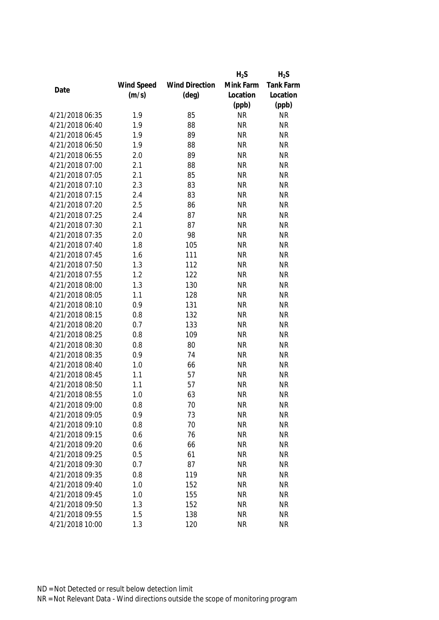|                 |            |                       | $H_2S$    | $H_2S$    |
|-----------------|------------|-----------------------|-----------|-----------|
|                 | Wind Speed | <b>Wind Direction</b> | Mink Farm | Tank Farm |
| Date            | (m/s)      | $(\text{deg})$        | Location  | Location  |
|                 |            |                       | (ppb)     | (ppb)     |
| 4/21/2018 06:35 | 1.9        | 85                    | <b>NR</b> | <b>NR</b> |
| 4/21/2018 06:40 | 1.9        | 88                    | <b>NR</b> | <b>NR</b> |
| 4/21/2018 06:45 | 1.9        | 89                    | <b>NR</b> | <b>NR</b> |
| 4/21/2018 06:50 | 1.9        | 88                    | <b>NR</b> | <b>NR</b> |
| 4/21/2018 06:55 | 2.0        | 89                    | <b>NR</b> | <b>NR</b> |
| 4/21/2018 07:00 | 2.1        | 88                    | <b>NR</b> | <b>NR</b> |
| 4/21/2018 07:05 | 2.1        | 85                    | <b>NR</b> | <b>NR</b> |
| 4/21/2018 07:10 | 2.3        | 83                    | <b>NR</b> | <b>NR</b> |
| 4/21/2018 07:15 | 2.4        | 83                    | <b>NR</b> | <b>NR</b> |
| 4/21/2018 07:20 | 2.5        | 86                    | <b>NR</b> | <b>NR</b> |
| 4/21/2018 07:25 | 2.4        | 87                    | <b>NR</b> | <b>NR</b> |
| 4/21/2018 07:30 | 2.1        | 87                    | <b>NR</b> | <b>NR</b> |
| 4/21/2018 07:35 | 2.0        | 98                    | <b>NR</b> | <b>NR</b> |
| 4/21/2018 07:40 | 1.8        | 105                   | <b>NR</b> | <b>NR</b> |
| 4/21/2018 07:45 | 1.6        | 111                   | <b>NR</b> | <b>NR</b> |
| 4/21/2018 07:50 | 1.3        | 112                   | <b>NR</b> | <b>NR</b> |
| 4/21/2018 07:55 | 1.2        | 122                   | <b>NR</b> | <b>NR</b> |
| 4/21/2018 08:00 | 1.3        | 130                   | <b>NR</b> | <b>NR</b> |
| 4/21/2018 08:05 | 1.1        | 128                   | <b>NR</b> | <b>NR</b> |
| 4/21/2018 08:10 | 0.9        | 131                   | <b>NR</b> | <b>NR</b> |
| 4/21/2018 08:15 | 0.8        | 132                   | <b>NR</b> | <b>NR</b> |
| 4/21/2018 08:20 | 0.7        | 133                   | <b>NR</b> | <b>NR</b> |
| 4/21/2018 08:25 | 0.8        | 109                   | <b>NR</b> | <b>NR</b> |
| 4/21/2018 08:30 | 0.8        | 80                    | <b>NR</b> | <b>NR</b> |
| 4/21/2018 08:35 | 0.9        | 74                    | <b>NR</b> | <b>NR</b> |
| 4/21/2018 08:40 | 1.0        | 66                    | <b>NR</b> | <b>NR</b> |
| 4/21/2018 08:45 | 1.1        | 57                    | <b>NR</b> | <b>NR</b> |
| 4/21/2018 08:50 | 1.1        | 57                    | <b>NR</b> | <b>NR</b> |
| 4/21/2018 08:55 | 1.0        | 63                    | <b>NR</b> | <b>NR</b> |
| 4/21/2018 09:00 | 0.8        | 70                    | <b>NR</b> | <b>NR</b> |
| 4/21/2018 09:05 | 0.9        | 73                    | <b>NR</b> | <b>NR</b> |
| 4/21/2018 09:10 | 0.8        | 70                    | <b>NR</b> | <b>NR</b> |
| 4/21/2018 09:15 | 0.6        | 76                    | <b>NR</b> | <b>NR</b> |
| 4/21/2018 09:20 | 0.6        | 66                    | <b>NR</b> | <b>NR</b> |
| 4/21/2018 09:25 | 0.5        | 61                    | <b>NR</b> | <b>NR</b> |
| 4/21/2018 09:30 | 0.7        | 87                    | <b>NR</b> | <b>NR</b> |
| 4/21/2018 09:35 | 0.8        | 119                   | <b>NR</b> | <b>NR</b> |
| 4/21/2018 09:40 | 1.0        | 152                   | <b>NR</b> | <b>NR</b> |
| 4/21/2018 09:45 | 1.0        | 155                   | <b>NR</b> | <b>NR</b> |
| 4/21/2018 09:50 | 1.3        | 152                   | <b>NR</b> | <b>NR</b> |
| 4/21/2018 09:55 | 1.5        | 138                   | <b>NR</b> | <b>NR</b> |
| 4/21/2018 10:00 | 1.3        | 120                   | <b>NR</b> | <b>NR</b> |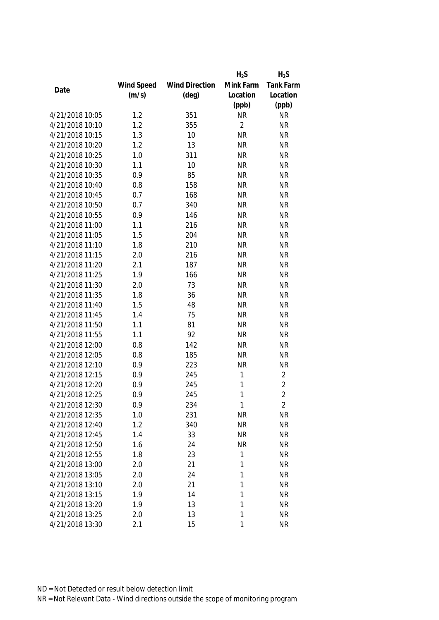|                 |            |                       | $H_2S$         | $H_2S$         |
|-----------------|------------|-----------------------|----------------|----------------|
|                 | Wind Speed | <b>Wind Direction</b> | Mink Farm      | Tank Farm      |
| Date            | (m/s)      | $(\text{deg})$        | Location       | Location       |
|                 |            |                       | (ppb)          | (ppb)          |
| 4/21/2018 10:05 | 1.2        | 351                   | <b>NR</b>      | <b>NR</b>      |
| 4/21/2018 10:10 | 1.2        | 355                   | $\overline{2}$ | <b>NR</b>      |
| 4/21/2018 10:15 | 1.3        | 10                    | <b>NR</b>      | <b>NR</b>      |
| 4/21/2018 10:20 | 1.2        | 13                    | <b>NR</b>      | <b>NR</b>      |
| 4/21/2018 10:25 | 1.0        | 311                   | <b>NR</b>      | <b>NR</b>      |
| 4/21/2018 10:30 | 1.1        | 10                    | <b>NR</b>      | <b>NR</b>      |
| 4/21/2018 10:35 | 0.9        | 85                    | <b>NR</b>      | <b>NR</b>      |
| 4/21/2018 10:40 | 0.8        | 158                   | <b>NR</b>      | <b>NR</b>      |
| 4/21/2018 10:45 | 0.7        | 168                   | <b>NR</b>      | <b>NR</b>      |
| 4/21/2018 10:50 | 0.7        | 340                   | <b>NR</b>      | <b>NR</b>      |
| 4/21/2018 10:55 | 0.9        | 146                   | <b>NR</b>      | <b>NR</b>      |
| 4/21/2018 11:00 | 1.1        | 216                   | <b>NR</b>      | <b>NR</b>      |
| 4/21/2018 11:05 | 1.5        | 204                   | <b>NR</b>      | <b>NR</b>      |
| 4/21/2018 11:10 | 1.8        | 210                   | <b>NR</b>      | <b>NR</b>      |
| 4/21/2018 11:15 | 2.0        | 216                   | <b>NR</b>      | <b>NR</b>      |
| 4/21/2018 11:20 | 2.1        | 187                   | <b>NR</b>      | <b>NR</b>      |
| 4/21/2018 11:25 | 1.9        | 166                   | <b>NR</b>      | <b>NR</b>      |
| 4/21/2018 11:30 | 2.0        | 73                    | <b>NR</b>      | <b>NR</b>      |
| 4/21/2018 11:35 | 1.8        | 36                    | <b>NR</b>      | <b>NR</b>      |
| 4/21/2018 11:40 | 1.5        | 48                    | <b>NR</b>      | <b>NR</b>      |
| 4/21/2018 11:45 | 1.4        | 75                    | <b>NR</b>      | <b>NR</b>      |
| 4/21/2018 11:50 | 1.1        | 81                    | <b>NR</b>      | <b>NR</b>      |
| 4/21/2018 11:55 | 1.1        | 92                    | <b>NR</b>      | <b>NR</b>      |
| 4/21/2018 12:00 | 0.8        | 142                   | <b>NR</b>      | <b>NR</b>      |
| 4/21/2018 12:05 | 0.8        | 185                   | <b>NR</b>      | <b>NR</b>      |
| 4/21/2018 12:10 | 0.9        | 223                   | <b>NR</b>      | NR             |
| 4/21/2018 12:15 | 0.9        | 245                   | 1              | 2              |
| 4/21/2018 12:20 | 0.9        | 245                   | 1              | $\overline{2}$ |
| 4/21/2018 12:25 | 0.9        | 245                   | 1              | $\overline{2}$ |
| 4/21/2018 12:30 | 0.9        | 234                   | 1              | $\overline{2}$ |
| 4/21/2018 12:35 | 1.0        | 231                   | <b>NR</b>      | <b>NR</b>      |
| 4/21/2018 12:40 | 1.2        | 340                   | <b>NR</b>      | <b>NR</b>      |
| 4/21/2018 12:45 | 1.4        | 33                    | <b>NR</b>      | <b>NR</b>      |
| 4/21/2018 12:50 | 1.6        | 24                    | <b>NR</b>      | <b>NR</b>      |
| 4/21/2018 12:55 | 1.8        | 23                    | 1              | <b>NR</b>      |
| 4/21/2018 13:00 | 2.0        | 21                    | 1              | <b>NR</b>      |
| 4/21/2018 13:05 | 2.0        | 24                    | 1              | <b>NR</b>      |
| 4/21/2018 13:10 | 2.0        | 21                    | 1              | <b>NR</b>      |
| 4/21/2018 13:15 | 1.9        | 14                    | 1              | <b>NR</b>      |
| 4/21/2018 13:20 | 1.9        | 13                    | 1              | <b>NR</b>      |
| 4/21/2018 13:25 | 2.0        | 13                    | 1              | <b>NR</b>      |
| 4/21/2018 13:30 | 2.1        | 15                    | 1              | <b>NR</b>      |
|                 |            |                       |                |                |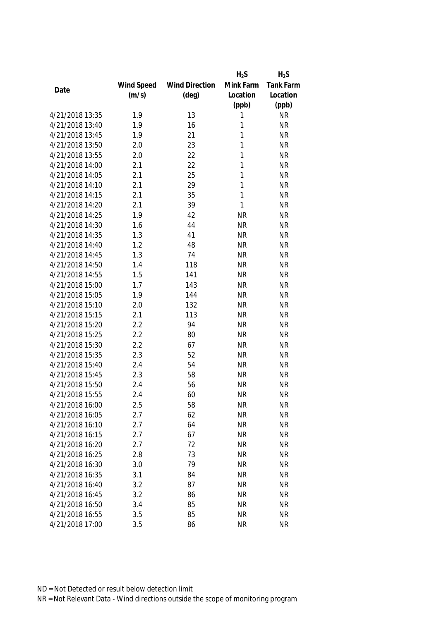|                 |            |                       | $H_2S$    | $H_2S$           |
|-----------------|------------|-----------------------|-----------|------------------|
|                 | Wind Speed | <b>Wind Direction</b> | Mink Farm | <b>Tank Farm</b> |
| Date            | (m/s)      | $(\text{deg})$        | Location  | Location         |
|                 |            |                       | (ppb)     | (ppb)            |
| 4/21/2018 13:35 | 1.9        | 13                    | 1         | <b>NR</b>        |
| 4/21/2018 13:40 | 1.9        | 16                    | 1         | <b>NR</b>        |
| 4/21/2018 13:45 | 1.9        | 21                    | 1         | <b>NR</b>        |
| 4/21/2018 13:50 | 2.0        | 23                    | 1         | <b>NR</b>        |
| 4/21/2018 13:55 | 2.0        | 22                    | 1         | <b>NR</b>        |
| 4/21/2018 14:00 | 2.1        | 22                    | 1         | <b>NR</b>        |
| 4/21/2018 14:05 | 2.1        | 25                    | 1         | <b>NR</b>        |
| 4/21/2018 14:10 | 2.1        | 29                    | 1         | <b>NR</b>        |
| 4/21/2018 14:15 | 2.1        | 35                    | 1         | <b>NR</b>        |
| 4/21/2018 14:20 | 2.1        | 39                    | 1         | <b>NR</b>        |
| 4/21/2018 14:25 | 1.9        | 42                    | <b>NR</b> | <b>NR</b>        |
| 4/21/2018 14:30 | 1.6        | 44                    | <b>NR</b> | <b>NR</b>        |
| 4/21/2018 14:35 | 1.3        | 41                    | <b>NR</b> | <b>NR</b>        |
| 4/21/2018 14:40 | 1.2        | 48                    | <b>NR</b> | <b>NR</b>        |
| 4/21/2018 14:45 | 1.3        | 74                    | <b>NR</b> | <b>NR</b>        |
| 4/21/2018 14:50 | 1.4        | 118                   | <b>NR</b> | <b>NR</b>        |
| 4/21/2018 14:55 | 1.5        | 141                   | <b>NR</b> | <b>NR</b>        |
| 4/21/2018 15:00 | 1.7        | 143                   | <b>NR</b> | <b>NR</b>        |
| 4/21/2018 15:05 | 1.9        | 144                   | <b>NR</b> | <b>NR</b>        |
| 4/21/2018 15:10 | 2.0        | 132                   | <b>NR</b> | <b>NR</b>        |
| 4/21/2018 15:15 | 2.1        | 113                   | <b>NR</b> | <b>NR</b>        |
| 4/21/2018 15:20 | 2.2        | 94                    | <b>NR</b> | <b>NR</b>        |
| 4/21/2018 15:25 | 2.2        | 80                    | <b>NR</b> | <b>NR</b>        |
| 4/21/2018 15:30 | 2.2        | 67                    | <b>NR</b> | <b>NR</b>        |
| 4/21/2018 15:35 | 2.3        | 52                    | <b>NR</b> | <b>NR</b>        |
| 4/21/2018 15:40 | 2.4        | 54                    | <b>NR</b> | <b>NR</b>        |
| 4/21/2018 15:45 | 2.3        | 58                    | <b>NR</b> | <b>NR</b>        |
| 4/21/2018 15:50 | 2.4        | 56                    | <b>NR</b> | <b>NR</b>        |
| 4/21/2018 15:55 | 2.4        | 60                    | <b>NR</b> | <b>NR</b>        |
| 4/21/2018 16:00 | 2.5        | 58                    | <b>NR</b> | NR               |
| 4/21/2018 16:05 | 2.7        | 62                    | <b>NR</b> | <b>NR</b>        |
| 4/21/2018 16:10 | 2.7        | 64                    | <b>NR</b> | <b>NR</b>        |
| 4/21/2018 16:15 | 2.7        | 67                    | <b>NR</b> | <b>NR</b>        |
| 4/21/2018 16:20 | 2.7        | 72                    | <b>NR</b> | <b>NR</b>        |
| 4/21/2018 16:25 | 2.8        | 73                    | <b>NR</b> | <b>NR</b>        |
| 4/21/2018 16:30 | 3.0        | 79                    | <b>NR</b> | <b>NR</b>        |
| 4/21/2018 16:35 | 3.1        | 84                    | <b>NR</b> | <b>NR</b>        |
| 4/21/2018 16:40 | 3.2        | 87                    | <b>NR</b> | <b>NR</b>        |
| 4/21/2018 16:45 | 3.2        | 86                    | <b>NR</b> | <b>NR</b>        |
| 4/21/2018 16:50 | 3.4        | 85                    | <b>NR</b> | <b>NR</b>        |
| 4/21/2018 16:55 | 3.5        | 85                    | <b>NR</b> | <b>NR</b>        |
| 4/21/2018 17:00 | 3.5        | 86                    | <b>NR</b> | <b>NR</b>        |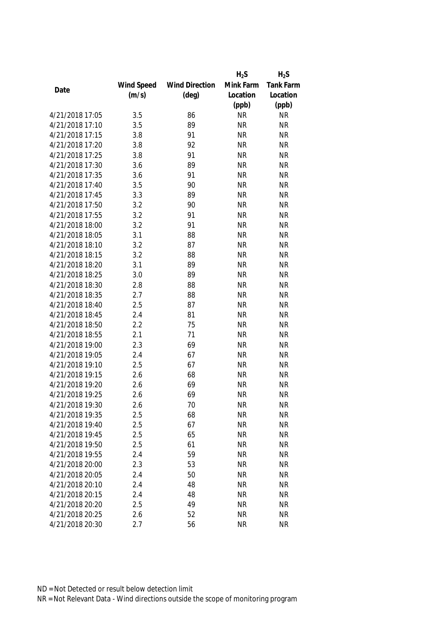|                 |            |                       | $H_2S$    | $H_2S$           |
|-----------------|------------|-----------------------|-----------|------------------|
|                 | Wind Speed | <b>Wind Direction</b> | Mink Farm | <b>Tank Farm</b> |
| Date            | (m/s)      | $(\text{deg})$        | Location  | Location         |
|                 |            |                       | (ppb)     | (ppb)            |
| 4/21/2018 17:05 | 3.5        | 86                    | <b>NR</b> | <b>NR</b>        |
| 4/21/2018 17:10 | 3.5        | 89                    | <b>NR</b> | <b>NR</b>        |
| 4/21/2018 17:15 | 3.8        | 91                    | <b>NR</b> | <b>NR</b>        |
| 4/21/2018 17:20 | 3.8        | 92                    | <b>NR</b> | <b>NR</b>        |
| 4/21/2018 17:25 | 3.8        | 91                    | <b>NR</b> | <b>NR</b>        |
| 4/21/2018 17:30 | 3.6        | 89                    | <b>NR</b> | <b>NR</b>        |
| 4/21/2018 17:35 | 3.6        | 91                    | <b>NR</b> | <b>NR</b>        |
| 4/21/2018 17:40 | 3.5        | 90                    | <b>NR</b> | <b>NR</b>        |
| 4/21/2018 17:45 | 3.3        | 89                    | <b>NR</b> | <b>NR</b>        |
| 4/21/2018 17:50 | 3.2        | 90                    | <b>NR</b> | <b>NR</b>        |
| 4/21/2018 17:55 | 3.2        | 91                    | <b>NR</b> | <b>NR</b>        |
| 4/21/2018 18:00 | 3.2        | 91                    | <b>NR</b> | <b>NR</b>        |
| 4/21/2018 18:05 | 3.1        | 88                    | <b>NR</b> | <b>NR</b>        |
| 4/21/2018 18:10 | 3.2        | 87                    | <b>NR</b> | <b>NR</b>        |
| 4/21/2018 18:15 | 3.2        | 88                    | <b>NR</b> | <b>NR</b>        |
| 4/21/2018 18:20 | 3.1        | 89                    | <b>NR</b> | <b>NR</b>        |
| 4/21/2018 18:25 | 3.0        | 89                    | <b>NR</b> | <b>NR</b>        |
| 4/21/2018 18:30 | 2.8        | 88                    | <b>NR</b> | <b>NR</b>        |
| 4/21/2018 18:35 | 2.7        | 88                    | <b>NR</b> | <b>NR</b>        |
| 4/21/2018 18:40 | 2.5        | 87                    | <b>NR</b> | <b>NR</b>        |
| 4/21/2018 18:45 | 2.4        | 81                    | <b>NR</b> | <b>NR</b>        |
| 4/21/2018 18:50 | 2.2        | 75                    | <b>NR</b> | <b>NR</b>        |
| 4/21/2018 18:55 | 2.1        | 71                    | <b>NR</b> | <b>NR</b>        |
| 4/21/2018 19:00 | 2.3        | 69                    | <b>NR</b> | <b>NR</b>        |
| 4/21/2018 19:05 | 2.4        | 67                    | <b>NR</b> | <b>NR</b>        |
| 4/21/2018 19:10 | 2.5        | 67                    | <b>NR</b> | <b>NR</b>        |
| 4/21/2018 19:15 | 2.6        | 68                    | <b>NR</b> | <b>NR</b>        |
| 4/21/2018 19:20 | 2.6        | 69                    | <b>NR</b> | <b>NR</b>        |
| 4/21/2018 19:25 | 2.6        | 69                    | <b>NR</b> | <b>NR</b>        |
| 4/21/2018 19:30 | 2.6        | 70                    | <b>NR</b> | <b>NR</b>        |
| 4/21/2018 19:35 | 2.5        | 68                    | <b>NR</b> | <b>NR</b>        |
| 4/21/2018 19:40 | 2.5        | 67                    | <b>NR</b> | <b>NR</b>        |
| 4/21/2018 19:45 | 2.5        | 65                    | <b>NR</b> | <b>NR</b>        |
| 4/21/2018 19:50 | 2.5        | 61                    | <b>NR</b> | <b>NR</b>        |
| 4/21/2018 19:55 | 2.4        | 59                    | <b>NR</b> | <b>NR</b>        |
| 4/21/2018 20:00 | 2.3        | 53                    | <b>NR</b> | <b>NR</b>        |
| 4/21/2018 20:05 | 2.4        | 50                    | <b>NR</b> | <b>NR</b>        |
| 4/21/2018 20:10 | 2.4        | 48                    | <b>NR</b> | <b>NR</b>        |
| 4/21/2018 20:15 | 2.4        | 48                    | <b>NR</b> | <b>NR</b>        |
| 4/21/2018 20:20 | 2.5        | 49                    | <b>NR</b> | <b>NR</b>        |
| 4/21/2018 20:25 | 2.6        | 52                    | <b>NR</b> | <b>NR</b>        |
| 4/21/2018 20:30 | 2.7        | 56                    | <b>NR</b> | <b>NR</b>        |
|                 |            |                       |           |                  |